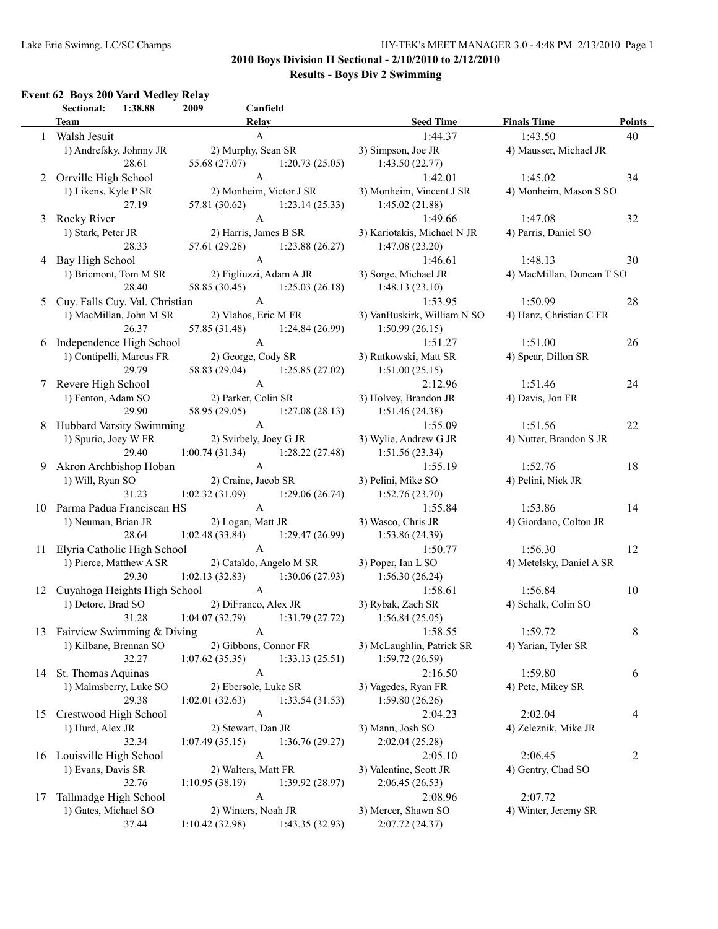#### **Event 62 Boys 200 Yard Medley Relay**

|    | Sectional:<br>Team            | 1:38.88                 | 2009                              | Canfield<br>Relay                                  | <b>Seed Time</b>                         | <b>Finals Time</b>        | <b>Points</b> |
|----|-------------------------------|-------------------------|-----------------------------------|----------------------------------------------------|------------------------------------------|---------------------------|---------------|
|    | 1 Walsh Jesuit                |                         |                                   | $\mathbf{A}$                                       | 1:44.37                                  | 1:43.50                   | 40            |
|    | 1) Andrefsky, Johnny JR       |                         | 2) Murphy, Sean SR                |                                                    | 3) Simpson, Joe JR                       | 4) Mausser, Michael JR    |               |
|    |                               | 28.61                   | 55.68 (27.07)                     | 1:20.73(25.05)                                     | 1:43.50(22.77)                           |                           |               |
|    | 2 Orrville High School        |                         |                                   | A                                                  | 1:42.01                                  | 1:45.02                   | 34            |
|    | 1) Likens, Kyle P SR          |                         |                                   | 2) Monheim, Victor J SR                            | 3) Monheim, Vincent J SR                 | 4) Monheim, Mason S SO    |               |
|    |                               | 27.19                   |                                   | $57.81(30.62)$ 1:23.14 (25.33)                     | 1:45.02(21.88)                           |                           |               |
|    | 3 Rocky River                 |                         |                                   | $\mathbf{A}$                                       | 1:49.66                                  | 1:47.08                   | 32            |
|    | 1) Stark, Peter JR            |                         |                                   | 2) Harris, James B SR                              | 3) Kariotakis, Michael N JR              | 4) Parris, Daniel SO      |               |
|    |                               | 28.33                   |                                   | 57.61 (29.28) 1:23.88 (26.27)                      | 1:47.08(23.20)                           |                           |               |
|    | 4 Bay High School             |                         |                                   | $\mathbf{A}$                                       | 1:46.61                                  | 1:48.13                   | 30            |
|    | 1) Bricmont, Tom M SR         |                         |                                   | 2) Figliuzzi, Adam A JR                            | 3) Sorge, Michael JR                     | 4) MacMillan, Duncan T SO |               |
|    |                               | 28.40                   |                                   | 58.85 (30.45) 1:25.03 (26.18)                      | 1:48.13(23.10)                           |                           |               |
| 5  |                               |                         | Cuy. Falls Cuy. Val. Christian    | $\mathbf{A}$                                       | 1:53.95                                  | 1:50.99                   | 28            |
|    |                               | 1) MacMillan, John M SR |                                   | 2) Vlahos, Eric M FR                               | 3) VanBuskirk, William N SO              | 4) Hanz, Christian C FR   |               |
|    |                               | 26.37                   |                                   | 57.85 (31.48) 1:24.84 (26.99)                      | 1:50.99(26.15)                           |                           |               |
| 6  | Independence High School      |                         |                                   | $\mathbf{A}$                                       | 1:51.27                                  | 1:51.00                   | 26            |
|    | 1) Contipelli, Marcus FR      |                         | 2) George, Cody SR                |                                                    | 3) Rutkowski, Matt SR                    | 4) Spear, Dillon SR       |               |
|    |                               | 29.79                   |                                   | 58.83 (29.04) 1:25.85 (27.02)                      | 1:51.00(25.15)                           |                           |               |
|    | 7 Revere High School          |                         |                                   | $\mathbf{A}$                                       | 2:12.96                                  | 1:51.46                   | 24            |
|    | 1) Fenton, Adam SO            |                         |                                   | 2) Parker, Colin SR                                | 3) Holvey, Brandon JR                    | 4) Davis, Jon FR          |               |
|    |                               | 29.90                   |                                   | 58.95 (29.05) 1:27.08 (28.13)                      | 1:51.46(24.38)                           |                           |               |
|    | 8 Hubbard Varsity Swimming    |                         |                                   | $\mathbf{A}$                                       | 1:55.09                                  | 1:51.56                   | 22            |
|    | 1) Spurio, Joey W FR          |                         |                                   | 2) Svirbely, Joey G JR                             | 3) Wylie, Andrew G JR                    | 4) Nutter, Brandon S JR   |               |
|    |                               | 29.40                   |                                   | $1:00.74(31.34)$ $1:28.22(27.48)$                  | 1:51.56(23.34)                           |                           |               |
| 9  | Akron Archbishop Hoban        |                         |                                   | $\mathbf{A}$                                       | 1:55.19                                  | 1:52.76                   | 18            |
|    | 1) Will, Ryan SO              |                         |                                   | 2) Craine, Jacob SR                                | 3) Pelini, Mike SO                       | 4) Pelini, Nick JR        |               |
|    |                               | 31.23                   |                                   | $1:02.32(31.09)$ $1:29.06(26.74)$                  | 1:52.76(23.70)                           |                           |               |
|    | 10 Parma Padua Franciscan HS  |                         |                                   | $\mathbf{A}$                                       | 1:55.84                                  | 1:53.86                   | 14            |
|    | 1) Neuman, Brian JR           |                         | 2) Logan, Matt JR                 |                                                    | 3) Wasco, Chris JR                       | 4) Giordano, Colton JR    |               |
|    |                               | 28.64                   |                                   | $1:02.48(33.84)$ $1:29.47(26.99)$ $1:53.86(24.39)$ |                                          |                           |               |
|    |                               |                         | 11 Elyria Catholic High School    | $\mathbf{A}$                                       | 1:50.77                                  | 1:56.30                   | 12            |
|    | 1) Pierce, Matthew A SR       |                         |                                   | 2) Cataldo, Angelo M SR                            | 3) Poper, Ian L SO                       | 4) Metelsky, Daniel A SR  |               |
|    |                               | 29.30                   |                                   | $1:02.13(32.83)$ $1:30.06(27.93)$                  | 1:56.30(26.24)                           |                           |               |
|    |                               |                         | 12 Cuyahoga Heights High School A |                                                    | 1:58.61                                  | 1:56.84                   | 10            |
|    | 1) Detore, Brad SO            |                         |                                   | 2) DiFranco, Alex JR                               | 3) Rybak, Zach SR                        | 4) Schalk, Colin SO       |               |
|    |                               | 31.28                   |                                   | $1:04.07(32.79)$ $1:31.79(27.72)$                  | 1:56.84(25.05)                           |                           |               |
|    | 13 Fairview Swimming & Diving |                         |                                   | A                                                  | 1:58.55                                  | 1:59.72                   | 8             |
|    | 1) Kilbane, Brennan SO        |                         |                                   | 2) Gibbons, Connor FR                              | 3) McLaughlin, Patrick SR                | 4) Yarian, Tyler SR       |               |
|    |                               | 32.27                   | 1:07.62(35.35)                    | 1:33.13(25.51)                                     | 1:59.72(26.59)                           |                           |               |
|    | 14 St. Thomas Aquinas         |                         |                                   | $\boldsymbol{A}$                                   | 2:16.50                                  | 1:59.80                   | 6             |
|    | 1) Malmsberry, Luke SO        |                         | 2) Ebersole, Luke SR              |                                                    | 3) Vagedes, Ryan FR                      | 4) Pete, Mikey SR         |               |
|    |                               | 29.38                   | 1:02.01(32.63)                    | 1:33.54(31.53)                                     | 1:59.80(26.26)                           |                           |               |
| 15 | Crestwood High School         |                         |                                   | $\boldsymbol{A}$                                   | 2:04.23                                  | 2:02.04                   | 4             |
|    | 1) Hurd, Alex JR              |                         | 2) Stewart, Dan JR                |                                                    | 3) Mann, Josh SO                         | 4) Zeleznik, Mike JR      |               |
|    |                               | 32.34                   | 1:07.49(35.15)                    | 1:36.76(29.27)<br>A                                | 2:02.04(25.28)                           |                           |               |
|    | 16 Louisville High School     |                         | 2) Walters, Matt FR               |                                                    | 2:05.10                                  | 2:06.45                   | 2             |
|    | 1) Evans, Davis SR            | 32.76                   | 1:10.95(38.19)                    | 1:39.92(28.97)                                     | 3) Valentine, Scott JR<br>2:06.45(26.53) | 4) Gentry, Chad SO        |               |
|    | Tallmadge High School         |                         |                                   | $\boldsymbol{A}$                                   | 2:08.96                                  | 2:07.72                   |               |
| 17 | 1) Gates, Michael SO          |                         | 2) Winters, Noah JR               |                                                    | 3) Mercer, Shawn SO                      | 4) Winter, Jeremy SR      |               |
|    |                               | 37.44                   | 1:10.42(32.98)                    | 1:43.35(32.93)                                     | 2:07.72(24.37)                           |                           |               |
|    |                               |                         |                                   |                                                    |                                          |                           |               |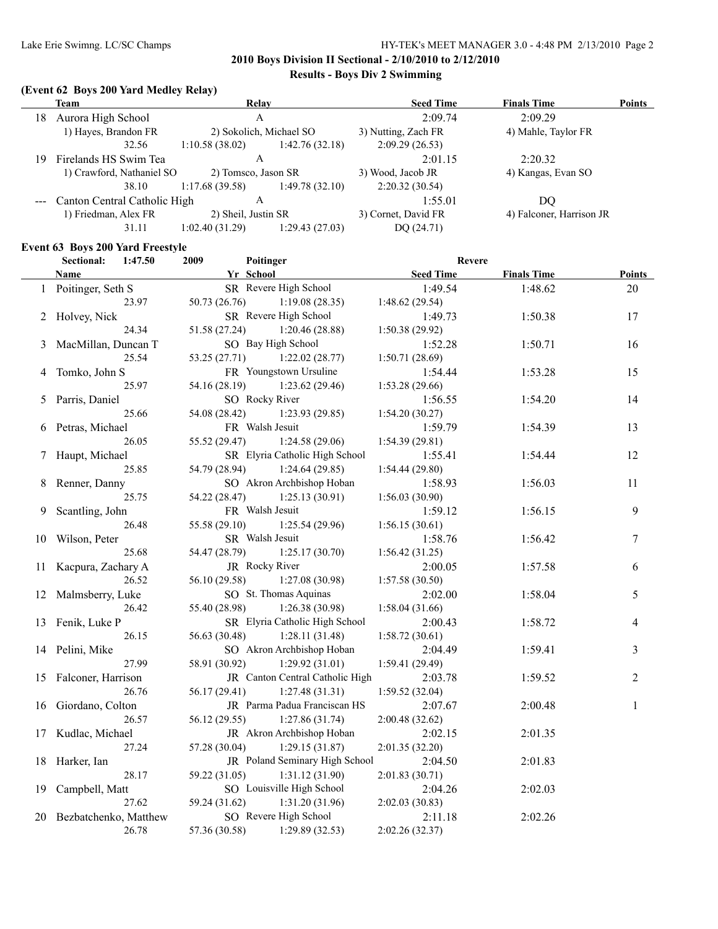#### Lake Erie Swimng. LC/SC Champs HY-TEK's MEET MANAGER 3.0 - 4:48 PM 2/13/2010 Page 2

#### **2010 Boys Division II Sectional - 2/10/2010 to 2/12/2010 Results - Boys Div 2 Swimming**

#### **(Event 62 Boys 200 Yard Medley Relay)**

|    | Team                         | Relay                   |                | <b>Seed Time</b>    | <b>Finals Time</b>       | <b>Points</b> |
|----|------------------------------|-------------------------|----------------|---------------------|--------------------------|---------------|
| 18 | Aurora High School           | A                       |                | 2:09.74             | 2:09.29                  |               |
|    | 1) Hayes, Brandon FR         | 2) Sokolich, Michael SO |                | 3) Nutting, Zach FR | 4) Mahle, Taylor FR      |               |
|    | 32.56                        | 1:10.58(38.02)          | 1:42.76(32.18) | 2:09.29(26.53)      |                          |               |
| 19 | Firelands HS Swim Tea        | A                       |                | 2:01.15             | 2:20.32                  |               |
|    | 1) Crawford, Nathaniel SO    | 2) Tomsco, Jason SR     |                | 3) Wood, Jacob JR   | 4) Kangas, Evan SO       |               |
|    | 38.10                        | 1:17.68(39.58)          | 1:49.78(32.10) | 2:20.32(30.54)      |                          |               |
|    | Canton Central Catholic High | A                       |                | 1:55.01             | DO                       |               |
|    | 1) Friedman, Alex FR         | 2) Sheil, Justin SR     |                | 3) Cornet, David FR | 4) Falconer, Harrison JR |               |
|    | 31.11                        | 1:02.40(31.29)          | 1:29.43(27.03) | DQ (24.71)          |                          |               |

#### **Event 63 Boys 200 Yard Freestyle**

| Yr School<br><b>Seed Time</b><br><b>Finals Time</b><br>Name<br>SR Revere High School<br>1:49.54<br>1 Poitinger, Seth S<br>1:48.62<br>23.97<br>50.73 (26.76)<br>1:19.08(28.35)<br>1:48.62(29.54)<br>SR Revere High School<br>1:49.73<br>1:50.38<br>Holvey, Nick<br>2<br>24.34<br>51.58 (27.24)<br>1:20.46(28.88)<br>1:50.38(29.92)<br>SO Bay High School<br>MacMillan, Duncan T<br>1:50.71<br>3<br>1:52.28<br>25.54<br>53.25 (27.71)<br>1:22.02(28.77)<br>1:50.71 (28.69)<br>FR Youngstown Ursuline<br>Tomko, John S<br>1:54.44<br>1:53.28<br>4<br>25.97<br>54.16 (28.19)<br>1:23.62(29.46)<br>1:53.28(29.66)<br>SO Rocky River<br>1:54.20<br>Parris, Daniel<br>1:56.55<br>5<br>25.66<br>54.08 (28.42)<br>1:23.93(29.85)<br>1:54.20 (30.27)<br>FR Walsh Jesuit<br>Petras, Michael<br>1:59.79<br>1:54.39<br>6<br>26.05<br>55.52 (29.47)<br>1:24.58(29.06)<br>1:54.39(29.81)<br>SR Elyria Catholic High School<br>Haupt, Michael<br>1:55.41<br>1:54.44<br>7<br>25.85<br>54.79 (28.94)<br>1:24.64(29.85)<br>1:54.44(29.80)<br>SO Akron Archbishop Hoban<br>Renner, Danny<br>1:56.03<br>1:58.93<br>8<br>25.75<br>54.22 (28.47)<br>1:25.13(30.91)<br>1:56.03(30.90)<br>FR Walsh Jesuit<br>1:56.15<br>9<br>Scantling, John<br>1:59.12<br>26.48<br>55.58 (29.10)<br>1:25.54(29.96)<br>1:56.15(30.61)<br>Wilson, Peter<br>SR Walsh Jesuit<br>1:56.42<br>1:58.76<br>10<br>25.68<br>54.47 (28.79)<br>1:25.17(30.70)<br>1:56.42(31.25)<br>JR Rocky River<br>1:57.58<br>Kacpura, Zachary A<br>2:00.05<br>11<br>26.52<br>56.10 (29.58)<br>1:27.08(30.98)<br>1:57.58(30.50)<br>Malmsberry, Luke<br>SO St. Thomas Aquinas<br>1:58.04<br>2:02.00<br>12<br>26.42<br>55.40 (28.98)<br>1:26.38 (30.98)<br>1:58.04 (31.66)<br>SR Elyria Catholic High School<br>13 Fenik, Luke P<br>2:00.43<br>1:58.72<br>26.15<br>56.63 (30.48)<br>1:28.11(31.48)<br>1:58.72(30.61)<br>SO Akron Archbishop Hoban<br>14 Pelini, Mike<br>1:59.41<br>2:04.49<br>27.99<br>58.91 (30.92)<br>1:29.92(31.01)<br>1:59.41(29.49)<br>JR Canton Central Catholic High<br>1:59.52<br>15 Falconer, Harrison<br>2:03.78<br>26.76<br>56.17 (29.41)<br>1:27.48(31.31)<br>1:59.52(32.04)<br>JR Parma Padua Franciscan HS<br>2:00.48<br>Giordano, Colton<br>2:07.67<br>16<br>26.57<br>56.12 (29.55)<br>1:27.86(31.74)<br>2:00.48 (32.62)<br>JR Akron Archbishop Hoban<br>Kudlac, Michael<br>2:01.35<br>2:02.15<br>17<br>1:29.15(31.87)<br>27.24<br>57.28 (30.04)<br>2:01.35 (32.20)<br>JR Poland Seminary High School<br>Harker, Ian<br>2:04.50<br>2:01.83<br>18<br>28.17<br>59.22 (31.05)<br>1:31.12(31.90)<br>2:01.83 (30.71)<br>Campbell, Matt<br>SO Louisville High School<br>19<br>2:04.26<br>2:02.03<br>27.62<br>59.24 (31.62)<br>1:31.20(31.96)<br>2:02.03(30.83)<br>SO Revere High School<br>2:11.18<br>2:02.26<br>Bezbatchenko, Matthew<br>20 | Poitinger<br>Sectional:<br>1:47.50<br>2009 |       |               | Revere         |                |  |               |
|--------------------------------------------------------------------------------------------------------------------------------------------------------------------------------------------------------------------------------------------------------------------------------------------------------------------------------------------------------------------------------------------------------------------------------------------------------------------------------------------------------------------------------------------------------------------------------------------------------------------------------------------------------------------------------------------------------------------------------------------------------------------------------------------------------------------------------------------------------------------------------------------------------------------------------------------------------------------------------------------------------------------------------------------------------------------------------------------------------------------------------------------------------------------------------------------------------------------------------------------------------------------------------------------------------------------------------------------------------------------------------------------------------------------------------------------------------------------------------------------------------------------------------------------------------------------------------------------------------------------------------------------------------------------------------------------------------------------------------------------------------------------------------------------------------------------------------------------------------------------------------------------------------------------------------------------------------------------------------------------------------------------------------------------------------------------------------------------------------------------------------------------------------------------------------------------------------------------------------------------------------------------------------------------------------------------------------------------------------------------------------------------------------------------------------------------------------------------------------------------------------------------------------------------------------------------------------------------------------------------------------------------------------------------------------------------------------------------------------------------------------------------------------------------------|--------------------------------------------|-------|---------------|----------------|----------------|--|---------------|
|                                                                                                                                                                                                                                                                                                                                                                                                                                                                                                                                                                                                                                                                                                                                                                                                                                                                                                                                                                                                                                                                                                                                                                                                                                                                                                                                                                                                                                                                                                                                                                                                                                                                                                                                                                                                                                                                                                                                                                                                                                                                                                                                                                                                                                                                                                                                                                                                                                                                                                                                                                                                                                                                                                                                                                                                  |                                            |       |               |                |                |  | <b>Points</b> |
|                                                                                                                                                                                                                                                                                                                                                                                                                                                                                                                                                                                                                                                                                                                                                                                                                                                                                                                                                                                                                                                                                                                                                                                                                                                                                                                                                                                                                                                                                                                                                                                                                                                                                                                                                                                                                                                                                                                                                                                                                                                                                                                                                                                                                                                                                                                                                                                                                                                                                                                                                                                                                                                                                                                                                                                                  |                                            |       |               |                |                |  | 20            |
|                                                                                                                                                                                                                                                                                                                                                                                                                                                                                                                                                                                                                                                                                                                                                                                                                                                                                                                                                                                                                                                                                                                                                                                                                                                                                                                                                                                                                                                                                                                                                                                                                                                                                                                                                                                                                                                                                                                                                                                                                                                                                                                                                                                                                                                                                                                                                                                                                                                                                                                                                                                                                                                                                                                                                                                                  |                                            |       |               |                |                |  |               |
|                                                                                                                                                                                                                                                                                                                                                                                                                                                                                                                                                                                                                                                                                                                                                                                                                                                                                                                                                                                                                                                                                                                                                                                                                                                                                                                                                                                                                                                                                                                                                                                                                                                                                                                                                                                                                                                                                                                                                                                                                                                                                                                                                                                                                                                                                                                                                                                                                                                                                                                                                                                                                                                                                                                                                                                                  |                                            |       |               |                |                |  | 17            |
|                                                                                                                                                                                                                                                                                                                                                                                                                                                                                                                                                                                                                                                                                                                                                                                                                                                                                                                                                                                                                                                                                                                                                                                                                                                                                                                                                                                                                                                                                                                                                                                                                                                                                                                                                                                                                                                                                                                                                                                                                                                                                                                                                                                                                                                                                                                                                                                                                                                                                                                                                                                                                                                                                                                                                                                                  |                                            |       |               |                |                |  |               |
|                                                                                                                                                                                                                                                                                                                                                                                                                                                                                                                                                                                                                                                                                                                                                                                                                                                                                                                                                                                                                                                                                                                                                                                                                                                                                                                                                                                                                                                                                                                                                                                                                                                                                                                                                                                                                                                                                                                                                                                                                                                                                                                                                                                                                                                                                                                                                                                                                                                                                                                                                                                                                                                                                                                                                                                                  |                                            |       |               |                |                |  | 16            |
|                                                                                                                                                                                                                                                                                                                                                                                                                                                                                                                                                                                                                                                                                                                                                                                                                                                                                                                                                                                                                                                                                                                                                                                                                                                                                                                                                                                                                                                                                                                                                                                                                                                                                                                                                                                                                                                                                                                                                                                                                                                                                                                                                                                                                                                                                                                                                                                                                                                                                                                                                                                                                                                                                                                                                                                                  |                                            |       |               |                |                |  |               |
|                                                                                                                                                                                                                                                                                                                                                                                                                                                                                                                                                                                                                                                                                                                                                                                                                                                                                                                                                                                                                                                                                                                                                                                                                                                                                                                                                                                                                                                                                                                                                                                                                                                                                                                                                                                                                                                                                                                                                                                                                                                                                                                                                                                                                                                                                                                                                                                                                                                                                                                                                                                                                                                                                                                                                                                                  |                                            |       |               |                |                |  | 15            |
|                                                                                                                                                                                                                                                                                                                                                                                                                                                                                                                                                                                                                                                                                                                                                                                                                                                                                                                                                                                                                                                                                                                                                                                                                                                                                                                                                                                                                                                                                                                                                                                                                                                                                                                                                                                                                                                                                                                                                                                                                                                                                                                                                                                                                                                                                                                                                                                                                                                                                                                                                                                                                                                                                                                                                                                                  |                                            |       |               |                |                |  |               |
|                                                                                                                                                                                                                                                                                                                                                                                                                                                                                                                                                                                                                                                                                                                                                                                                                                                                                                                                                                                                                                                                                                                                                                                                                                                                                                                                                                                                                                                                                                                                                                                                                                                                                                                                                                                                                                                                                                                                                                                                                                                                                                                                                                                                                                                                                                                                                                                                                                                                                                                                                                                                                                                                                                                                                                                                  |                                            |       |               |                |                |  | 14            |
|                                                                                                                                                                                                                                                                                                                                                                                                                                                                                                                                                                                                                                                                                                                                                                                                                                                                                                                                                                                                                                                                                                                                                                                                                                                                                                                                                                                                                                                                                                                                                                                                                                                                                                                                                                                                                                                                                                                                                                                                                                                                                                                                                                                                                                                                                                                                                                                                                                                                                                                                                                                                                                                                                                                                                                                                  |                                            |       |               |                |                |  |               |
|                                                                                                                                                                                                                                                                                                                                                                                                                                                                                                                                                                                                                                                                                                                                                                                                                                                                                                                                                                                                                                                                                                                                                                                                                                                                                                                                                                                                                                                                                                                                                                                                                                                                                                                                                                                                                                                                                                                                                                                                                                                                                                                                                                                                                                                                                                                                                                                                                                                                                                                                                                                                                                                                                                                                                                                                  |                                            |       |               |                |                |  | 13            |
|                                                                                                                                                                                                                                                                                                                                                                                                                                                                                                                                                                                                                                                                                                                                                                                                                                                                                                                                                                                                                                                                                                                                                                                                                                                                                                                                                                                                                                                                                                                                                                                                                                                                                                                                                                                                                                                                                                                                                                                                                                                                                                                                                                                                                                                                                                                                                                                                                                                                                                                                                                                                                                                                                                                                                                                                  |                                            |       |               |                |                |  |               |
|                                                                                                                                                                                                                                                                                                                                                                                                                                                                                                                                                                                                                                                                                                                                                                                                                                                                                                                                                                                                                                                                                                                                                                                                                                                                                                                                                                                                                                                                                                                                                                                                                                                                                                                                                                                                                                                                                                                                                                                                                                                                                                                                                                                                                                                                                                                                                                                                                                                                                                                                                                                                                                                                                                                                                                                                  |                                            |       |               |                |                |  | 12            |
|                                                                                                                                                                                                                                                                                                                                                                                                                                                                                                                                                                                                                                                                                                                                                                                                                                                                                                                                                                                                                                                                                                                                                                                                                                                                                                                                                                                                                                                                                                                                                                                                                                                                                                                                                                                                                                                                                                                                                                                                                                                                                                                                                                                                                                                                                                                                                                                                                                                                                                                                                                                                                                                                                                                                                                                                  |                                            |       |               |                |                |  |               |
|                                                                                                                                                                                                                                                                                                                                                                                                                                                                                                                                                                                                                                                                                                                                                                                                                                                                                                                                                                                                                                                                                                                                                                                                                                                                                                                                                                                                                                                                                                                                                                                                                                                                                                                                                                                                                                                                                                                                                                                                                                                                                                                                                                                                                                                                                                                                                                                                                                                                                                                                                                                                                                                                                                                                                                                                  |                                            |       |               |                |                |  | 11            |
|                                                                                                                                                                                                                                                                                                                                                                                                                                                                                                                                                                                                                                                                                                                                                                                                                                                                                                                                                                                                                                                                                                                                                                                                                                                                                                                                                                                                                                                                                                                                                                                                                                                                                                                                                                                                                                                                                                                                                                                                                                                                                                                                                                                                                                                                                                                                                                                                                                                                                                                                                                                                                                                                                                                                                                                                  |                                            |       |               |                |                |  |               |
|                                                                                                                                                                                                                                                                                                                                                                                                                                                                                                                                                                                                                                                                                                                                                                                                                                                                                                                                                                                                                                                                                                                                                                                                                                                                                                                                                                                                                                                                                                                                                                                                                                                                                                                                                                                                                                                                                                                                                                                                                                                                                                                                                                                                                                                                                                                                                                                                                                                                                                                                                                                                                                                                                                                                                                                                  |                                            |       |               |                |                |  | 9             |
|                                                                                                                                                                                                                                                                                                                                                                                                                                                                                                                                                                                                                                                                                                                                                                                                                                                                                                                                                                                                                                                                                                                                                                                                                                                                                                                                                                                                                                                                                                                                                                                                                                                                                                                                                                                                                                                                                                                                                                                                                                                                                                                                                                                                                                                                                                                                                                                                                                                                                                                                                                                                                                                                                                                                                                                                  |                                            |       |               |                |                |  |               |
|                                                                                                                                                                                                                                                                                                                                                                                                                                                                                                                                                                                                                                                                                                                                                                                                                                                                                                                                                                                                                                                                                                                                                                                                                                                                                                                                                                                                                                                                                                                                                                                                                                                                                                                                                                                                                                                                                                                                                                                                                                                                                                                                                                                                                                                                                                                                                                                                                                                                                                                                                                                                                                                                                                                                                                                                  |                                            |       |               |                |                |  | 7             |
|                                                                                                                                                                                                                                                                                                                                                                                                                                                                                                                                                                                                                                                                                                                                                                                                                                                                                                                                                                                                                                                                                                                                                                                                                                                                                                                                                                                                                                                                                                                                                                                                                                                                                                                                                                                                                                                                                                                                                                                                                                                                                                                                                                                                                                                                                                                                                                                                                                                                                                                                                                                                                                                                                                                                                                                                  |                                            |       |               |                |                |  |               |
|                                                                                                                                                                                                                                                                                                                                                                                                                                                                                                                                                                                                                                                                                                                                                                                                                                                                                                                                                                                                                                                                                                                                                                                                                                                                                                                                                                                                                                                                                                                                                                                                                                                                                                                                                                                                                                                                                                                                                                                                                                                                                                                                                                                                                                                                                                                                                                                                                                                                                                                                                                                                                                                                                                                                                                                                  |                                            |       |               |                |                |  | 6             |
|                                                                                                                                                                                                                                                                                                                                                                                                                                                                                                                                                                                                                                                                                                                                                                                                                                                                                                                                                                                                                                                                                                                                                                                                                                                                                                                                                                                                                                                                                                                                                                                                                                                                                                                                                                                                                                                                                                                                                                                                                                                                                                                                                                                                                                                                                                                                                                                                                                                                                                                                                                                                                                                                                                                                                                                                  |                                            |       |               |                |                |  |               |
|                                                                                                                                                                                                                                                                                                                                                                                                                                                                                                                                                                                                                                                                                                                                                                                                                                                                                                                                                                                                                                                                                                                                                                                                                                                                                                                                                                                                                                                                                                                                                                                                                                                                                                                                                                                                                                                                                                                                                                                                                                                                                                                                                                                                                                                                                                                                                                                                                                                                                                                                                                                                                                                                                                                                                                                                  |                                            |       |               |                |                |  | 5             |
|                                                                                                                                                                                                                                                                                                                                                                                                                                                                                                                                                                                                                                                                                                                                                                                                                                                                                                                                                                                                                                                                                                                                                                                                                                                                                                                                                                                                                                                                                                                                                                                                                                                                                                                                                                                                                                                                                                                                                                                                                                                                                                                                                                                                                                                                                                                                                                                                                                                                                                                                                                                                                                                                                                                                                                                                  |                                            |       |               |                |                |  |               |
|                                                                                                                                                                                                                                                                                                                                                                                                                                                                                                                                                                                                                                                                                                                                                                                                                                                                                                                                                                                                                                                                                                                                                                                                                                                                                                                                                                                                                                                                                                                                                                                                                                                                                                                                                                                                                                                                                                                                                                                                                                                                                                                                                                                                                                                                                                                                                                                                                                                                                                                                                                                                                                                                                                                                                                                                  |                                            |       |               |                |                |  | 4             |
|                                                                                                                                                                                                                                                                                                                                                                                                                                                                                                                                                                                                                                                                                                                                                                                                                                                                                                                                                                                                                                                                                                                                                                                                                                                                                                                                                                                                                                                                                                                                                                                                                                                                                                                                                                                                                                                                                                                                                                                                                                                                                                                                                                                                                                                                                                                                                                                                                                                                                                                                                                                                                                                                                                                                                                                                  |                                            |       |               |                |                |  |               |
|                                                                                                                                                                                                                                                                                                                                                                                                                                                                                                                                                                                                                                                                                                                                                                                                                                                                                                                                                                                                                                                                                                                                                                                                                                                                                                                                                                                                                                                                                                                                                                                                                                                                                                                                                                                                                                                                                                                                                                                                                                                                                                                                                                                                                                                                                                                                                                                                                                                                                                                                                                                                                                                                                                                                                                                                  |                                            |       |               |                |                |  | 3             |
|                                                                                                                                                                                                                                                                                                                                                                                                                                                                                                                                                                                                                                                                                                                                                                                                                                                                                                                                                                                                                                                                                                                                                                                                                                                                                                                                                                                                                                                                                                                                                                                                                                                                                                                                                                                                                                                                                                                                                                                                                                                                                                                                                                                                                                                                                                                                                                                                                                                                                                                                                                                                                                                                                                                                                                                                  |                                            |       |               |                |                |  |               |
|                                                                                                                                                                                                                                                                                                                                                                                                                                                                                                                                                                                                                                                                                                                                                                                                                                                                                                                                                                                                                                                                                                                                                                                                                                                                                                                                                                                                                                                                                                                                                                                                                                                                                                                                                                                                                                                                                                                                                                                                                                                                                                                                                                                                                                                                                                                                                                                                                                                                                                                                                                                                                                                                                                                                                                                                  |                                            |       |               |                |                |  | 2             |
|                                                                                                                                                                                                                                                                                                                                                                                                                                                                                                                                                                                                                                                                                                                                                                                                                                                                                                                                                                                                                                                                                                                                                                                                                                                                                                                                                                                                                                                                                                                                                                                                                                                                                                                                                                                                                                                                                                                                                                                                                                                                                                                                                                                                                                                                                                                                                                                                                                                                                                                                                                                                                                                                                                                                                                                                  |                                            |       |               |                |                |  |               |
|                                                                                                                                                                                                                                                                                                                                                                                                                                                                                                                                                                                                                                                                                                                                                                                                                                                                                                                                                                                                                                                                                                                                                                                                                                                                                                                                                                                                                                                                                                                                                                                                                                                                                                                                                                                                                                                                                                                                                                                                                                                                                                                                                                                                                                                                                                                                                                                                                                                                                                                                                                                                                                                                                                                                                                                                  |                                            |       |               |                |                |  | $\mathbf{1}$  |
|                                                                                                                                                                                                                                                                                                                                                                                                                                                                                                                                                                                                                                                                                                                                                                                                                                                                                                                                                                                                                                                                                                                                                                                                                                                                                                                                                                                                                                                                                                                                                                                                                                                                                                                                                                                                                                                                                                                                                                                                                                                                                                                                                                                                                                                                                                                                                                                                                                                                                                                                                                                                                                                                                                                                                                                                  |                                            |       |               |                |                |  |               |
|                                                                                                                                                                                                                                                                                                                                                                                                                                                                                                                                                                                                                                                                                                                                                                                                                                                                                                                                                                                                                                                                                                                                                                                                                                                                                                                                                                                                                                                                                                                                                                                                                                                                                                                                                                                                                                                                                                                                                                                                                                                                                                                                                                                                                                                                                                                                                                                                                                                                                                                                                                                                                                                                                                                                                                                                  |                                            |       |               |                |                |  |               |
|                                                                                                                                                                                                                                                                                                                                                                                                                                                                                                                                                                                                                                                                                                                                                                                                                                                                                                                                                                                                                                                                                                                                                                                                                                                                                                                                                                                                                                                                                                                                                                                                                                                                                                                                                                                                                                                                                                                                                                                                                                                                                                                                                                                                                                                                                                                                                                                                                                                                                                                                                                                                                                                                                                                                                                                                  |                                            |       |               |                |                |  |               |
|                                                                                                                                                                                                                                                                                                                                                                                                                                                                                                                                                                                                                                                                                                                                                                                                                                                                                                                                                                                                                                                                                                                                                                                                                                                                                                                                                                                                                                                                                                                                                                                                                                                                                                                                                                                                                                                                                                                                                                                                                                                                                                                                                                                                                                                                                                                                                                                                                                                                                                                                                                                                                                                                                                                                                                                                  |                                            |       |               |                |                |  |               |
|                                                                                                                                                                                                                                                                                                                                                                                                                                                                                                                                                                                                                                                                                                                                                                                                                                                                                                                                                                                                                                                                                                                                                                                                                                                                                                                                                                                                                                                                                                                                                                                                                                                                                                                                                                                                                                                                                                                                                                                                                                                                                                                                                                                                                                                                                                                                                                                                                                                                                                                                                                                                                                                                                                                                                                                                  |                                            |       |               |                |                |  |               |
|                                                                                                                                                                                                                                                                                                                                                                                                                                                                                                                                                                                                                                                                                                                                                                                                                                                                                                                                                                                                                                                                                                                                                                                                                                                                                                                                                                                                                                                                                                                                                                                                                                                                                                                                                                                                                                                                                                                                                                                                                                                                                                                                                                                                                                                                                                                                                                                                                                                                                                                                                                                                                                                                                                                                                                                                  |                                            |       |               |                |                |  |               |
|                                                                                                                                                                                                                                                                                                                                                                                                                                                                                                                                                                                                                                                                                                                                                                                                                                                                                                                                                                                                                                                                                                                                                                                                                                                                                                                                                                                                                                                                                                                                                                                                                                                                                                                                                                                                                                                                                                                                                                                                                                                                                                                                                                                                                                                                                                                                                                                                                                                                                                                                                                                                                                                                                                                                                                                                  |                                            |       |               |                |                |  |               |
|                                                                                                                                                                                                                                                                                                                                                                                                                                                                                                                                                                                                                                                                                                                                                                                                                                                                                                                                                                                                                                                                                                                                                                                                                                                                                                                                                                                                                                                                                                                                                                                                                                                                                                                                                                                                                                                                                                                                                                                                                                                                                                                                                                                                                                                                                                                                                                                                                                                                                                                                                                                                                                                                                                                                                                                                  |                                            |       |               |                |                |  |               |
|                                                                                                                                                                                                                                                                                                                                                                                                                                                                                                                                                                                                                                                                                                                                                                                                                                                                                                                                                                                                                                                                                                                                                                                                                                                                                                                                                                                                                                                                                                                                                                                                                                                                                                                                                                                                                                                                                                                                                                                                                                                                                                                                                                                                                                                                                                                                                                                                                                                                                                                                                                                                                                                                                                                                                                                                  |                                            | 26.78 | 57.36 (30.58) | 1:29.89(32.53) | 2:02.26(32.37) |  |               |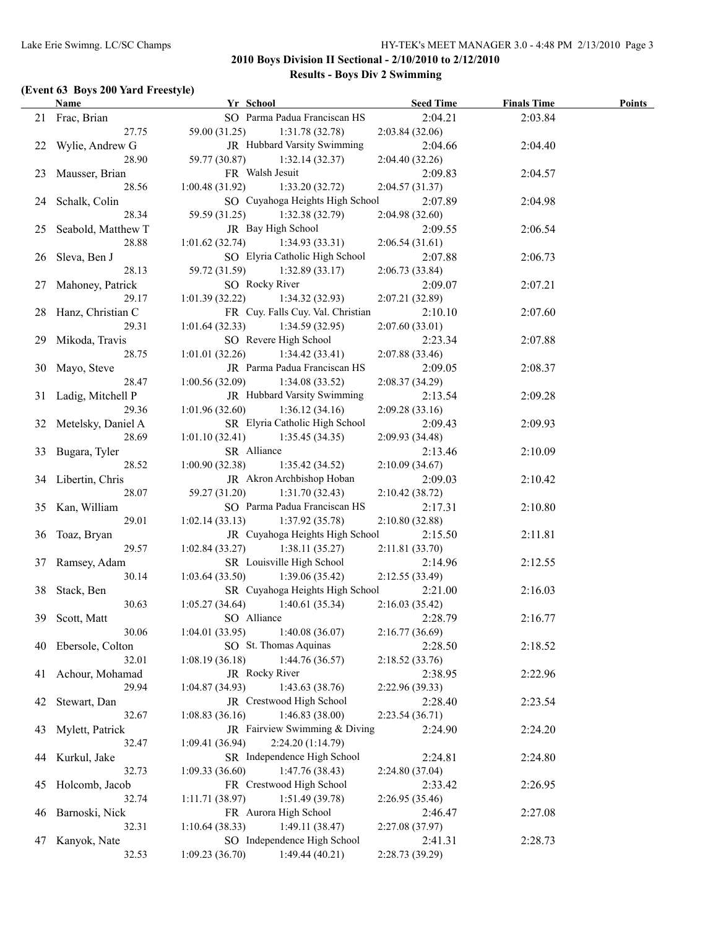# **(Event 63 Boys 200 Yard Freestyle)**

|    | Name                  | Yr School                                  | <b>Seed Time</b> | <b>Finals Time</b> | <b>Points</b> |
|----|-----------------------|--------------------------------------------|------------------|--------------------|---------------|
|    | 21 Frac, Brian        | SO Parma Padua Franciscan HS               | 2:04.21          | 2:03.84            |               |
|    | 27.75                 | 59.00 (31.25) 1:31.78 (32.78)              | 2:03.84(32.06)   |                    |               |
|    | 22 Wylie, Andrew G    | JR Hubbard Varsity Swimming                | 2:04.66          | 2:04.40            |               |
|    | 28.90                 | 59.77 (30.87) 1:32.14 (32.37)              | 2:04.40(32.26)   |                    |               |
|    | 23 Mausser, Brian     | FR Walsh Jesuit                            | 2:09.83          | 2:04.57            |               |
|    | 28.56                 | 1:00.48(31.92)<br>1:33.20(32.72)           | 2:04.57(31.37)   |                    |               |
|    | 24 Schalk, Colin      | SO Cuyahoga Heights High School            | 2:07.89          | 2:04.98            |               |
|    | 28.34                 | 59.59 (31.25) 1:32.38 (32.79)              | 2:04.98(32.60)   |                    |               |
|    | 25 Seabold, Matthew T | JR Bay High School                         | 2:09.55          | 2:06.54            |               |
|    | 28.88                 | 1:01.62(32.74)<br>1:34.93(33.31)           | 2:06.54(31.61)   |                    |               |
|    | 26 Sleva, Ben J       | SO Elyria Catholic High School             | 2:07.88          | 2:06.73            |               |
|    | 28.13                 | 59.72 (31.59) 1:32.89 (33.17)              | 2:06.73(33.84)   |                    |               |
|    |                       | SO Rocky River                             |                  | 2:07.21            |               |
|    | 27 Mahoney, Patrick   |                                            | 2:09.07          |                    |               |
|    | 29.17                 | 1:01.39(32.22)<br>1:34.32(32.93)           | 2:07.21(32.89)   |                    |               |
|    | 28 Hanz, Christian C  | FR Cuy. Falls Cuy. Val. Christian          | 2:10.10          | 2:07.60            |               |
|    | 29.31                 | $1:01.64(32.33)$ $1:34.59(32.95)$          | 2:07.60(33.01)   |                    |               |
|    | 29 Mikoda, Travis     | SO Revere High School                      | 2:23.34          | 2:07.88            |               |
|    | 28.75                 | $1:01.01(32.26)$ $1:34.42(33.41)$          | 2:07.88 (33.46)  |                    |               |
|    | 30 Mayo, Steve        | JR Parma Padua Franciscan HS               | 2:09.05          | 2:08.37            |               |
|    | 28.47                 | $1:00.56(32.09)$ $1:34.08(33.52)$          | 2:08.37(34.29)   |                    |               |
|    | 31 Ladig, Mitchell P  | JR Hubbard Varsity Swimming                | 2:13.54          | 2:09.28            |               |
|    | 29.36                 | $1:01.96(32.60)$ $1:36.12(34.16)$          | 2:09.28 (33.16)  |                    |               |
|    | 32 Metelsky, Daniel A | SR Elyria Catholic High School             | 2:09.43          | 2:09.93            |               |
|    | 28.69                 | $1:01.10(32.41)$ $1:35.45(34.35)$          | 2:09.93(34.48)   |                    |               |
|    | 33 Bugara, Tyler      | SR Alliance                                | 2:13.46          | 2:10.09            |               |
|    | 28.52                 | 1:00.90(32.38)<br>1:35.42(34.52)           | 2:10.09(34.67)   |                    |               |
|    | 34 Libertin, Chris    | JR Akron Archbishop Hoban                  | 2:09.03          | 2:10.42            |               |
|    | 28.07                 | 59.27 (31.20)<br>1:31.70(32.43)            | 2:10.42(38.72)   |                    |               |
|    | 35 Kan, William       | SO Parma Padua Franciscan HS               | 2:17.31          | 2:10.80            |               |
|    | 29.01                 | 1:02.14(33.13)<br>1:37.92(35.78)           | 2:10.80 (32.88)  |                    |               |
|    | 36 Toaz, Bryan        | JR Cuyahoga Heights High School            | 2:15.50          | 2:11.81            |               |
|    | 29.57                 | $1:02.84(33.27)$ $1:38.11(35.27)$          | 2:11.81(33.70)   |                    |               |
|    | 37 Ramsey, Adam       | SR Louisville High School                  | 2:14.96          | 2:12.55            |               |
|    | 30.14                 | 1:03.64(33.50)<br>1:39.06(35.42)           | 2:12.55(33.49)   |                    |               |
|    | 38 Stack, Ben         | SR Cuyahoga Heights High School            | 2:21.00          | 2:16.03            |               |
|    | 30.63                 | 1:40.61(35.34)<br>1:05.27(34.64)           | 2:16.03(35.42)   |                    |               |
|    | 39 Scott, Matt        | SO Alliance                                | 2:28.79          | 2:16.77            |               |
|    | 30.06                 | 1:40.08(36.07)<br>1:04.01(33.95)           | 2:16.77(36.69)   |                    |               |
|    | 40 Ebersole, Colton   | SO St. Thomas Aquinas                      | 2:28.50          | 2:18.52            |               |
|    | 32.01                 | 1:08.19(36.18)<br>1:44.76(36.57)           | 2:18.52(33.76)   |                    |               |
| 41 | Achour, Mohamad       | JR Rocky River                             | 2:38.95          | 2:22.96            |               |
|    | 29.94                 | 1:04.87(34.93)<br>1:43.63(38.76)           | 2:22.96 (39.33)  |                    |               |
| 42 | Stewart, Dan          | JR Crestwood High School                   | 2:28.40          | 2:23.54            |               |
|    | 32.67                 | 1:08.83(36.16)<br>1:46.83(38.00)           | 2:23.54(36.71)   |                    |               |
| 43 | Mylett, Patrick       | JR Fairview Swimming & Diving              | 2:24.90          | 2:24.20            |               |
|    | 32.47                 | 2:24.20 (1:14.79)<br>1:09.41(36.94)        |                  |                    |               |
|    | Kurkul, Jake          | SR Independence High School                | 2:24.81          | 2:24.80            |               |
| 44 |                       | 1:47.76(38.43)                             |                  |                    |               |
|    | 32.73                 | 1:09.33(36.60)<br>FR Crestwood High School | 2:24.80 (37.04)  |                    |               |
| 45 | Holcomb, Jacob        |                                            | 2:33.42          | 2:26.95            |               |
|    | 32.74                 | 1:11.71(38.97)<br>1:51.49(39.78)           | 2:26.95(35.46)   |                    |               |
| 46 | Barnoski, Nick        | FR Aurora High School                      | 2:46.47          | 2:27.08            |               |
|    | 32.31                 | 1:10.64(38.33)<br>1:49.11(38.47)           | 2:27.08(37.97)   |                    |               |
| 47 | Kanyok, Nate          | SO Independence High School                | 2:41.31          | 2:28.73            |               |
|    | 32.53                 | 1:49.44(40.21)<br>1:09.23(36.70)           | 2:28.73 (39.29)  |                    |               |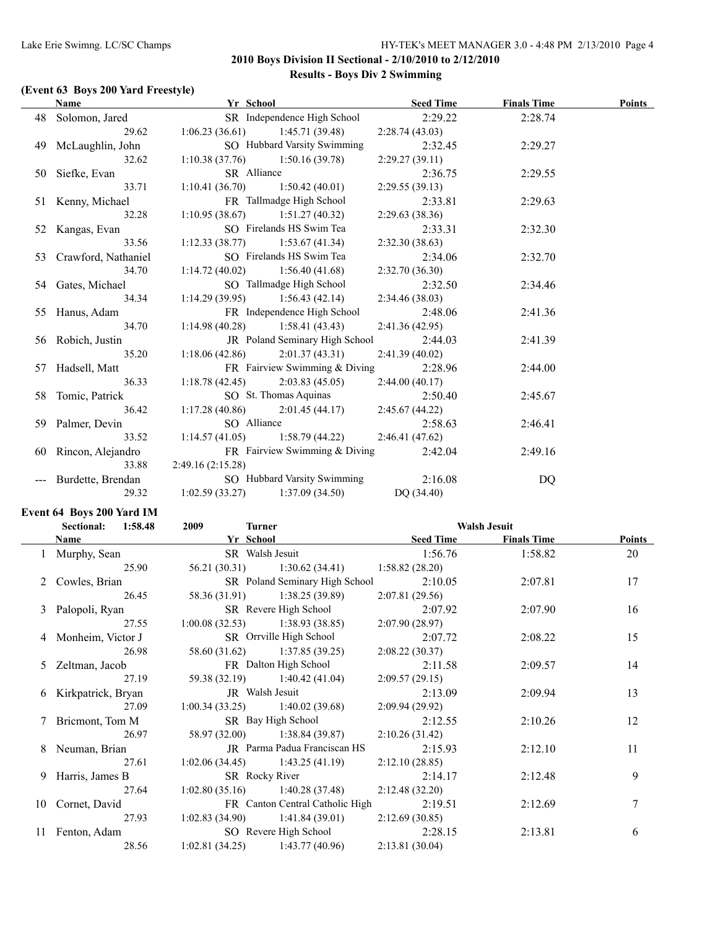#### **(Event 63 Boys 200 Yard Freestyle)**

| <b>Name</b>            | Yr School                                       |                                | <b>Seed Time</b>                 | <b>Finals Time</b> | <b>Points</b> |
|------------------------|-------------------------------------------------|--------------------------------|----------------------------------|--------------------|---------------|
| 48 Solomon, Jared      |                                                 | SR Independence High School    | 2:29.22                          | 2:28.74            |               |
| 29.62                  | $1:06.23(36.61)$ $1:45.71(39.48)$               |                                | 2:28.74(43.03)                   |                    |               |
| 49 McLaughlin, John    |                                                 | SO Hubbard Varsity Swimming    | 2:32.45                          | 2:29.27            |               |
| 32.62                  | $1:10.38(37.76)$ $1:50.16(39.78)$               |                                | 2:29.27(39.11)                   |                    |               |
| 50 Siefke, Evan        | SR Alliance                                     |                                | 2:36.75                          | 2:29.55            |               |
| 33.71                  | $1:10.41(36.70)$ $1:50.42(40.01)$               |                                | 2:29.55(39.13)                   |                    |               |
| 51 Kenny, Michael      |                                                 | FR Tallmadge High School       | 2:33.81                          | 2:29.63            |               |
| 32.28                  | $1:10.95(38.67)$ $1:51.27(40.32)$               |                                | 2:29.63(38.36)                   |                    |               |
| 52 Kangas, Evan        | SO Firelands HS Swim Tea                        |                                | 2:33.31                          | 2:32.30            |               |
| 33.56                  | $1:12.33(38.77)$ $1:53.67(41.34)$               |                                | 2:32.30(38.63)                   |                    |               |
| 53 Crawford, Nathaniel | SO Firelands HS Swim Tea                        |                                | 2:34.06                          | 2:32.70            |               |
| 34.70                  | $1:14.72(40.02)$ $1:56.40(41.68)$               |                                | 2:32.70(36.30)                   |                    |               |
| 54 Gates, Michael      |                                                 |                                | SO Tallmadge High School 2:32.50 | 2:34.46            |               |
| 34.34                  | $1:14.29(39.95)$ $1:56.43(42.14)$               |                                | 2:34.46(38.03)                   |                    |               |
| 55 Hanus, Adam         |                                                 | FR Independence High School    | 2:48.06                          | 2:41.36            |               |
| 34.70                  | $1:14.98(40.28)$ $1:58.41(43.43)$               |                                | 2:41.36(42.95)                   |                    |               |
| 56 Robich, Justin      |                                                 | JR Poland Seminary High School | 2:44.03                          | 2:41.39            |               |
| 35.20                  | $1:18.06(42.86)$ $2:01.37(43.31)$               |                                | 2:41.39(40.02)                   |                    |               |
| 57 Hadsell, Matt       |                                                 | FR Fairview Swimming & Diving  | 2:28.96                          | 2:44.00            |               |
| 36.33                  | 1:18.78 (42.45) 2:03.83 (45.05) 2:44.00 (40.17) |                                |                                  |                    |               |
| 58 Tomic, Patrick      |                                                 | SO St. Thomas Aquinas          | 2:50.40                          | 2:45.67            |               |
| 36.42                  | $1:17.28(40.86)$ $2:01.45(44.17)$               |                                | 2:45.67(44.22)                   |                    |               |
| 59 Palmer, Devin       | SO Alliance                                     |                                | 2:58.63                          | 2:46.41            |               |
| 33.52                  | 1:14.57 (41.05) 1:58.79 (44.22) 2:46.41 (47.62) |                                |                                  |                    |               |
| 60 Rincon, Alejandro   | FR Fairview Swimming & Diving                   |                                | 2:42.04                          | 2:49.16            |               |
| 33.88                  | 2:49.16(2:15.28)                                |                                |                                  |                    |               |
| --- Burdette, Brendan  |                                                 | SO Hubbard Varsity Swimming    | 2:16.08                          | DQ                 |               |
| 29.32                  | $1:02.59(33.27)$ $1:37.09(34.50)$               |                                | DQ (34.40)                       |                    |               |

#### **Event 64 Boys 200 Yard IM**

| Sectional: 1:58.48   | 2009<br>Turner  |                                   |                  | <b>Walsh Jesuit</b> |        |
|----------------------|-----------------|-----------------------------------|------------------|---------------------|--------|
| Name                 | Yr School       |                                   | <b>Seed Time</b> | <b>Finals Time</b>  | Points |
| 1 Murphy, Sean       |                 | SR Walsh Jesuit                   | 1:56.76          | 1:58.82             | 20     |
| 25.90                |                 | $56.21(30.31)$ $1:30.62(34.41)$   | 1:58.82(28.20)   |                     |        |
| 2 Cowles, Brian      |                 | SR Poland Seminary High School    | 2:10.05          | 2:07.81             | 17     |
| 26.45                |                 | 58.36 (31.91) 1:38.25 (39.89)     | 2:07.81(29.56)   |                     |        |
| 3 Palopoli, Ryan     |                 | SR Revere High School             | 2:07.92          | 2:07.90             | 16     |
| 27.55                |                 | $1:00.08(32.53)$ $1:38.93(38.85)$ | 2:07.90(28.97)   |                     |        |
| 4 Monheim, Victor J  |                 | SR Orrville High School           | 2:07.72          | 2:08.22             | 15     |
| 26.98                |                 | 58.60 (31.62) 1:37.85 (39.25)     | 2:08.22(30.37)   |                     |        |
| 5 Zeltman, Jacob     |                 | FR Dalton High School             | 2:11.58          | 2:09.57             | 14     |
| 27.19                |                 | 59.38 (32.19) 1:40.42 (41.04)     | 2:09.57(29.15)   |                     |        |
| 6 Kirkpatrick, Bryan | JR Walsh Jesuit |                                   | 2:13.09          | 2:09.94             | 13     |
| 27.09                |                 | $1:00.34(33.25)$ $1:40.02(39.68)$ | 2:09.94(29.92)   |                     |        |
| 7 Briemont, Tom M    |                 | SR Bay High School                | 2:12.55          | 2:10.26             | 12     |
| 26.97                |                 | 58.97 (32.00) 1:38.84 (39.87)     | 2:10.26(31.42)   |                     |        |
| 8 Neuman, Brian      |                 | JR Parma Padua Franciscan HS      | 2:15.93          | 2:12.10             | 11     |
| 27.61                |                 | $1:02.06(34.45)$ $1:43.25(41.19)$ | 2:12.10(28.85)   |                     |        |
| 9 Harris, James B    | SR Rocky River  |                                   | 2:14.17          | 2:12.48             | 9      |
| 27.64                |                 | $1:02.80(35.16)$ $1:40.28(37.48)$ | 2:12.48(32.20)   |                     |        |
| 10 Cornet, David     |                 | FR Canton Central Catholic High   | 2:19.51          | 2:12.69             | 7      |
| 27.93                |                 | $1:02.83(34.90)$ $1:41.84(39.01)$ | 2:12.69(30.85)   |                     |        |
| 11 Fenton, Adam      |                 | SO Revere High School             | 2:28.15          | 2:13.81             | 6      |
| 28.56                |                 | $1:02.81(34.25)$ $1:43.77(40.96)$ | 2:13.81(30.04)   |                     |        |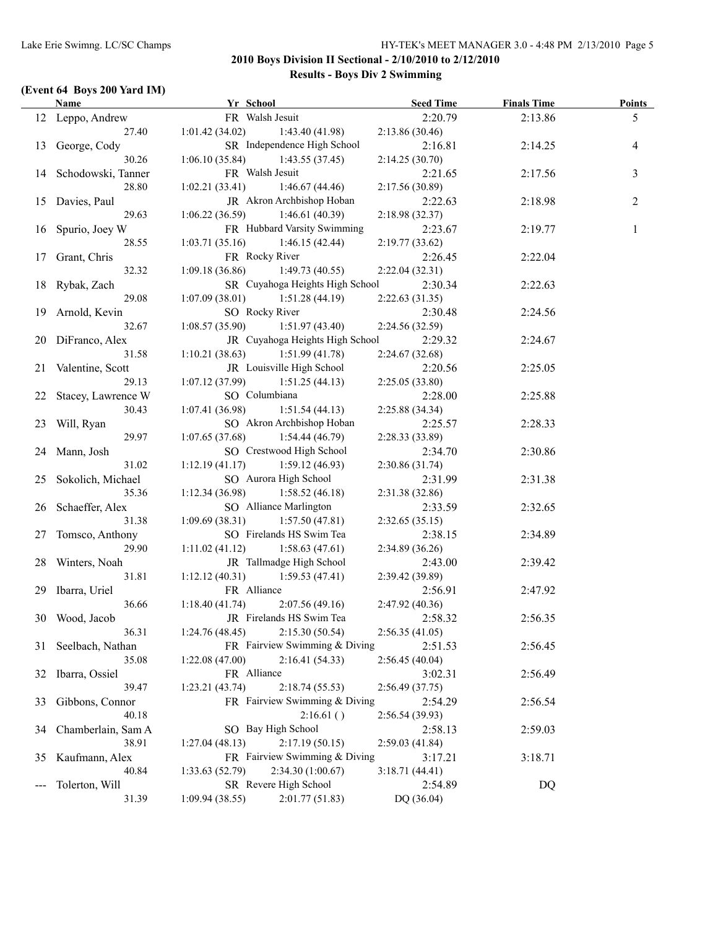# **(Event 64 Boys 200 Yard IM)**

|    | Name                  | Yr School                                                      | <b>Seed Time</b> | <b>Finals Time</b> | <b>Points</b>  |
|----|-----------------------|----------------------------------------------------------------|------------------|--------------------|----------------|
|    | 12 Leppo, Andrew      | FR Walsh Jesuit                                                | 2:20.79          | 2:13.86            | 5              |
|    | 27.40                 | $1:01.42(34.02)$ $1:43.40(41.98)$                              | 2:13.86(30.46)   |                    |                |
|    | 13 George, Cody       | SR Independence High School                                    | 2:16.81          | 2:14.25            | 4              |
|    | 30.26                 | $1:06.10(35.84)$ $1:43.55(37.45)$                              | 2:14.25(30.70)   |                    |                |
|    | 14 Schodowski, Tanner | FR Walsh Jesuit                                                | 2:21.65          | 2:17.56            | 3              |
|    | 28.80                 | 1:46.67(44.46)<br>1:02.21(33.41)                               | 2:17.56(30.89)   |                    |                |
|    | 15 Davies, Paul       | JR Akron Archbishop Hoban                                      | 2:22.63          | 2:18.98            | $\overline{c}$ |
|    | 29.63                 | 1:46.61(40.39)<br>1:06.22(36.59)                               | 2:18.98(32.37)   |                    |                |
|    | 16 Spurio, Joey W     | FR Hubbard Varsity Swimming                                    | 2:23.67          | 2:19.77            | $\mathbf{1}$   |
|    | 28.55                 | 1:03.71(35.16)<br>1:46.15(42.44)                               | 2:19.77(33.62)   |                    |                |
|    | 17 Grant, Chris       | FR Rocky River                                                 | 2:26.45          | 2:22.04            |                |
|    | 32.32                 | 1:09.18(36.86)<br>1:49.73(40.55)                               | 2:22.04(32.31)   |                    |                |
|    | 18 Rybak, Zach        | SR Cuyahoga Heights High School                                | 2:30.34          | 2:22.63            |                |
|    | 29.08                 | $1:07.09(38.01)$ $1:51.28(44.19)$                              | 2:22.63(31.35)   |                    |                |
|    | 19 Arnold, Kevin      | SO Rocky River                                                 | 2:30.48          | 2:24.56            |                |
|    | 32.67                 | 1:08.57(35.90)<br>1:51.97(43.40)                               | 2:24.56(32.59)   |                    |                |
|    | 20 DiFranco, Alex     | JR Cuyahoga Heights High School                                |                  |                    |                |
|    |                       |                                                                | 2:29.32          | 2:24.67            |                |
|    | 31.58                 | $1:10.21(38.63)$ $1:51.99(41.78)$<br>JR Louisville High School | 2:24.67(32.68)   |                    |                |
|    | 21 Valentine, Scott   |                                                                | 2:20.56          | 2:25.05            |                |
|    | 29.13                 | 1:07.12(37.99)<br>1:51.25(44.13)                               | 2:25.05(33.80)   |                    |                |
|    | 22 Stacey, Lawrence W | SO Columbiana                                                  | 2:28.00          | 2:25.88            |                |
|    | 30.43                 | 1:07.41(36.98)<br>1:51.54(44.13)                               | 2:25.88(34.34)   |                    |                |
|    | 23 Will, Ryan         | SO Akron Archbishop Hoban                                      | 2:25.57          | 2:28.33            |                |
|    | 29.97                 | 1:07.65(37.68)<br>1:54.44 (46.79)                              | 2:28.33(33.89)   |                    |                |
|    | 24 Mann, Josh         | SO Crestwood High School                                       | 2:34.70          | 2:30.86            |                |
|    | 31.02                 | 1:12.19(41.17)<br>1:59.12(46.93)                               | 2:30.86(31.74)   |                    |                |
|    | 25 Sokolich, Michael  | SO Aurora High School                                          | 2:31.99          | 2:31.38            |                |
|    | 35.36                 | 1:12.34(36.98)<br>1:58.52(46.18)                               | 2:31.38(32.86)   |                    |                |
|    | 26 Schaeffer, Alex    | SO Alliance Marlington                                         | 2:33.59          | 2:32.65            |                |
|    | 31.38                 | $1:09.69(38.31)$ $1:57.50(47.81)$                              | 2:32.65(35.15)   |                    |                |
| 27 | Tomsco, Anthony       | SO Firelands HS Swim Tea                                       | 2:38.15          | 2:34.89            |                |
|    | 29.90                 | 1:11.02(41.12)<br>1:58.63(47.61)                               | 2:34.89(36.26)   |                    |                |
|    | 28 Winters, Noah      | JR Tallmadge High School                                       | 2:43.00          | 2:39.42            |                |
|    | 31.81                 | 1:12.12 (40.31) 1:59.53 (47.41)                                | 2:39.42(39.89)   |                    |                |
|    | 29 Ibarra, Uriel      | FR Alliance                                                    | 2:56.91          | 2:47.92            |                |
|    | 36.66                 | 1:18.40(41.74)<br>2:07.56(49.16)                               | 2:47.92(40.36)   |                    |                |
|    | 30 Wood, Jacob        | JR Firelands HS Swim Tea                                       | 2:58.32          | 2:56.35            |                |
|    | 36.31                 | 2:15.30(50.54)<br>1:24.76(48.45)                               | 2:56.35(41.05)   |                    |                |
|    | 31 Seelbach, Nathan   | FR Fairview Swimming & Diving                                  | 2:51.53          | 2:56.45            |                |
|    | 35.08                 | 1:22.08(47.00)<br>2:16.41(54.33)                               | 2:56.45 (40.04)  |                    |                |
| 32 | Ibarra, Ossiel        | FR Alliance                                                    | 3:02.31          | 2:56.49            |                |
|    | 39.47                 | 1:23.21(43.74)<br>2:18.74(55.53)                               | 2:56.49(37.75)   |                    |                |
| 33 | Gibbons, Connor       | FR Fairview Swimming & Diving                                  | 2:54.29          | 2:56.54            |                |
|    | 40.18                 | 2:16.61()                                                      | 2:56.54(39.93)   |                    |                |
| 34 | Chamberlain, Sam A    | SO Bay High School                                             | 2:58.13          | 2:59.03            |                |
|    | 38.91                 | 2:17.19(50.15)<br>1:27.04(48.13)                               | 2:59.03 (41.84)  |                    |                |
| 35 | Kaufmann, Alex        | FR Fairview Swimming & Diving                                  | 3:17.21          | 3:18.71            |                |
|    | 40.84                 | 2:34.30 (1:00.67)<br>1:33.63(52.79)                            | 3:18.71 (44.41)  |                    |                |
|    | Tolerton, Will        | SR Revere High School                                          | 2:54.89          | <b>DQ</b>          |                |
|    | 31.39                 | 2:01.77(51.83)<br>1:09.94(38.55)                               | DQ (36.04)       |                    |                |
|    |                       |                                                                |                  |                    |                |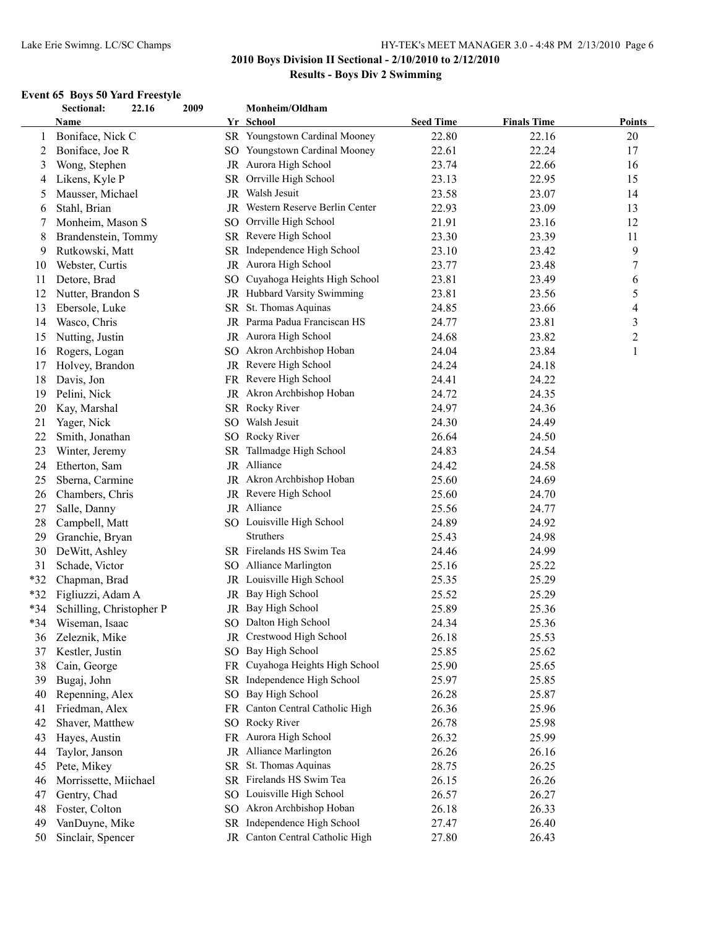# **Event 65 Boys 50 Yard Freestyle**<br>Sectional: 22.16 2009

|         | Sectional:<br>22.16      | 2009 | Monheim/Oldham                   |                  |                    |                |
|---------|--------------------------|------|----------------------------------|------------------|--------------------|----------------|
|         | Name                     |      | Yr School                        | <b>Seed Time</b> | <b>Finals Time</b> | <b>Points</b>  |
| $\perp$ | Boniface, Nick C         |      | SR Youngstown Cardinal Mooney    | 22.80            | 22.16              | 20             |
| 2       | Boniface, Joe R          |      | SO Youngstown Cardinal Mooney    | 22.61            | 22.24              | 17             |
| 3       | Wong, Stephen            |      | JR Aurora High School            | 23.74            | 22.66              | 16             |
| 4       | Likens, Kyle P           |      | SR Orrville High School          | 23.13            | 22.95              | 15             |
| 5       | Mausser, Michael         |      | JR Walsh Jesuit                  | 23.58            | 23.07              | 14             |
| 6       | Stahl, Brian             |      | JR Western Reserve Berlin Center | 22.93            | 23.09              | 13             |
| 7       | Monheim, Mason S         |      | SO Orrville High School          | 21.91            | 23.16              | 12             |
| 8       | Brandenstein, Tommy      |      | SR Revere High School            | 23.30            | 23.39              | 11             |
| 9       | Rutkowski, Matt          |      | SR Independence High School      | 23.10            | 23.42              | 9              |
| 10      | Webster, Curtis          |      | JR Aurora High School            | 23.77            | 23.48              | 7              |
| 11      | Detore, Brad             |      | SO Cuyahoga Heights High School  | 23.81            | 23.49              | 6              |
| 12      | Nutter, Brandon S        |      | JR Hubbard Varsity Swimming      | 23.81            | 23.56              | 5              |
| 13      | Ebersole, Luke           |      | SR St. Thomas Aquinas            | 24.85            | 23.66              | 4              |
| 14      | Wasco, Chris             |      | JR Parma Padua Franciscan HS     | 24.77            | 23.81              | $\mathfrak{Z}$ |
| 15      | Nutting, Justin          |      | JR Aurora High School            | 24.68            | 23.82              | $\overline{c}$ |
| 16      | Rogers, Logan            |      | SO Akron Archbishop Hoban        | 24.04            | 23.84              | $\,1$          |
| 17      | Holvey, Brandon          |      | JR Revere High School            | 24.24            | 24.18              |                |
| 18      | Davis, Jon               |      | FR Revere High School            | 24.41            | 24.22              |                |
| 19      | Pelini, Nick             |      | JR Akron Archbishop Hoban        | 24.72            | 24.35              |                |
| 20      | Kay, Marshal             |      | SR Rocky River                   | 24.97            | 24.36              |                |
| 21      | Yager, Nick              |      | SO Walsh Jesuit                  | 24.30            | 24.49              |                |
| 22      | Smith, Jonathan          |      | SO Rocky River                   | 26.64            | 24.50              |                |
| 23      | Winter, Jeremy           |      | SR Tallmadge High School         | 24.83            | 24.54              |                |
| 24      | Etherton, Sam            |      | JR Alliance                      | 24.42            | 24.58              |                |
| 25      | Sberna, Carmine          |      | JR Akron Archbishop Hoban        | 25.60            | 24.69              |                |
| 26      | Chambers, Chris          |      | JR Revere High School            | 25.60            | 24.70              |                |
| 27      | Salle, Danny             |      | JR Alliance                      | 25.56            | 24.77              |                |
| 28      | Campbell, Matt           |      | SO Louisville High School        | 24.89            | 24.92              |                |
| 29      | Granchie, Bryan          |      | <b>Struthers</b>                 | 25.43            | 24.98              |                |
| 30      | DeWitt, Ashley           |      | SR Firelands HS Swim Tea         | 24.46            | 24.99              |                |
| 31      | Schade, Victor           |      | SO Alliance Marlington           | 25.16            | 25.22              |                |
| *32     | Chapman, Brad            |      | JR Louisville High School        | 25.35            | 25.29              |                |
| *32     | Figliuzzi, Adam A        |      | JR Bay High School               | 25.52            | 25.29              |                |
| *34     | Schilling, Christopher P |      | JR Bay High School               | 25.89            | 25.36              |                |
| $*34$   | Wiseman, Isaac           |      | SO Dalton High School            | 24.34            | 25.36              |                |
| 36      | Zeleznik, Mike           |      | JR Crestwood High School         | 26.18            | 25.53              |                |
| 37      | Kestler, Justin          |      | SO Bay High School               | 25.85            | 25.62              |                |
| 38      | Cain, George             | FR   | Cuyahoga Heights High School     | 25.90            | 25.65              |                |
| 39      | Bugaj, John              |      | SR Independence High School      | 25.97            | 25.85              |                |
| 40      | Repenning, Alex          |      | SO Bay High School               | 26.28            | 25.87              |                |
| 41      | Friedman, Alex           |      | FR Canton Central Catholic High  | 26.36            | 25.96              |                |
| 42      | Shaver, Matthew          |      | SO Rocky River                   | 26.78            | 25.98              |                |
| 43      | Hayes, Austin            |      | FR Aurora High School            | 26.32            | 25.99              |                |
| 44      | Taylor, Janson           |      | JR Alliance Marlington           | 26.26            | 26.16              |                |
| 45      | Pete, Mikey              |      | SR St. Thomas Aquinas            | 28.75            | 26.25              |                |
| 46      | Morrissette, Miichael    |      | SR Firelands HS Swim Tea         | 26.15            | 26.26              |                |
| 47      | Gentry, Chad             |      | SO Louisville High School        | 26.57            | 26.27              |                |
| 48      | Foster, Colton           |      | SO Akron Archbishop Hoban        | 26.18            | 26.33              |                |
| 49      | VanDuyne, Mike           |      | SR Independence High School      | 27.47            | 26.40              |                |
| 50      | Sinclair, Spencer        |      | JR Canton Central Catholic High  | 27.80            | 26.43              |                |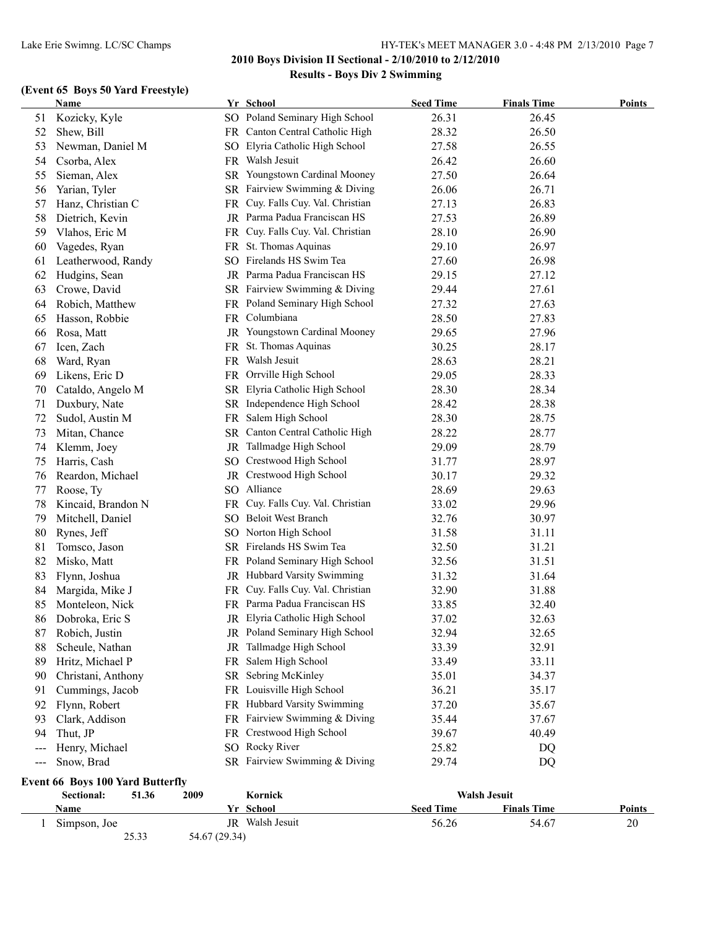# **(Event 65 Boys 50 Yard Freestyle)**

|     | Name               |     | Yr School                         | <b>Seed Time</b> | <b>Finals Time</b> | <b>Points</b> |
|-----|--------------------|-----|-----------------------------------|------------------|--------------------|---------------|
| 51  | Kozicky, Kyle      |     | SO Poland Seminary High School    | 26.31            | 26.45              |               |
| 52  | Shew, Bill         |     | FR Canton Central Catholic High   | 28.32            | 26.50              |               |
| 53  | Newman, Daniel M   |     | SO Elyria Catholic High School    | 27.58            | 26.55              |               |
| 54  | Csorba, Alex       |     | FR Walsh Jesuit                   | 26.42            | 26.60              |               |
| 55  | Sieman, Alex       |     | SR Youngstown Cardinal Mooney     | 27.50            | 26.64              |               |
| 56  | Yarian, Tyler      |     | SR Fairview Swimming & Diving     | 26.06            | 26.71              |               |
| 57  | Hanz, Christian C  |     | FR Cuy. Falls Cuy. Val. Christian | 27.13            | 26.83              |               |
| 58  | Dietrich, Kevin    |     | JR Parma Padua Franciscan HS      | 27.53            | 26.89              |               |
| 59  | Vlahos, Eric M     |     | FR Cuy. Falls Cuy. Val. Christian | 28.10            | 26.90              |               |
| 60  | Vagedes, Ryan      |     | FR St. Thomas Aquinas             | 29.10            | 26.97              |               |
| 61  | Leatherwood, Randy |     | SO Firelands HS Swim Tea          | 27.60            | 26.98              |               |
| 62  | Hudgins, Sean      |     | JR Parma Padua Franciscan HS      | 29.15            | 27.12              |               |
| 63  | Crowe, David       |     | SR Fairview Swimming & Diving     | 29.44            | 27.61              |               |
| 64  | Robich, Matthew    |     | FR Poland Seminary High School    | 27.32            | 27.63              |               |
| 65  | Hasson, Robbie     |     | FR Columbiana                     | 28.50            | 27.83              |               |
| 66  | Rosa, Matt         |     | JR Youngstown Cardinal Mooney     | 29.65            | 27.96              |               |
| 67  | Icen, Zach         |     | FR St. Thomas Aquinas             | 30.25            | 28.17              |               |
| 68  | Ward, Ryan         |     | FR Walsh Jesuit                   | 28.63            | 28.21              |               |
| 69  | Likens, Eric D     |     | FR Orrville High School           | 29.05            | 28.33              |               |
| 70  | Cataldo, Angelo M  |     | SR Elyria Catholic High School    | 28.30            | 28.34              |               |
| 71  | Duxbury, Nate      |     | SR Independence High School       | 28.42            | 28.38              |               |
| 72  | Sudol, Austin M    | FR. | Salem High School                 | 28.30            | 28.75              |               |
| 73  | Mitan, Chance      | SR  | Canton Central Catholic High      | 28.22            | 28.77              |               |
| 74  | Klemm, Joey        |     | JR Tallmadge High School          | 29.09            | 28.79              |               |
| 75  | Harris, Cash       |     | SO Crestwood High School          | 31.77            | 28.97              |               |
| 76  | Reardon, Michael   |     | JR Crestwood High School          | 30.17            | 29.32              |               |
| 77  | Roose, Ty          |     | SO Alliance                       | 28.69            | 29.63              |               |
| 78  | Kincaid, Brandon N | FR  | Cuy. Falls Cuy. Val. Christian    | 33.02            | 29.96              |               |
| 79  | Mitchell, Daniel   |     | SO Beloit West Branch             | 32.76            | 30.97              |               |
| 80  | Rynes, Jeff        |     | SO Norton High School             | 31.58            | 31.11              |               |
| 81  | Tomsco, Jason      |     | SR Firelands HS Swim Tea          | 32.50            | 31.21              |               |
| 82  | Misko, Matt        |     | FR Poland Seminary High School    | 32.56            | 31.51              |               |
| 83  | Flynn, Joshua      |     | JR Hubbard Varsity Swimming       | 31.32            | 31.64              |               |
| 84  | Margida, Mike J    |     | FR Cuy. Falls Cuy. Val. Christian | 32.90            | 31.88              |               |
| 85  | Monteleon, Nick    |     | FR Parma Padua Franciscan HS      | 33.85            | 32.40              |               |
| 86  | Dobroka, Eric S    |     | JR Elyria Catholic High School    | 37.02            | 32.63              |               |
| 87  | Robich, Justin     |     | JR Poland Seminary High School    | 32.94            | 32.65              |               |
| 88  | Scheule, Nathan    |     | JR Tallmadge High School          | 33.39            | 32.91              |               |
| 89  | Hritz, Michael P   |     | FR Salem High School              | 33.49            | 33.11              |               |
| 90  | Christani, Anthony |     | SR Sebring McKinley               | 35.01            | 34.37              |               |
| 91  | Cummings, Jacob    |     | FR Louisville High School         | 36.21            | 35.17              |               |
| 92  | Flynn, Robert      |     | FR Hubbard Varsity Swimming       | 37.20            | 35.67              |               |
| 93  | Clark, Addison     |     | FR Fairview Swimming & Diving     | 35.44            | 37.67              |               |
| 94  | Thut, JP           |     | FR Crestwood High School          | 39.67            | 40.49              |               |
| --- | Henry, Michael     |     | SO Rocky River                    | 25.82            | DQ                 |               |
| --- | Snow, Brad         |     | SR Fairview Swimming & Diving     | 29.74            | DQ                 |               |

#### **Event 66 Boys 100 Yard Butterfly**

| Sectional:   | 51.36 | 2009          | Kornick      |                  | <b>Walsh Jesuit</b> |               |
|--------------|-------|---------------|--------------|------------------|---------------------|---------------|
| Name         |       | V r           | School       | <b>Seed Time</b> | <b>Finals Time</b>  | <b>Points</b> |
| Simpson, Joe |       | JR.           | Walsh Jesuit | 56.26            | 54.67               | 20            |
|              | 25.33 | 54.67 (29.34) |              |                  |                     |               |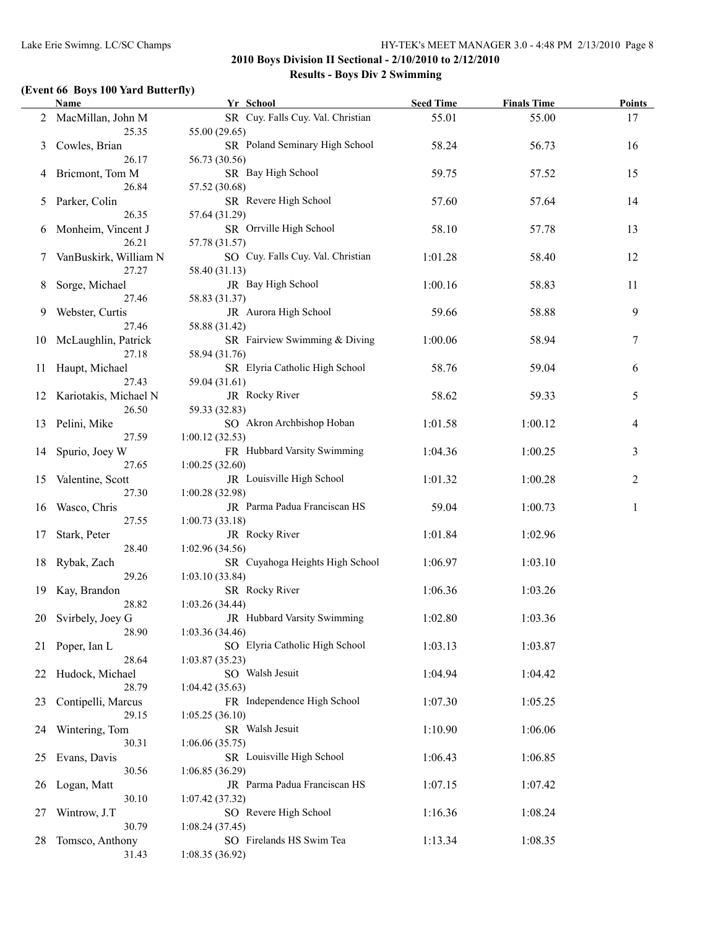#### **(Event 66 Boys 100 Yard Butterfly)**

|    | Name                           | Yr School                                          | <b>Seed Time</b> | <b>Finals Time</b> | <b>Points</b> |
|----|--------------------------------|----------------------------------------------------|------------------|--------------------|---------------|
| 2  | MacMillan, John M<br>25.35     | SR Cuy. Falls Cuy. Val. Christian<br>55.00 (29.65) | 55.01            | 55.00              | 17            |
| 3  | Cowles, Brian<br>26.17         | SR Poland Seminary High School<br>56.73 (30.56)    | 58.24            | 56.73              | 16            |
| 4  | Bricmont, Tom M                | SR Bay High School                                 | 59.75            | 57.52              | 15            |
| 5  | 26.84<br>Parker, Colin         | 57.52 (30.68)<br>SR Revere High School             | 57.60            | 57.64              | 14            |
| 6  | 26.35<br>Monheim, Vincent J    | 57.64 (31.29)<br>SR Orrville High School           | 58.10            | 57.78              | 13            |
| 7  | 26.21<br>VanBuskirk, William N | 57.78 (31.57)<br>SO Cuy. Falls Cuy. Val. Christian | 1:01.28          | 58.40              | 12            |
| 8  | 27.27<br>Sorge, Michael        | 58.40 (31.13)<br>JR Bay High School                | 1:00.16          | 58.83              | 11            |
| 9  | 27.46<br>Webster, Curtis       | 58.83 (31.37)<br>JR Aurora High School             | 59.66            | 58.88              | 9             |
| 10 | 27.46<br>McLaughlin, Patrick   | 58.88 (31.42)<br>SR Fairview Swimming & Diving     | 1:00.06          | 58.94              | 7             |
| 11 | 27.18<br>Haupt, Michael        | 58.94 (31.76)<br>SR Elyria Catholic High School    | 58.76            | 59.04              | 6             |
| 12 | 27.43<br>Kariotakis, Michael N | 59.04 (31.61)<br>JR Rocky River                    | 58.62            | 59.33              | 5             |
| 13 | 26.50<br>Pelini, Mike          | 59.33 (32.83)<br>SO Akron Archbishop Hoban         | 1:01.58          | 1:00.12            | 4             |
| 14 | 27.59<br>Spurio, Joey W        | 1:00.12(32.53)<br>FR Hubbard Varsity Swimming      | 1:04.36          | 1:00.25            | 3             |
| 15 | 27.65<br>Valentine, Scott      | 1:00.25(32.60)<br>JR Louisville High School        | 1:01.32          | 1:00.28            | 2             |
| 16 | 27.30<br>Wasco, Chris          | 1:00.28(32.98)<br>JR Parma Padua Franciscan HS     | 59.04            | 1:00.73            | 1             |
| 17 | 27.55<br>Stark, Peter          | 1:00.73(33.18)<br>JR Rocky River                   | 1:01.84          | 1:02.96            |               |
| 18 | 28.40<br>Rybak, Zach           | 1:02.96(34.56)<br>SR Cuyahoga Heights High School  | 1:06.97          | 1:03.10            |               |
| 19 | 29.26<br>Kay, Brandon          | 1:03.10(33.84)<br>SR Rocky River                   | 1:06.36          | 1:03.26            |               |
|    | 28.82<br>20 Svirbely, Joey G   | 1:03.26(34.44)<br>JR Hubbard Varsity Swimming      | 1:02.80          | 1:03.36            |               |
| 21 | 28.90<br>Poper, Ian L          | 1:03.36(34.46)<br>SO Elyria Catholic High School   | 1:03.13          | 1:03.87            |               |
| 22 | 28.64<br>Hudock, Michael       | 1:03.87(35.23)<br>SO Walsh Jesuit                  | 1:04.94          | 1:04.42            |               |
| 23 | 28.79<br>Contipelli, Marcus    | 1:04.42(35.63)<br>FR Independence High School      | 1:07.30          | 1:05.25            |               |
| 24 | 29.15<br>Wintering, Tom        | 1:05.25(36.10)<br>SR Walsh Jesuit                  | 1:10.90          | 1:06.06            |               |
| 25 | 30.31<br>Evans, Davis          | 1:06.06(35.75)<br>SR Louisville High School        | 1:06.43          | 1:06.85            |               |
| 26 | 30.56<br>Logan, Matt           | 1:06.85(36.29)<br>JR Parma Padua Franciscan HS     | 1:07.15          | 1:07.42            |               |
| 27 | 30.10<br>Wintrow, J.T          | 1:07.42(37.32)<br>SO Revere High School            | 1:16.36          | 1:08.24            |               |
|    | 30.79                          | 1:08.24(37.45)                                     |                  |                    |               |
| 28 | Tomsco, Anthony<br>31.43       | SO Firelands HS Swim Tea<br>1:08.35(36.92)         | 1:13.34          | 1:08.35            |               |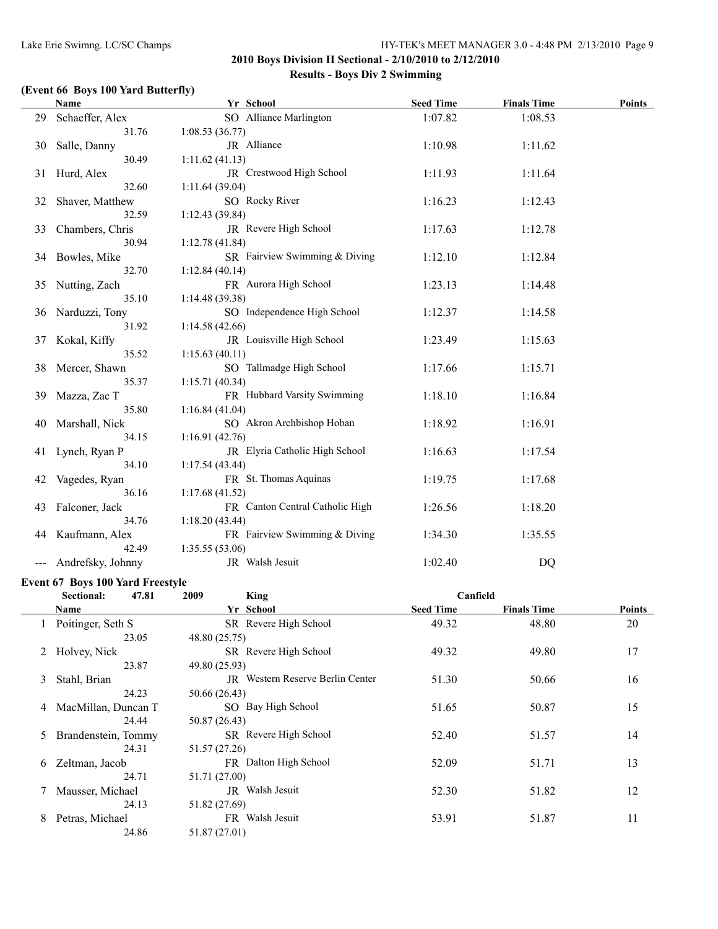#### **(Event 66 Boys 100 Yard Butterfly)**

|    | <b>Name</b>       | Yr School                       | <b>Seed Time</b> | <b>Finals Time</b> | Points |
|----|-------------------|---------------------------------|------------------|--------------------|--------|
| 29 | Schaeffer, Alex   | SO Alliance Marlington          | 1:07.82          | 1:08.53            |        |
|    | 31.76             | 1:08.53(36.77)                  |                  |                    |        |
| 30 | Salle, Danny      | JR Alliance                     | 1:10.98          | 1:11.62            |        |
|    | 30.49             | 1:11.62(41.13)                  |                  |                    |        |
| 31 | Hurd, Alex        | JR Crestwood High School        | 1:11.93          | 1:11.64            |        |
|    | 32.60             | 1:11.64(39.04)                  |                  |                    |        |
| 32 | Shaver, Matthew   | SO Rocky River                  | 1:16.23          | 1:12.43            |        |
|    | 32.59             | 1:12.43(39.84)                  |                  |                    |        |
| 33 | Chambers, Chris   | JR Revere High School           | 1:17.63          | 1:12.78            |        |
|    | 30.94             | 1:12.78(41.84)                  |                  |                    |        |
|    | 34 Bowles, Mike   | SR Fairview Swimming & Diving   | 1:12.10          | 1:12.84            |        |
|    | 32.70             | 1:12.84(40.14)                  |                  |                    |        |
| 35 | Nutting, Zach     | FR Aurora High School           | 1:23.13          | 1:14.48            |        |
|    | 35.10             | 1:14.48(39.38)                  |                  |                    |        |
| 36 | Narduzzi, Tony    | SO Independence High School     | 1:12.37          | 1:14.58            |        |
|    | 31.92             | 1:14.58(42.66)                  |                  |                    |        |
| 37 | Kokal, Kiffy      | JR Louisville High School       | 1:23.49          | 1:15.63            |        |
|    | 35.52             | 1:15.63(40.11)                  |                  |                    |        |
|    | 38 Mercer, Shawn  | SO Tallmadge High School        | 1:17.66          | 1:15.71            |        |
|    | 35.37             | 1:15.71(40.34)                  |                  |                    |        |
| 39 | Mazza, Zac T      | FR Hubbard Varsity Swimming     | 1:18.10          | 1:16.84            |        |
|    | 35.80             | 1:16.84(41.04)                  |                  |                    |        |
| 40 | Marshall, Nick    | SO Akron Archbishop Hoban       | 1:18.92          | 1:16.91            |        |
|    | 34.15             | 1:16.91(42.76)                  |                  |                    |        |
| 41 | Lynch, Ryan P     | JR Elyria Catholic High School  | 1:16.63          | 1:17.54            |        |
|    | 34.10             | 1:17.54(43.44)                  |                  |                    |        |
| 42 | Vagedes, Ryan     | FR St. Thomas Aquinas           | 1:19.75          | 1:17.68            |        |
|    | 36.16             | 1:17.68(41.52)                  |                  |                    |        |
| 43 | Falconer, Jack    | FR Canton Central Catholic High | 1:26.56          | 1:18.20            |        |
|    | 34.76             | 1:18.20(43.44)                  |                  |                    |        |
|    | 44 Kaufmann, Alex | FR Fairview Swimming & Diving   | 1:34.30          | 1:35.55            |        |
|    | 42.49             | 1:35.55(53.06)                  |                  |                    |        |
|    | Andrefsky, Johnny | JR Walsh Jesuit                 | 1:02.40          | DQ                 |        |
|    |                   |                                 |                  |                    |        |

#### **Event 67 Boys 100 Yard Freestyle**

|   | Sectional:<br>47.81   | 2009          | King                                    | Canfield         |                    |        |
|---|-----------------------|---------------|-----------------------------------------|------------------|--------------------|--------|
|   | Name                  |               | Yr School                               | <b>Seed Time</b> | <b>Finals Time</b> | Points |
|   | Poitinger, Seth S     |               | SR Revere High School                   | 49.32            | 48.80              | 20     |
|   | 23.05                 | 48.80 (25.75) |                                         |                  |                    |        |
|   | 2 Holvey, Nick        |               | SR Revere High School                   | 49.32            | 49.80              | 17     |
|   | 23.87                 | 49.80 (25.93) |                                         |                  |                    |        |
| 3 | Stahl, Brian          |               | <b>IR</b> Western Reserve Berlin Center | 51.30            | 50.66              | 16     |
|   | 24.23                 | 50.66 (26.43) |                                         |                  |                    |        |
| 4 | MacMillan, Duncan T   |               | SO Bay High School                      | 51.65            | 50.87              | 15     |
|   | 24.44                 | 50.87 (26.43) |                                         |                  |                    |        |
|   | 5 Brandenstein, Tommy |               | SR Revere High School                   | 52.40            | 51.57              | 14     |
|   | 24.31                 | 51.57 (27.26) |                                         |                  |                    |        |
| 6 | Zeltman, Jacob        |               | FR Dalton High School                   | 52.09            | 51.71              | 13     |
|   | 24.71                 | 51.71 (27.00) |                                         |                  |                    |        |
|   | Mausser, Michael      |               | JR Walsh Jesuit                         | 52.30            | 51.82              | 12     |
|   | 24.13                 | 51.82 (27.69) |                                         |                  |                    |        |
| 8 | Petras, Michael       |               | FR Walsh Jesuit                         | 53.91            | 51.87              | 11     |
|   | 24.86                 | 51.87 (27.01) |                                         |                  |                    |        |
|   |                       |               |                                         |                  |                    |        |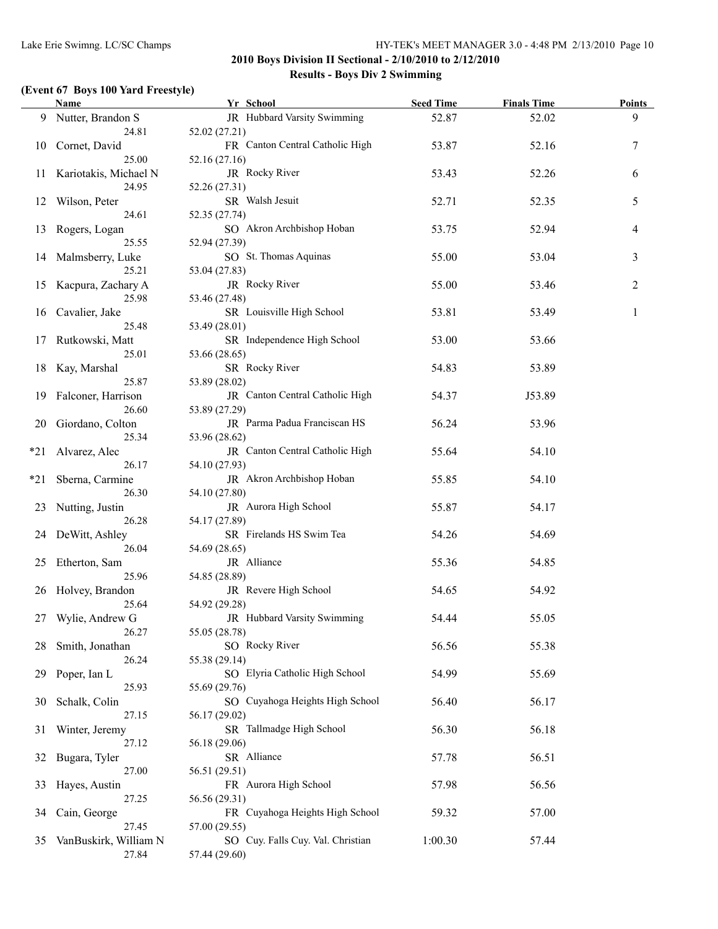# **(Event 67 Boys 100 Yard Freestyle)**

|       | <b>Name</b>                       | Yr School                                          | <b>Seed Time</b> | <b>Finals Time</b> | Points |
|-------|-----------------------------------|----------------------------------------------------|------------------|--------------------|--------|
|       | 9 Nutter, Brandon S<br>24.81      | JR Hubbard Varsity Swimming<br>52.02 (27.21)       | 52.87            | 52.02              | 9      |
| 10    | Cornet, David<br>25.00            | FR Canton Central Catholic High<br>52.16 (27.16)   | 53.87            | 52.16              | 7      |
|       | 11 Kariotakis, Michael N<br>24.95 | JR Rocky River<br>52.26 (27.31)                    | 53.43            | 52.26              | 6      |
|       | 12 Wilson, Peter<br>24.61         | SR Walsh Jesuit<br>52.35 (27.74)                   | 52.71            | 52.35              | 5      |
| 13    | Rogers, Logan<br>25.55            | SO Akron Archbishop Hoban<br>52.94 (27.39)         | 53.75            | 52.94              | 4      |
|       | 14 Malmsberry, Luke<br>25.21      | SO St. Thomas Aquinas<br>53.04 (27.83)             | 55.00            | 53.04              | 3      |
|       | 15 Kacpura, Zachary A<br>25.98    | JR Rocky River<br>53.46 (27.48)                    | 55.00            | 53.46              | 2      |
|       | 16 Cavalier, Jake<br>25.48        | SR Louisville High School<br>53.49 (28.01)         | 53.81            | 53.49              | 1      |
| 17    | Rutkowski, Matt<br>25.01          | SR Independence High School<br>53.66 (28.65)       | 53.00            | 53.66              |        |
|       | 18 Kay, Marshal<br>25.87          | SR Rocky River<br>53.89 (28.02)                    | 54.83            | 53.89              |        |
|       | 19 Falconer, Harrison<br>26.60    | JR Canton Central Catholic High<br>53.89 (27.29)   | 54.37            | J53.89             |        |
|       | 20 Giordano, Colton<br>25.34      | JR Parma Padua Franciscan HS<br>53.96 (28.62)      | 56.24            | 53.96              |        |
| $*21$ | Alvarez, Alec<br>26.17            | JR Canton Central Catholic High<br>54.10 (27.93)   | 55.64            | 54.10              |        |
| $*21$ | Sberna, Carmine<br>26.30          | JR Akron Archbishop Hoban<br>54.10 (27.80)         | 55.85            | 54.10              |        |
|       | 23 Nutting, Justin<br>26.28       | JR Aurora High School<br>54.17 (27.89)             | 55.87            | 54.17              |        |
|       | 24 DeWitt, Ashley<br>26.04        | SR Firelands HS Swim Tea<br>54.69 (28.65)          | 54.26            | 54.69              |        |
|       | 25 Etherton, Sam<br>25.96         | JR Alliance<br>54.85 (28.89)                       | 55.36            | 54.85              |        |
|       | 26 Holvey, Brandon<br>25.64       | JR Revere High School<br>54.92 (29.28)             | 54.65            | 54.92              |        |
| 27    | Wylie, Andrew G<br>26.27          | JR Hubbard Varsity Swimming<br>55.05 (28.78)       | 54.44            | 55.05              |        |
| 28    | Smith, Jonathan<br>26.24          | SO Rocky River<br>55.38 (29.14)                    | 56.56            | 55.38              |        |
| 29    | Poper, Ian L<br>25.93             | SO Elyria Catholic High School<br>55.69 (29.76)    | 54.99            | 55.69              |        |
| 30    | Schalk, Colin<br>27.15            | SO Cuyahoga Heights High School<br>56.17 (29.02)   | 56.40            | 56.17              |        |
| 31    | Winter, Jeremy<br>27.12           | SR Tallmadge High School<br>56.18 (29.06)          | 56.30            | 56.18              |        |
| 32    | Bugara, Tyler<br>27.00            | SR Alliance<br>56.51 (29.51)                       | 57.78            | 56.51              |        |
| 33    | Hayes, Austin<br>27.25            | FR Aurora High School<br>56.56 (29.31)             | 57.98            | 56.56              |        |
| 34    | Cain, George<br>27.45             | FR Cuyahoga Heights High School<br>57.00 (29.55)   | 59.32            | 57.00              |        |
| 35    | VanBuskirk, William N<br>27.84    | SO Cuy. Falls Cuy. Val. Christian<br>57.44 (29.60) | 1:00.30          | 57.44              |        |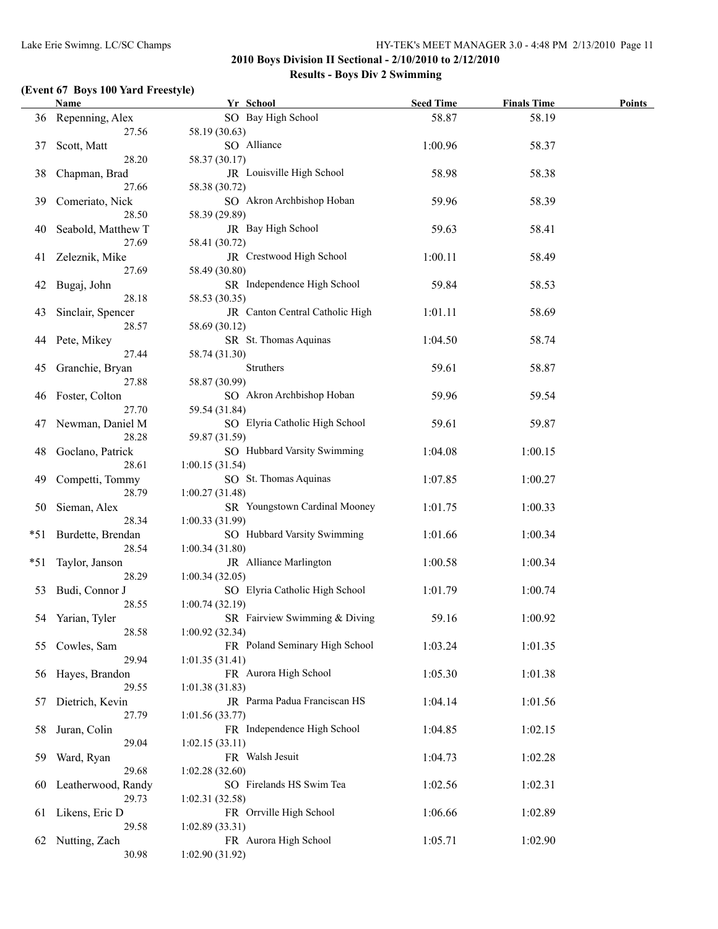# **(Event 67 Boys 100 Yard Freestyle)**

|       | Name               | Yr School                               | <b>Seed Time</b> | <b>Finals Time</b> | <b>Points</b> |
|-------|--------------------|-----------------------------------------|------------------|--------------------|---------------|
|       | 36 Repenning, Alex | SO Bay High School                      | 58.87            | 58.19              |               |
|       | 27.56              | 58.19 (30.63)                           |                  |                    |               |
| 37    | Scott, Matt        | SO Alliance                             | 1:00.96          | 58.37              |               |
|       | 28.20              | 58.37 (30.17)                           |                  |                    |               |
| 38    | Chapman, Brad      | JR Louisville High School               | 58.98            | 58.38              |               |
|       | 27.66              | 58.38 (30.72)                           |                  |                    |               |
| 39    | Comeriato, Nick    | SO Akron Archbishop Hoban               | 59.96            | 58.39              |               |
|       | 28.50              | 58.39 (29.89)                           |                  |                    |               |
| 40    | Seabold, Matthew T | JR Bay High School                      | 59.63            | 58.41              |               |
|       | 27.69              | 58.41 (30.72)                           |                  |                    |               |
| 41    | Zeleznik, Mike     | JR Crestwood High School                | 1:00.11          | 58.49              |               |
|       | 27.69              | 58.49 (30.80)                           |                  |                    |               |
| 42    | Bugaj, John        | SR Independence High School             | 59.84            | 58.53              |               |
|       | 28.18              | 58.53 (30.35)                           |                  |                    |               |
| 43    | Sinclair, Spencer  | JR Canton Central Catholic High         | 1:01.11          | 58.69              |               |
|       | 28.57              | 58.69 (30.12)                           |                  |                    |               |
|       |                    | SR St. Thomas Aquinas                   | 1:04.50          | 58.74              |               |
| 44    | Pete, Mikey        |                                         |                  |                    |               |
|       | 27.44              | 58.74 (31.30)<br>Struthers              |                  |                    |               |
| 45    | Granchie, Bryan    |                                         | 59.61            | 58.87              |               |
|       | 27.88              | 58.87 (30.99)                           |                  |                    |               |
| 46    | Foster, Colton     | SO Akron Archbishop Hoban               | 59.96            | 59.54              |               |
|       | 27.70              | 59.54 (31.84)                           |                  |                    |               |
| 47    | Newman, Daniel M   | SO Elyria Catholic High School          | 59.61            | 59.87              |               |
|       | 28.28              | 59.87 (31.59)                           |                  |                    |               |
| 48    | Goclano, Patrick   | SO Hubbard Varsity Swimming             | 1:04.08          | 1:00.15            |               |
|       | 28.61              | 1:00.15(31.54)                          |                  |                    |               |
| 49    | Competti, Tommy    | SO St. Thomas Aquinas                   | 1:07.85          | 1:00.27            |               |
|       | 28.79              | 1:00.27(31.48)                          |                  |                    |               |
| 50    | Sieman, Alex       | SR Youngstown Cardinal Mooney           | 1:01.75          | 1:00.33            |               |
|       | 28.34              | 1:00.33(31.99)                          |                  |                    |               |
| *51   | Burdette, Brendan  | SO Hubbard Varsity Swimming             | 1:01.66          | 1:00.34            |               |
|       | 28.54              | 1:00.34(31.80)                          |                  |                    |               |
| $*51$ | Taylor, Janson     | JR Alliance Marlington                  | 1:00.58          | 1:00.34            |               |
|       | 28.29              | 1:00.34(32.05)                          |                  |                    |               |
| 53    | Budi, Connor J     | SO Elyria Catholic High School          | 1:01.79          | 1:00.74            |               |
|       | 28.55              | 1:00.74(32.19)                          |                  |                    |               |
|       | 54 Yarian, Tyler   | SR Fairview Swimming & Diving           | 59.16            | 1:00.92            |               |
|       | 28.58              | 1:00.92(32.34)                          |                  |                    |               |
| 55    | Cowles, Sam        | FR Poland Seminary High School          | 1:03.24          | 1:01.35            |               |
|       | 29.94              | 1:01.35(31.41)                          |                  |                    |               |
| 56    | Hayes, Brandon     | FR Aurora High School                   | 1:05.30          | 1:01.38            |               |
|       | 29.55              | 1:01.38(31.83)                          |                  |                    |               |
| 57    | Dietrich, Kevin    | JR Parma Padua Franciscan HS            | 1:04.14          | 1:01.56            |               |
|       | 27.79              | 1:01.56(33.77)                          |                  |                    |               |
| 58    | Juran, Colin       | FR Independence High School             | 1:04.85          | 1:02.15            |               |
|       | 29.04              | 1:02.15(33.11)                          |                  |                    |               |
| 59    | Ward, Ryan         | FR Walsh Jesuit                         | 1:04.73          | 1:02.28            |               |
|       | 29.68              | 1:02.28(32.60)                          |                  |                    |               |
| 60    | Leatherwood, Randy | SO Firelands HS Swim Tea                | 1:02.56          | 1:02.31            |               |
|       | 29.73              | 1:02.31(32.58)                          |                  |                    |               |
|       |                    | FR Orrville High School                 | 1:06.66          | 1:02.89            |               |
| 61    | Likens, Eric D     |                                         |                  |                    |               |
|       | 29.58              | 1:02.89(33.31)<br>FR Aurora High School |                  |                    |               |
| 62    | Nutting, Zach      |                                         | 1:05.71          | 1:02.90            |               |
|       | 30.98              | 1:02.90(31.92)                          |                  |                    |               |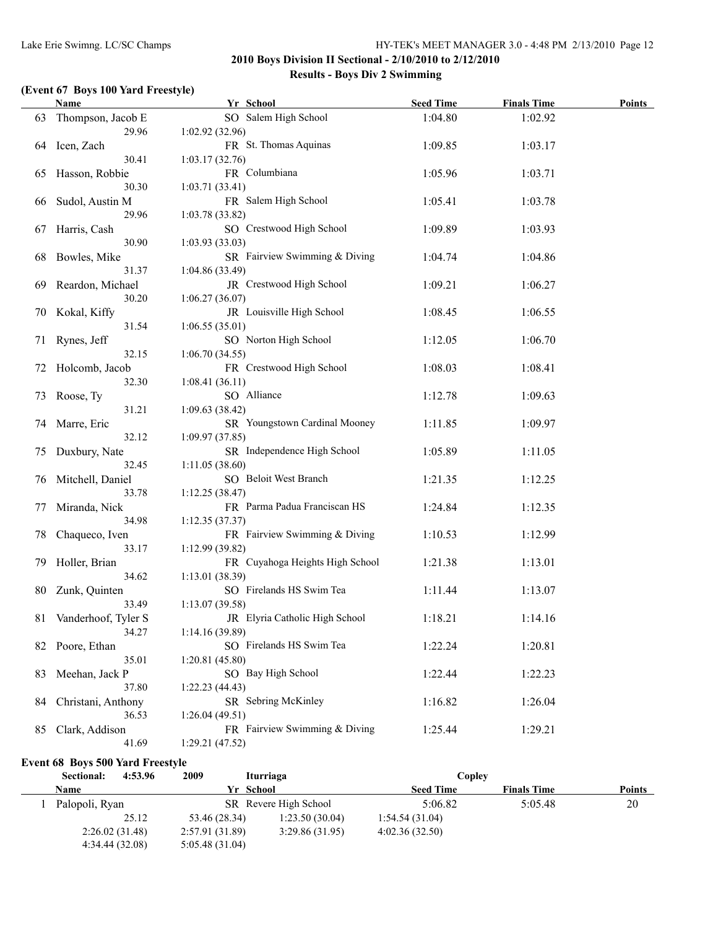#### **(Event 67 Boys 100 Yard Freestyle)**

|    | Name                   | Yr School                       | <b>Seed Time</b> | <b>Finals Time</b> | <b>Points</b> |
|----|------------------------|---------------------------------|------------------|--------------------|---------------|
| 63 | Thompson, Jacob E      | SO Salem High School            | 1:04.80          | 1:02.92            |               |
|    | 29.96                  | 1:02.92(32.96)                  |                  |                    |               |
| 64 | Icen, Zach             | FR St. Thomas Aquinas           | 1:09.85          | 1:03.17            |               |
|    | 30.41                  | 1:03.17(32.76)                  |                  |                    |               |
| 65 | Hasson, Robbie         | FR Columbiana                   | 1:05.96          | 1:03.71            |               |
|    | 30.30                  | 1:03.71(33.41)                  |                  |                    |               |
| 66 | Sudol, Austin M        | FR Salem High School            | 1:05.41          | 1:03.78            |               |
|    | 29.96                  | 1:03.78(33.82)                  |                  |                    |               |
| 67 | Harris, Cash           | SO Crestwood High School        | 1:09.89          | 1:03.93            |               |
|    | 30.90                  | 1:03.93(33.03)                  |                  |                    |               |
|    | 68 Bowles, Mike        | SR Fairview Swimming & Diving   | 1:04.74          | 1:04.86            |               |
|    | 31.37                  | 1:04.86(33.49)                  |                  |                    |               |
| 69 | Reardon, Michael       | JR Crestwood High School        | 1:09.21          | 1:06.27            |               |
|    | 30.20                  | 1:06.27(36.07)                  |                  |                    |               |
| 70 | Kokal, Kiffy           | JR Louisville High School       | 1:08.45          | 1:06.55            |               |
|    | 31.54                  | 1:06.55(35.01)                  |                  |                    |               |
| 71 | Rynes, Jeff            | SO Norton High School           | 1:12.05          | 1:06.70            |               |
|    | 32.15                  | 1:06.70(34.55)                  |                  |                    |               |
|    |                        | FR Crestwood High School        |                  |                    |               |
| 72 | Holcomb, Jacob         |                                 | 1:08.03          | 1:08.41            |               |
|    | 32.30                  | 1:08.41(36.11)                  |                  |                    |               |
| 73 | Roose, Ty              | SO Alliance                     | 1:12.78          | 1:09.63            |               |
|    | 31.21                  | 1:09.63(38.42)                  |                  |                    |               |
| 74 | Marre, Eric            | SR Youngstown Cardinal Mooney   | 1:11.85          | 1:09.97            |               |
|    | 32.12                  | 1:09.97(37.85)                  |                  |                    |               |
| 75 | Duxbury, Nate          | SR Independence High School     | 1:05.89          | 1:11.05            |               |
|    | 32.45                  | 1:11.05(38.60)                  |                  |                    |               |
| 76 | Mitchell, Daniel       | SO Beloit West Branch           | 1:21.35          | 1:12.25            |               |
|    | 33.78                  | 1:12.25(38.47)                  |                  |                    |               |
| 77 | Miranda, Nick          | FR Parma Padua Franciscan HS    | 1:24.84          | 1:12.35            |               |
|    | 34.98                  | 1:12.35 (37.37)                 |                  |                    |               |
| 78 | Chaqueco, Iven         | FR Fairview Swimming & Diving   | 1:10.53          | 1:12.99            |               |
|    | 33.17                  | 1:12.99(39.82)                  |                  |                    |               |
| 79 | Holler, Brian          | FR Cuyahoga Heights High School | 1:21.38          | 1:13.01            |               |
|    | 34.62                  | 1:13.01 (38.39)                 |                  |                    |               |
| 80 | Zunk, Quinten          | SO Firelands HS Swim Tea        | 1:11.44          | 1:13.07            |               |
|    | 33.49                  | 1:13.07(39.58)                  |                  |                    |               |
|    | 81 Vanderhoof, Tyler S | JR Elyria Catholic High School  | 1:18.21          | 1:14.16            |               |
|    | 34.27                  | 1:14.16(39.89)                  |                  |                    |               |
|    | 82 Poore, Ethan        | SO Firelands HS Swim Tea        | 1:22.24          | 1:20.81            |               |
|    | 35.01                  | 1:20.81(45.80)                  |                  |                    |               |
| 83 | Meehan, Jack P         | SO Bay High School              | 1:22.44          | 1:22.23            |               |
|    | 37.80                  | 1:22.23(44.43)                  |                  |                    |               |
| 84 | Christani, Anthony     | SR Sebring McKinley             | 1:16.82          | 1:26.04            |               |
|    | 36.53                  | 1:26.04(49.51)                  |                  |                    |               |
| 85 | Clark, Addison         | FR Fairview Swimming & Diving   | 1:25.44          | 1:29.21            |               |
|    | 41.69                  | 1:29.21(47.52)                  |                  |                    |               |
|    |                        |                                 |                  |                    |               |

#### **Event 68 Boys 500 Yard Freestyle**

| 4:53.96<br><b>Sectional:</b> | 2009           | Iturriaga             | Copley           |                    |               |
|------------------------------|----------------|-----------------------|------------------|--------------------|---------------|
| Name                         | Yr School      |                       | <b>Seed Time</b> | <b>Finals Time</b> | <b>Points</b> |
| Palopoli, Ryan               |                | SR Revere High School | 5:06.82          | 5:05.48            | 20            |
| 25.12                        | 53.46 (28.34)  | 1:23.50(30.04)        | 1:54.54(31.04)   |                    |               |
| 2:26.02(31.48)               | 2:57.91(31.89) | 3:29.86(31.95)        | 4:02.36(32.50)   |                    |               |
| 4:34.44(32.08)               | 5:05.48(31.04) |                       |                  |                    |               |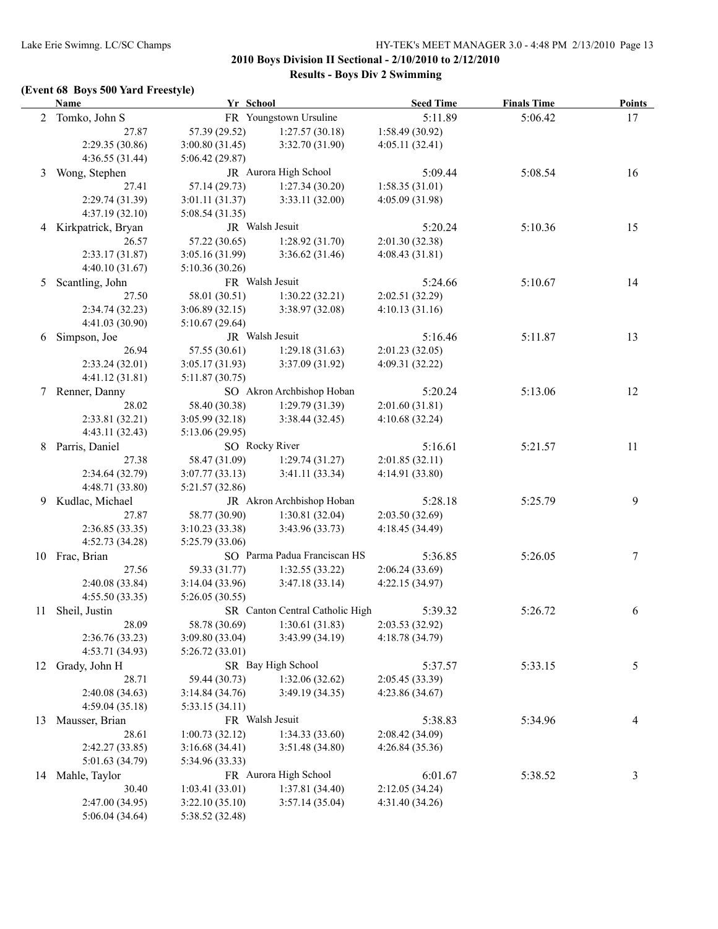# **(Event 68 Boys 500 Yard Freestyle)**

|   | <b>Name</b>          | Yr School                       |                                 | <b>Seed Time</b>                  | <b>Finals Time</b> | <b>Points</b> |
|---|----------------------|---------------------------------|---------------------------------|-----------------------------------|--------------------|---------------|
|   | 2 Tomko, John S      |                                 | FR Youngstown Ursuline          | 5:11.89                           | 5:06.42            | 17            |
|   | 27.87                | 57.39 (29.52)                   | 1:27.57(30.18)                  | 1:58.49(30.92)                    |                    |               |
|   | 2:29.35 (30.86)      | 3:00.80(31.45)                  | 3:32.70 (31.90)                 | 4:05.11(32.41)                    |                    |               |
|   | 4:36.55(31.44)       | 5:06.42(29.87)                  |                                 |                                   |                    |               |
| 3 | Wong, Stephen        |                                 | JR Aurora High School           | 5:09.44                           | 5:08.54            | 16            |
|   | 27.41                | 57.14 (29.73)                   | 1:27.34(30.20)                  | 1:58.35(31.01)                    |                    |               |
|   | 2:29.74 (31.39)      | 3:01.11(31.37)                  | 3:33.11 (32.00)                 | 4:05.09 (31.98)                   |                    |               |
|   | 4:37.19(32.10)       | 5:08.54(31.35)                  |                                 |                                   |                    |               |
|   | 4 Kirkpatrick, Bryan |                                 | JR Walsh Jesuit                 | 5:20.24                           | 5:10.36            | 15            |
|   | 26.57                | 57.22 (30.65)                   | 1:28.92(31.70)                  | 2:01.30(32.38)                    |                    |               |
|   | 2:33.17 (31.87)      | 3:05.16(31.99)                  | 3:36.62(31.46)                  | 4:08.43(31.81)                    |                    |               |
|   | 4:40.10(31.67)       | 5:10.36(30.26)                  |                                 |                                   |                    |               |
| 5 | Scantling, John      | FR Walsh Jesuit                 |                                 | 5:24.66                           | 5:10.67            | 14            |
|   | 27.50                | 58.01 (30.51)                   | 1:30.22(32.21)                  | 2:02.51 (32.29)                   |                    |               |
|   | 2:34.74(32.23)       | 3:06.89(32.15)                  | 3:38.97(32.08)                  | 4:10.13(31.16)                    |                    |               |
|   | 4:41.03 (30.90)      |                                 |                                 |                                   |                    |               |
|   |                      | 5:10.67(29.64)                  |                                 |                                   |                    |               |
| 6 | Simpson, Joe         |                                 | JR Walsh Jesuit                 | 5:16.46                           | 5:11.87            | 13            |
|   | 26.94                | 57.55 (30.61)                   | 1:29.18(31.63)                  | 2:01.23(32.05)                    |                    |               |
|   | 2:33.24(32.01)       | 3:05.17(31.93)                  | 3:37.09(31.92)                  | 4:09.31(32.22)                    |                    |               |
|   | 4:41.12 (31.81)      | 5:11.87(30.75)                  |                                 |                                   |                    |               |
| 7 | Renner, Danny        |                                 | SO Akron Archbishop Hoban       | 5:20.24                           | 5:13.06            | 12            |
|   | 28.02                | 58.40 (30.38)                   | 1:29.79(31.39)                  | 2:01.60(31.81)                    |                    |               |
|   | 2:33.81 (32.21)      | 3:05.99(32.18)                  | 3:38.44(32.45)                  | 4:10.68(32.24)                    |                    |               |
|   | 4:43.11(32.43)       | 5:13.06(29.95)                  |                                 |                                   |                    |               |
| 8 | Parris, Daniel       |                                 | SO Rocky River                  | 5:16.61                           | 5:21.57            | 11            |
|   | 27.38                | 58.47 (31.09)                   | 1:29.74(31.27)                  | 2:01.85 (32.11)                   |                    |               |
|   | 2:34.64 (32.79)      | 3:07.77(33.13)                  | 3:41.11(33.34)                  | 4:14.91 (33.80)                   |                    |               |
|   | 4:48.71 (33.80)      | 5:21.57 (32.86)                 |                                 |                                   |                    |               |
| 9 | Kudlac, Michael      |                                 | JR Akron Archbishop Hoban       | 5:28.18                           | 5:25.79            | 9             |
|   | 27.87                | 58.77 (30.90)                   | 1:30.81(32.04)                  | 2:03.50 (32.69)                   |                    |               |
|   | 2:36.85(33.35)       | 3:10.23(33.38)                  | 3:43.96 (33.73)                 | 4:18.45 (34.49)                   |                    |               |
|   | 4:52.73 (34.28)      | 5:25.79 (33.06)                 |                                 |                                   |                    |               |
|   | 10 Frac, Brian       |                                 | SO Parma Padua Franciscan HS    | 5:36.85                           | 5:26.05            | 7             |
|   | 27.56                | 59.33 (31.77)                   | 1:32.55(33.22)                  | 2:06.24(33.69)                    |                    |               |
|   | 2:40.08 (33.84)      | 3:14.04(33.96)                  | 3:47.18(33.14)                  | 4:22.15 (34.97)                   |                    |               |
|   | 4:55.50(33.35)       | 5:26.05(30.55)                  |                                 |                                   |                    |               |
|   | 11 Sheil, Justin     |                                 | SR Canton Central Catholic High | 5:39.32                           | 5:26.72            | 6             |
|   | 28.09                | 58.78 (30.69)                   | 1:30.61(31.83)                  | 2:03.53 (32.92)                   |                    |               |
|   | 2:36.76(33.23)       | 3:09.80(33.04)                  | 3:43.99 (34.19)                 | 4:18.78 (34.79)                   |                    |               |
|   | 4:53.71 (34.93)      | 5:26.72 (33.01)                 |                                 |                                   |                    |               |
|   | 12 Grady, John H     |                                 | SR Bay High School              | 5:37.57                           | 5:33.15            | 5             |
|   | 28.71                |                                 | 1:32.06(32.62)                  |                                   |                    |               |
|   | 2:40.08(34.63)       | 59.44 (30.73)<br>3:14.84(34.76) | 3:49.19(34.35)                  | 2:05.45(33.39)<br>4:23.86 (34.67) |                    |               |
|   |                      |                                 |                                 |                                   |                    |               |
|   | 4:59.04(35.18)       | 5:33.15(34.11)                  |                                 |                                   |                    |               |
|   | 13 Mausser, Brian    | FR Walsh Jesuit                 |                                 | 5:38.83                           | 5:34.96            | 4             |
|   | 28.61                | 1:00.73(32.12)                  | 1:34.33(33.60)                  | 2:08.42(34.09)                    |                    |               |
|   | 2:42.27(33.85)       | 3:16.68(34.41)                  | 3:51.48(34.80)                  | 4:26.84(35.36)                    |                    |               |
|   | 5:01.63 (34.79)      | 5:34.96 (33.33)                 |                                 |                                   |                    |               |
|   | 14 Mahle, Taylor     |                                 | FR Aurora High School           | 6:01.67                           | 5:38.52            | 3             |
|   | 30.40                | 1:03.41(33.01)                  | 1:37.81 (34.40)                 | 2:12.05 (34.24)                   |                    |               |
|   | 2:47.00 (34.95)      | 3:22.10(35.10)                  | 3:57.14(35.04)                  | 4:31.40(34.26)                    |                    |               |
|   | 5:06.04(34.64)       | 5:38.52 (32.48)                 |                                 |                                   |                    |               |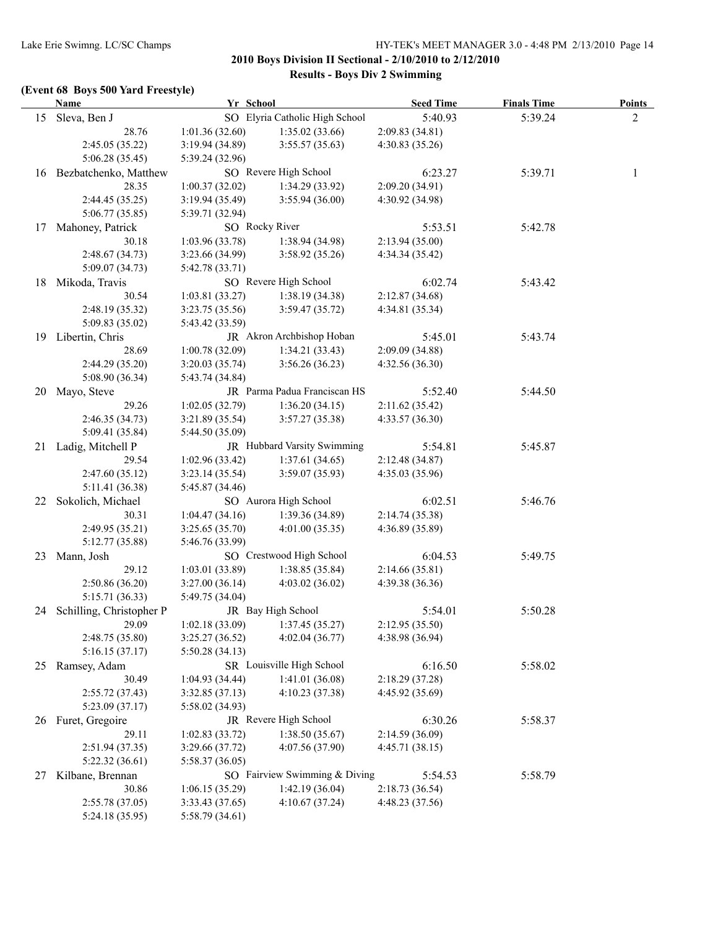# **(Event 68 Boys 500 Yard Freestyle)**

|    | Name                              | Yr School       |                                   | <b>Seed Time</b> | <b>Finals Time</b> | <b>Points</b>  |
|----|-----------------------------------|-----------------|-----------------------------------|------------------|--------------------|----------------|
|    | 15 Sleva, Ben J                   |                 | SO Elyria Catholic High School    | 5:40.93          | 5:39.24            | $\overline{2}$ |
|    | 28.76                             | 1:01.36(32.60)  | 1:35.02(33.66)                    | 2:09.83 (34.81)  |                    |                |
|    | 2:45.05 (35.22)                   | 3:19.94(34.89)  | 3:55.57(35.63)                    | 4:30.83(35.26)   |                    |                |
|    | 5:06.28(35.45)                    | 5:39.24 (32.96) |                                   |                  |                    |                |
|    | 16 Bezbatchenko, Matthew          |                 | SO Revere High School             | 6:23.27          | 5:39.71            | 1              |
|    | 28.35                             | 1:00.37(32.02)  | 1:34.29(33.92)                    | 2:09.20(34.91)   |                    |                |
|    | 2:44.45 (35.25)                   | 3:19.94(35.49)  | 3:55.94(36.00)                    | 4:30.92 (34.98)  |                    |                |
|    | 5:06.77 (35.85)                   | 5:39.71 (32.94) |                                   |                  |                    |                |
|    | 17 Mahoney, Patrick               |                 | SO Rocky River                    | 5:53.51          | 5:42.78            |                |
|    | 30.18                             | 1:03.96(33.78)  | 1:38.94 (34.98)                   | 2:13.94(35.00)   |                    |                |
|    | 2:48.67 (34.73)                   | 3:23.66(34.99)  | 3:58.92(35.26)                    | 4:34.34(35.42)   |                    |                |
|    | 5:09.07 (34.73)                   | 5:42.78 (33.71) |                                   |                  |                    |                |
|    | 18 Mikoda, Travis                 |                 | SO Revere High School             | 6:02.74          | 5:43.42            |                |
|    | 30.54                             | 1:03.81(33.27)  | 1:38.19(34.38)                    | 2:12.87 (34.68)  |                    |                |
|    | 2:48.19 (35.32)                   | 3:23.75(35.56)  | 3:59.47(35.72)                    | 4:34.81(35.34)   |                    |                |
|    | 5:09.83 (35.02)                   | 5:43.42 (33.59) |                                   |                  |                    |                |
|    | 19 Libertin, Chris                |                 | JR Akron Archbishop Hoban         | 5:45.01          | 5:43.74            |                |
|    | 28.69                             | 1:00.78(32.09)  | 1:34.21(33.43)                    | 2:09.09 (34.88)  |                    |                |
|    | 2:44.29 (35.20)                   | 3:20.03(35.74)  | 3:56.26(36.23)                    | 4:32.56 (36.30)  |                    |                |
|    | 5:08.90 (36.34)                   | 5:43.74 (34.84) |                                   |                  |                    |                |
| 20 | Mayo, Steve                       |                 | JR Parma Padua Franciscan HS      | 5:52.40          | 5:44.50            |                |
|    | 29.26                             | 1:02.05(32.79)  | 1:36.20(34.15)                    | 2:11.62(35.42)   |                    |                |
|    | 2:46.35(34.73)                    | 3:21.89(35.54)  | 3:57.27(35.38)                    | 4:33.57 (36.30)  |                    |                |
|    | 5:09.41 (35.84)                   | 5:44.50 (35.09) |                                   |                  |                    |                |
|    | 21 Ladig, Mitchell P              |                 | JR Hubbard Varsity Swimming       | 5:54.81          | 5:45.87            |                |
|    | 29.54                             | 1:02.96(33.42)  | 1:37.61(34.65)                    | 2:12.48 (34.87)  |                    |                |
|    | 2:47.60(35.12)                    | 3:23.14(35.54)  | 3:59.07(35.93)                    | 4:35.03(35.96)   |                    |                |
|    | 5:11.41 (36.38)                   | 5:45.87 (34.46) |                                   |                  |                    |                |
| 22 | Sokolich, Michael                 |                 | SO Aurora High School             | 6:02.51          | 5:46.76            |                |
|    | 30.31                             | 1:04.47(34.16)  | 1:39.36 (34.89)                   | 2:14.74 (35.38)  |                    |                |
|    | 2:49.95 (35.21)                   | 3:25.65(35.70)  | 4:01.00(35.35)                    | 4:36.89 (35.89)  |                    |                |
|    | 5:12.77 (35.88)                   | 5:46.76 (33.99) |                                   |                  |                    |                |
|    | 23 Mann, Josh                     |                 | SO Crestwood High School          | 6:04.53          | 5:49.75            |                |
|    | 29.12                             | 1:03.01(33.89)  | 1:38.85(35.84)                    | 2:14.66(35.81)   |                    |                |
|    | 2:50.86(36.20)                    | 3:27.00(36.14)  | 4:03.02(36.02)                    | 4:39.38 (36.36)  |                    |                |
|    | 5:15.71 (36.33)                   | 5:49.75 (34.04) |                                   |                  |                    |                |
|    | 24 Schilling, Christopher P       |                 | JR Bay High School                | 5:54.01          | 5:50.28            |                |
|    | 29.09                             |                 | $1:02.18(33.09)$ $1:37.45(35.27)$ | 2:12.95(35.50)   |                    |                |
|    | 2:48.75 (35.80)                   | 3:25.27(36.52)  | 4:02.04(36.77)                    | 4:38.98 (36.94)  |                    |                |
|    | 5:16.15(37.17)                    | 5:50.28(34.13)  |                                   |                  |                    |                |
|    | 25 Ramsey, Adam                   |                 | SR Louisville High School         | 6:16.50          | 5:58.02            |                |
|    | 30.49                             | 1:04.93(34.44)  | 1:41.01(36.08)                    | 2:18.29 (37.28)  |                    |                |
|    | 2:55.72(37.43)                    | 3:32.85(37.13)  | 4:10.23(37.38)                    | 4:45.92(35.69)   |                    |                |
|    | 5:23.09(37.17)                    | 5:58.02 (34.93) |                                   |                  |                    |                |
|    | 26 Furet, Gregoire                |                 | JR Revere High School             | 6:30.26          | 5:58.37            |                |
|    | 29.11                             | 1:02.83(33.72)  | 1:38.50(35.67)                    | 2:14.59(36.09)   |                    |                |
|    | 2:51.94 (37.35)                   | 3:29.66(37.72)  | 4:07.56 (37.90)                   | 4:45.71(38.15)   |                    |                |
|    | 5:22.32 (36.61)                   | 5:58.37(36.05)  |                                   |                  |                    |                |
|    |                                   |                 | SO Fairview Swimming & Diving     | 5:54.53          | 5:58.79            |                |
| 27 | Kilbane, Brennan<br>30.86         |                 |                                   |                  |                    |                |
|    |                                   | 1:06.15(35.29)  | 1:42.19(36.04)                    | 2:18.73 (36.54)  |                    |                |
|    | 2:55.78(37.05)<br>5:24.18 (35.95) | 3:33.43(37.65)  | 4:10.67(37.24)                    | 4:48.23(37.56)   |                    |                |
|    |                                   | 5:58.79(34.61)  |                                   |                  |                    |                |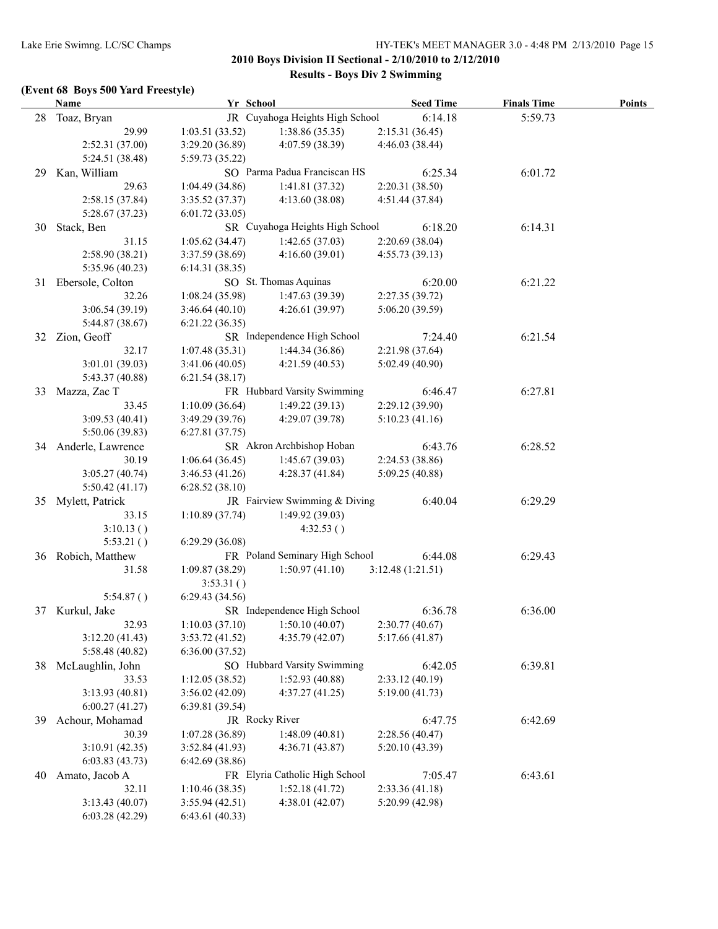# **(Event 68 Boys 500 Yard Freestyle)**

|    | <b>Name</b>          | Yr School       |                                   | <b>Seed Time</b> | <b>Finals Time</b> | <b>Points</b> |
|----|----------------------|-----------------|-----------------------------------|------------------|--------------------|---------------|
|    | 28 Toaz, Bryan       |                 | JR Cuyahoga Heights High School   | 6:14.18          | 5:59.73            |               |
|    | 29.99                | 1:03.51(33.52)  | 1:38.86(35.35)                    | 2:15.31(36.45)   |                    |               |
|    | 2:52.31(37.00)       | 3:29.20(36.89)  | 4:07.59 (38.39)                   | 4:46.03(38.44)   |                    |               |
|    | 5:24.51 (38.48)      | 5:59.73 (35.22) |                                   |                  |                    |               |
|    | 29 Kan, William      |                 | SO Parma Padua Franciscan HS      | 6:25.34          | 6:01.72            |               |
|    | 29.63                | 1:04.49(34.86)  | 1:41.81(37.32)                    | 2:20.31 (38.50)  |                    |               |
|    | 2:58.15(37.84)       | 3:35.52(37.37)  | 4:13.60(38.08)                    | 4:51.44(37.84)   |                    |               |
|    | 5:28.67(37.23)       | 6:01.72(33.05)  |                                   |                  |                    |               |
| 30 | Stack, Ben           |                 | SR Cuyahoga Heights High School   | 6:18.20          | 6:14.31            |               |
|    | 31.15                | 1:05.62(34.47)  | 1:42.65(37.03)                    | 2:20.69(38.04)   |                    |               |
|    | 2:58.90(38.21)       | 3:37.59(38.69)  | 4:16.60(39.01)                    | 4:55.73(39.13)   |                    |               |
|    | 5:35.96 (40.23)      | 6:14.31(38.35)  |                                   |                  |                    |               |
|    | 31 Ebersole, Colton  |                 | SO St. Thomas Aquinas             | 6:20.00          | 6:21.22            |               |
|    | 32.26                | 1:08.24(35.98)  | 1:47.63(39.39)                    | 2:27.35 (39.72)  |                    |               |
|    | 3:06.54(39.19)       | 3:46.64(40.10)  | 4:26.61(39.97)                    | 5:06.20 (39.59)  |                    |               |
|    | 5:44.87(38.67)       |                 |                                   |                  |                    |               |
|    |                      | 6:21.22(36.35)  | SR Independence High School       |                  | 6:21.54            |               |
|    | 32 Zion, Geoff       |                 |                                   | 7:24.40          |                    |               |
|    | 32.17                | 1:07.48(35.31)  | 1:44.34(36.86)                    | 2:21.98 (37.64)  |                    |               |
|    | 3:01.01(39.03)       | 3:41.06(40.05)  | 4:21.59(40.53)                    | 5:02.49(40.90)   |                    |               |
|    | 5:43.37(40.88)       | 6:21.54(38.17)  |                                   |                  |                    |               |
| 33 | Mazza, Zac T         |                 | FR Hubbard Varsity Swimming       | 6:46.47          | 6:27.81            |               |
|    | 33.45                | 1:10.09(36.64)  | 1:49.22(39.13)                    | 2:29.12 (39.90)  |                    |               |
|    | 3:09.53(40.41)       | 3:49.29(39.76)  | 4:29.07 (39.78)                   | 5:10.23(41.16)   |                    |               |
|    | 5:50.06 (39.83)      | 6:27.81(37.75)  |                                   |                  |                    |               |
|    | 34 Anderle, Lawrence |                 | SR Akron Archbishop Hoban         | 6:43.76          | 6:28.52            |               |
|    | 30.19                | 1:06.64(36.45)  | 1:45.67(39.03)                    | 2:24.53(38.86)   |                    |               |
|    | 3:05.27(40.74)       | 3:46.53(41.26)  | 4:28.37(41.84)                    | 5:09.25(40.88)   |                    |               |
|    | 5:50.42(41.17)       | 6:28.52(38.10)  |                                   |                  |                    |               |
|    | 35 Mylett, Patrick   |                 | JR Fairview Swimming & Diving     | 6:40.04          | 6:29.29            |               |
|    | 33.15                | 1:10.89(37.74)  | 1:49.92 (39.03)                   |                  |                    |               |
|    | 3:10.13()            |                 | 4:32.53()                         |                  |                    |               |
|    | 5:53.21()            | 6:29.29(36.08)  |                                   |                  |                    |               |
|    | 36 Robich, Matthew   |                 | FR Poland Seminary High School    | 6:44.08          | 6:29.43            |               |
|    | 31.58                | 1:09.87(38.29)  | 1:50.97(41.10)                    | 3:12.48(1:21.51) |                    |               |
|    |                      | 3:53.31()       |                                   |                  |                    |               |
|    | 5:54.87()            | 6:29.43(34.56)  |                                   |                  |                    |               |
|    | 37 Kurkul, Jake      |                 | SR Independence High School       | 6:36.78          | 6:36.00            |               |
|    | 32.93                |                 | $1:10.03(37.10)$ $1:50.10(40.07)$ | 2:30.77 (40.67)  |                    |               |
|    | 3:12.20(41.43)       | 3:53.72(41.52)  | 4:35.79(42.07)                    | 5:17.66(41.87)   |                    |               |
|    | 5:58.48 (40.82)      | 6:36.00(37.52)  |                                   |                  |                    |               |
| 38 | McLaughlin, John     |                 | SO Hubbard Varsity Swimming       | 6:42.05          | 6:39.81            |               |
|    | 33.53                | 1:12.05(38.52)  | 1:52.93(40.88)                    | 2:33.12(40.19)   |                    |               |
|    | 3:13.93 (40.81)      | 3:56.02(42.09)  | 4:37.27(41.25)                    | 5:19.00(41.73)   |                    |               |
|    | 6:00.27(41.27)       | 6:39.81(39.54)  |                                   |                  |                    |               |
| 39 | Achour, Mohamad      |                 | JR Rocky River                    | 6:47.75          | 6:42.69            |               |
|    | 30.39                | 1:07.28(36.89)  | 1:48.09(40.81)                    | 2:28.56(40.47)   |                    |               |
|    | 3:10.91(42.35)       | 3:52.84(41.93)  | 4:36.71(43.87)                    | 5:20.10(43.39)   |                    |               |
|    | 6:03.83(43.73)       | 6:42.69(38.86)  |                                   |                  |                    |               |
| 40 | Amato, Jacob A       |                 | FR Elyria Catholic High School    | 7:05.47          | 6:43.61            |               |
|    |                      |                 |                                   |                  |                    |               |
|    | 32.11                | 1:10.46(38.35)  | 1:52.18(41.72)                    | 2:33.36(41.18)   |                    |               |
|    | 3:13.43 (40.07)      | 3:55.94(42.51)  | 4:38.01 (42.07)                   | 5:20.99 (42.98)  |                    |               |
|    | 6:03.28(42.29)       | 6:43.61 (40.33) |                                   |                  |                    |               |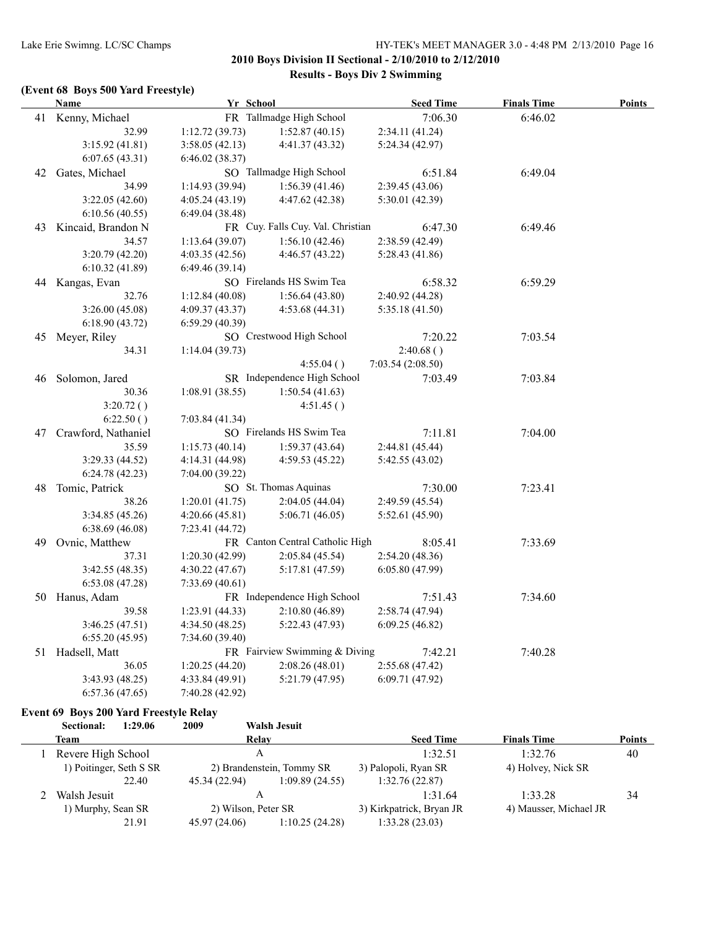#### **(Event 68 Boys 500 Yard Freestyle)**

| Name                   | Yr School       |                                   | <b>Seed Time</b>  | <b>Finals Time</b> | <b>Points</b> |
|------------------------|-----------------|-----------------------------------|-------------------|--------------------|---------------|
| 41 Kenny, Michael      |                 | FR Tallmadge High School          | 7:06.30           | 6:46.02            |               |
| 32.99                  | 1:12.72(39.73)  | 1:52.87(40.15)                    | 2:34.11 (41.24)   |                    |               |
| 3:15.92(41.81)         | 3:58.05(42.13)  | 4:41.37 (43.32)                   | 5:24.34(42.97)    |                    |               |
| 6:07.65(43.31)         | 6:46.02(38.37)  |                                   |                   |                    |               |
| 42 Gates, Michael      |                 | SO Tallmadge High School          | 6:51.84           | 6:49.04            |               |
| 34.99                  | 1:14.93(39.94)  | 1:56.39(41.46)                    | 2:39.45 (43.06)   |                    |               |
| 3:22.05(42.60)         | 4:05.24(43.19)  | 4:47.62 (42.38)                   | 5:30.01 (42.39)   |                    |               |
| 6:10.56(40.55)         | 6:49.04(38.48)  |                                   |                   |                    |               |
| 43 Kincaid, Brandon N  |                 | FR Cuy. Falls Cuy. Val. Christian | 6:47.30           | 6:49.46            |               |
| 34.57                  | 1:13.64(39.07)  | 1:56.10(42.46)                    | 2:38.59 (42.49)   |                    |               |
| 3:20.79(42.20)         | 4:03.35(42.56)  | 4:46.57(43.22)                    | 5:28.43(41.86)    |                    |               |
| 6:10.32(41.89)         | 6:49.46(39.14)  |                                   |                   |                    |               |
| 44 Kangas, Evan        |                 | SO Firelands HS Swim Tea          | 6:58.32           | 6:59.29            |               |
| 32.76                  | 1:12.84(40.08)  | 1:56.64(43.80)                    | 2:40.92(44.28)    |                    |               |
| 3:26.00(45.08)         | 4:09.37(43.37)  | 4:53.68(44.31)                    | 5:35.18(41.50)    |                    |               |
| 6:18.90 (43.72)        | 6:59.29(40.39)  |                                   |                   |                    |               |
| 45 Meyer, Riley        |                 | SO Crestwood High School          | 7:20.22           | 7:03.54            |               |
| 34.31                  | 1:14.04(39.73)  |                                   | 2:40.68()         |                    |               |
|                        |                 | 4:55.04()                         | 7:03.54 (2:08.50) |                    |               |
| 46 Solomon, Jared      |                 | SR Independence High School       | 7:03.49           | 7:03.84            |               |
| 30.36                  | 1:08.91(38.55)  | 1:50.54(41.63)                    |                   |                    |               |
| 3:20.72()              |                 | 4:51.45()                         |                   |                    |               |
| 6:22.50()              | 7:03.84 (41.34) |                                   |                   |                    |               |
| 47 Crawford, Nathaniel |                 | SO Firelands HS Swim Tea          | 7:11.81           | 7:04.00            |               |
| 35.59                  | 1:15.73(40.14)  | 1:59.37(43.64)                    | 2:44.81(45.44)    |                    |               |
| 3:29.33 (44.52)        | 4:14.31 (44.98) | 4:59.53(45.22)                    | 5:42.55 (43.02)   |                    |               |
| 6:24.78(42.23)         | 7:04.00 (39.22) |                                   |                   |                    |               |
| 48 Tomic, Patrick      |                 | SO St. Thomas Aquinas             | 7:30.00           | 7:23.41            |               |
| 38.26                  | 1:20.01(41.75)  | 2:04.05(44.04)                    | 2:49.59(45.54)    |                    |               |
| 3:34.85 (45.26)        | 4:20.66(45.81)  | 5:06.71(46.05)                    | 5:52.61(45.90)    |                    |               |
| 6:38.69(46.08)         | 7:23.41 (44.72) |                                   |                   |                    |               |
| 49 Ovnic, Matthew      |                 | FR Canton Central Catholic High   | 8:05.41           | 7:33.69            |               |
| 37.31                  | 1:20.30(42.99)  | 2:05.84(45.54)                    | 2:54.20(48.36)    |                    |               |
| 3:42.55 (48.35)        | 4:30.22(47.67)  | 5:17.81 (47.59)                   | 6:05.80(47.99)    |                    |               |
| 6:53.08(47.28)         | 7:33.69 (40.61) |                                   |                   |                    |               |
| 50 Hanus, Adam         |                 | FR Independence High School       | 7:51.43           | 7:34.60            |               |
| 39.58                  | 1:23.91(44.33)  | 2:10.80 (46.89)                   | 2:58.74 (47.94)   |                    |               |
| 3:46.25 (47.51)        | 4:34.50(48.25)  | 5:22.43 (47.93)                   | 6:09.25(46.82)    |                    |               |
| 6:55.20(45.95)         | 7:34.60(39.40)  |                                   |                   |                    |               |
| 51 Hadsell, Matt       |                 | FR Fairview Swimming & Diving     | 7:42.21           | 7:40.28            |               |
| 36.05                  | 1:20.25(44.20)  | 2:08.26(48.01)                    | 2:55.68(47.42)    |                    |               |
| 3:43.93(48.25)         | 4:33.84(49.91)  | 5:21.79 (47.95)                   | 6:09.71 (47.92)   |                    |               |
| 6:57.36(47.65)         | 7:40.28 (42.92) |                                   |                   |                    |               |
|                        |                 |                                   |                   |                    |               |

#### **Event 69 Boys 200 Yard Freestyle Relay**

**Sectional: 1:29.06 2009 Walsh Jesuit Team Relay Seed Time Finals Time Points** 1 Revere High School A 1:32.51 1:32.76 40 1) Poitinger, Seth S SR 2) Brandenstein, Tommy SR 3) Palopoli, Ryan SR 4) Holvey, Nick SR 22.40 45.34 (22.94) 1:09.89 (24.55) 1:32.76 (22.87) 2 Walsh Jesuit A 1:31.64 1:33.28 34 1) Murphy, Sean SR 2) Wilson, Peter SR 3) Kirkpatrick, Bryan JR 4) Mausser, Michael JR 21.91 45.97 (24.06) 1:10.25 (24.28) 1:33.28 (23.03)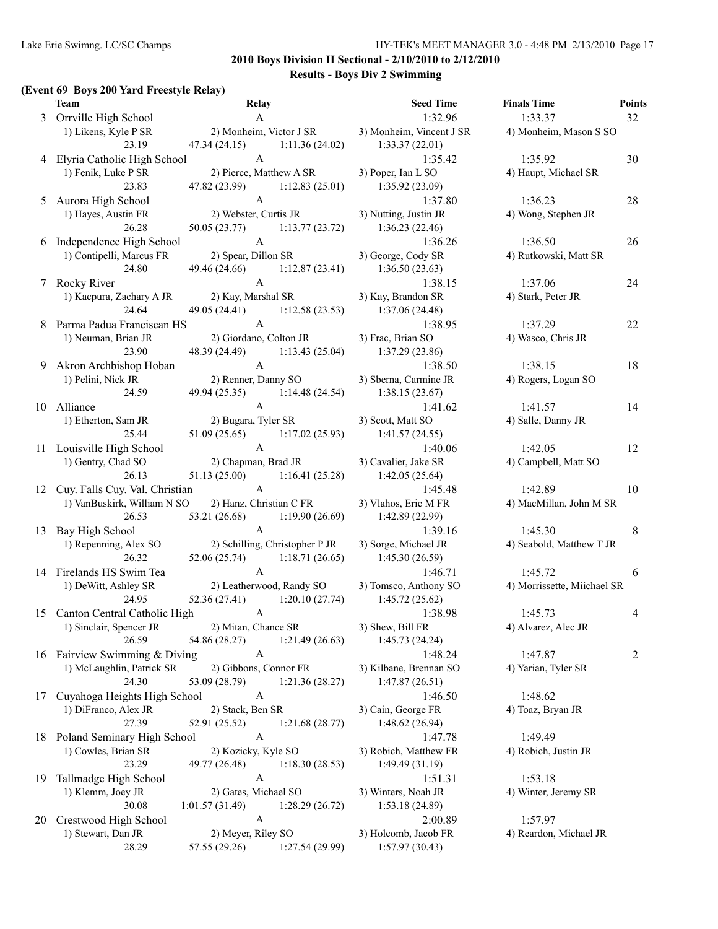$\overline{a}$ 

**2010 Boys Division II Sectional - 2/10/2010 to 2/12/2010 Results - Boys Div 2 Swimming**

#### **(Event 69 Boys 200 Yard Freestyle Relay)**

|    | $\frac{1}{2}$<br>Team                | Relay                                           | <b>Seed Time</b>           | <b>Finals Time</b>          | <b>Points</b>  |
|----|--------------------------------------|-------------------------------------------------|----------------------------|-----------------------------|----------------|
|    | 3 Orrville High School               | $\mathbf{A}$                                    | 1:32.96                    | 1:33.37                     | 32             |
|    | 1) Likens, Kyle P SR                 | 2) Monheim, Victor J SR                         | 3) Monheim, Vincent J SR   | 4) Monheim, Mason S SO      |                |
|    | 23.19                                | 47.34(24.15)<br>1:11.36(24.02)                  | 1:33.37(22.01)             |                             |                |
|    | 4 Elyria Catholic High School        | A                                               | 1:35.42                    | 1:35.92                     | 30             |
|    | 1) Fenik, Luke P SR                  | 2) Pierce, Matthew A SR                         | 3) Poper, Ian L SO         | 4) Haupt, Michael SR        |                |
|    | 23.83                                | 47.82 (23.99)<br>1:12.83(25.01)                 | 1:35.92(23.09)             |                             |                |
| 5  | Aurora High School                   | A                                               | 1:37.80                    | 1:36.23                     | 28             |
|    | 1) Hayes, Austin FR                  | 2) Webster, Curtis JR                           | 3) Nutting, Justin JR      | 4) Wong, Stephen JR         |                |
|    | 26.28                                | 50.05 (23.77)<br>1:13.77(23.72)                 | 1:36.23(22.46)             |                             |                |
| 6  | Independence High School             | A                                               | 1:36.26                    | 1:36.50                     | 26             |
|    | 1) Contipelli, Marcus FR             | 2) Spear, Dillon SR                             | 3) George, Cody SR         | 4) Rutkowski, Matt SR       |                |
|    | 24.80                                | 49.46 (24.66)<br>1:12.87(23.41)                 | 1:36.50(23.63)             |                             |                |
| 7  | <b>Rocky River</b>                   | $\mathbf{A}$                                    | 1:38.15                    | 1:37.06                     | 24             |
|    | 1) Kacpura, Zachary A JR             | 2) Kay, Marshal SR                              | 3) Kay, Brandon SR         | 4) Stark, Peter JR          |                |
|    | 24.64                                | 49.05 (24.41)<br>1:12.58(23.53)                 | 1:37.06(24.48)             |                             |                |
| 8  | Parma Padua Franciscan HS            | $\mathbf{A}$                                    | 1:38.95                    | 1:37.29                     | 22             |
|    | 1) Neuman, Brian JR                  | 2) Giordano, Colton JR                          | 3) Frac, Brian SO          | 4) Wasco, Chris JR          |                |
|    | 23.90                                | 48.39 (24.49)<br>1:13.43(25.04)                 | 1:37.29 (23.86)            |                             |                |
| 9  | Akron Archbishop Hoban               | $\mathbf{A}$                                    | 1:38.50                    | 1:38.15                     | 18             |
|    | 1) Pelini, Nick JR                   | 2) Renner, Danny SO                             | 3) Sberna, Carmine JR      | 4) Rogers, Logan SO         |                |
|    | 24.59                                | 49.94 (25.35)<br>1:14.48(24.54)                 | 1:38.15(23.67)             |                             |                |
| 10 | Alliance                             | $\mathbf{A}$                                    | 1:41.62                    | 1:41.57                     | 14             |
|    | 1) Etherton, Sam JR                  | 2) Bugara, Tyler SR                             | 3) Scott, Matt SO          | 4) Salle, Danny JR          |                |
|    | 25.44                                | 51.09 (25.65)<br>1:17.02(25.93)                 | 1:41.57(24.55)             |                             |                |
|    | 11 Louisville High School            | $\mathbf{A}$                                    | 1:40.06                    | 1:42.05                     | 12             |
|    | 1) Gentry, Chad SO                   | 2) Chapman, Brad JR                             | 3) Cavalier, Jake SR       | 4) Campbell, Matt SO        |                |
|    | 26.13                                | 51.13 (25.00)<br>1:16.41(25.28)<br>$\mathbf{A}$ | 1:42.05(25.64)             |                             |                |
| 12 | Cuy. Falls Cuy. Val. Christian       | 2) Hanz, Christian C FR                         | 1:45.48                    | 1:42.89                     | 10             |
|    | 1) VanBuskirk, William N SO<br>26.53 |                                                 | 3) Vlahos, Eric M FR       | 4) MacMillan, John M SR     |                |
| 13 | Bay High School                      | 53.21 (26.68)<br>1:19.90(26.69)<br>$\mathbf{A}$ | 1:42.89 (22.99)<br>1:39.16 | 1:45.30                     | 8              |
|    | 1) Repenning, Alex SO                | 2) Schilling, Christopher P JR                  | 3) Sorge, Michael JR       | 4) Seabold, Matthew T JR    |                |
|    | 26.32                                | 52.06 (25.74) 1:18.71 (26.65)                   | 1:45.30(26.59)             |                             |                |
|    | 14 Firelands HS Swim Tea             | $\mathbf{A}$                                    | 1:46.71                    | 1:45.72                     | 6              |
|    | 1) DeWitt, Ashley SR                 | 2) Leatherwood, Randy SO                        | 3) Tomsco, Anthony SO      | 4) Morrissette, Miichael SR |                |
|    | 24.95                                | 52.36 (27.41)<br>1:20.10(27.74)                 | 1:45.72(25.62)             |                             |                |
|    | 15 Canton Central Catholic High      | A                                               | 1:38.98                    | 1:45.73                     | 4              |
|    | 1) Sinclair, Spencer JR              | 2) Mitan, Chance SR                             | 3) Shew, Bill FR           | 4) Alvarez, Alec JR         |                |
|    | 26.59                                | 54.86 (28.27)<br>1:21.49(26.63)                 | 1:45.73(24.24)             |                             |                |
|    | 16 Fairview Swimming & Diving        | $\boldsymbol{\mathsf{A}}$                       | 1:48.24                    | 1:47.87                     | $\overline{c}$ |
|    | 1) McLaughlin, Patrick SR            | 2) Gibbons, Connor FR                           | 3) Kilbane, Brennan SO     | 4) Yarian, Tyler SR         |                |
|    | 24.30                                | 53.09 (28.79)<br>1:21.36(28.27)                 | 1:47.87(26.51)             |                             |                |
| 17 | Cuyahoga Heights High School         | $\boldsymbol{A}$                                | 1:46.50                    | 1:48.62                     |                |
|    | 1) DiFranco, Alex JR                 | 2) Stack, Ben SR                                | 3) Cain, George FR         | 4) Toaz, Bryan JR           |                |
|    | 27.39                                | 52.91 (25.52)<br>1:21.68(28.77)                 | 1:48.62 (26.94)            |                             |                |
|    | 18 Poland Seminary High School       | $\boldsymbol{\rm{A}}$                           | 1:47.78                    | 1:49.49                     |                |
|    | 1) Cowles, Brian SR                  | 2) Kozicky, Kyle SO                             | 3) Robich, Matthew FR      | 4) Robich, Justin JR        |                |
|    | 23.29                                | 49.77 (26.48)<br>1:18.30(28.53)                 | 1:49.49(31.19)             |                             |                |
| 19 | Tallmadge High School                | $\mathbf{A}$                                    | 1:51.31                    | 1:53.18                     |                |
|    | 1) Klemm, Joey JR                    | 2) Gates, Michael SO                            | 3) Winters, Noah JR        | 4) Winter, Jeremy SR        |                |
|    | 30.08                                | 1:01.57(31.49)<br>1:28.29(26.72)                | 1:53.18(24.89)             |                             |                |
| 20 | Crestwood High School                | $\mathbf{A}$                                    | 2:00.89                    | 1:57.97                     |                |
|    | 1) Stewart, Dan JR                   | 2) Meyer, Riley SO                              | 3) Holcomb, Jacob FR       | 4) Reardon, Michael JR      |                |
|    | 28.29                                | 57.55 (29.26)<br>1:27.54 (29.99)                | 1:57.97(30.43)             |                             |                |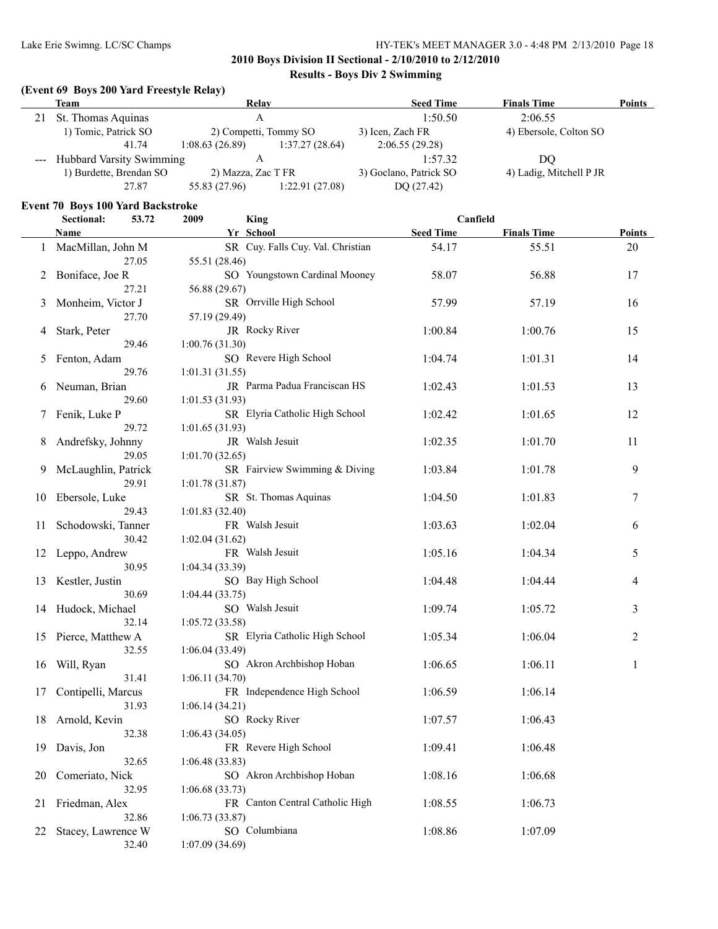# **2010 Boys Division II Sectional - 2/10/2010 to 2/12/2010**

# **Results - Boys Div 2 Swimming**

#### **(Event 69 Boys 200 Yard Freestyle Relay)**

| Team                                          | Relay                 |                        | <b>Seed Time</b>        | <b>Finals Time</b>     | <b>Points</b> |
|-----------------------------------------------|-----------------------|------------------------|-------------------------|------------------------|---------------|
| St. Thomas Aquinas                            | А                     |                        | 1:50.50                 | 2:06.55                |               |
| 1) Tomic, Patrick SO                          | 2) Competti, Tommy SO |                        | 3) Icen, Zach FR        | 4) Ebersole, Colton SO |               |
| 41.74                                         | 1:08.63(26.89)        | 1:37.27(28.64)         | 2:06.55(29.28)          |                        |               |
| --- Hubbard Varsity Swimming                  |                       |                        | 1:57.32                 | DO                     |               |
| 1) Burdette, Brendan SO<br>2) Mazza, Zac T FR |                       | 3) Goclano, Patrick SO | 4) Ladig, Mitchell P JR |                        |               |
| 27.87                                         | 55.83 (27.96)         | 1:22.91(27.08)         | DQ $(27.42)$            |                        |               |

#### **Event 70 Boys 100 Yard Backstroke**

|    | Sectional:          | 53.72 | 2009           | <b>King</b>                       | Canfield         |                    |               |
|----|---------------------|-------|----------------|-----------------------------------|------------------|--------------------|---------------|
|    | Name                |       |                | Yr School                         | <b>Seed Time</b> | <b>Finals Time</b> | <b>Points</b> |
| 1  | MacMillan, John M   |       |                | SR Cuy. Falls Cuy. Val. Christian | 54.17            | 55.51              | 20            |
|    |                     | 27.05 | 55.51 (28.46)  |                                   |                  |                    |               |
| 2  | Boniface, Joe R     |       |                | SO Youngstown Cardinal Mooney     | 58.07            | 56.88              | 17            |
|    |                     | 27.21 | 56.88 (29.67)  |                                   |                  |                    |               |
| 3  | Monheim, Victor J   |       |                | SR Orrville High School           | 57.99            | 57.19              | 16            |
|    |                     | 27.70 | 57.19 (29.49)  |                                   |                  |                    |               |
| 4  | Stark, Peter        |       |                | JR Rocky River                    | 1:00.84          | 1:00.76            | 15            |
|    |                     | 29.46 | 1:00.76(31.30) |                                   |                  |                    |               |
| 5  | Fenton, Adam        |       |                | SO Revere High School             | 1:04.74          | 1:01.31            | 14            |
|    |                     | 29.76 | 1:01.31(31.55) |                                   |                  |                    |               |
| 6  | Neuman, Brian       |       |                | JR Parma Padua Franciscan HS      | 1:02.43          | 1:01.53            | 13            |
|    |                     | 29.60 | 1:01.53(31.93) |                                   |                  |                    |               |
| 7  | Fenik, Luke P       |       |                | SR Elyria Catholic High School    | 1:02.42          | 1:01.65            | 12            |
|    |                     | 29.72 | 1:01.65(31.93) |                                   |                  |                    |               |
| 8  | Andrefsky, Johnny   |       |                | JR Walsh Jesuit                   | 1:02.35          | 1:01.70            | 11            |
|    |                     | 29.05 | 1:01.70(32.65) |                                   |                  |                    |               |
| 9  | McLaughlin, Patrick |       |                | SR Fairview Swimming & Diving     | 1:03.84          | 1:01.78            | 9             |
|    |                     | 29.91 | 1:01.78(31.87) |                                   |                  |                    |               |
| 10 | Ebersole, Luke      |       |                | SR St. Thomas Aquinas             | 1:04.50          | 1:01.83            | 7             |
|    |                     | 29.43 | 1:01.83(32.40) |                                   |                  |                    |               |
| 11 | Schodowski, Tanner  |       |                | FR Walsh Jesuit                   | 1:03.63          | 1:02.04            | 6             |
|    |                     | 30.42 | 1:02.04(31.62) |                                   |                  |                    |               |
| 12 | Leppo, Andrew       |       |                | FR Walsh Jesuit                   | 1:05.16          | 1:04.34            | 5             |
|    |                     | 30.95 | 1:04.34(33.39) |                                   |                  |                    |               |
| 13 | Kestler, Justin     |       |                | SO Bay High School                | 1:04.48          | 1:04.44            | 4             |
|    |                     | 30.69 | 1:04.44(33.75) |                                   |                  |                    |               |
| 14 | Hudock, Michael     |       |                | SO Walsh Jesuit                   | 1:09.74          | 1:05.72            | 3             |
|    |                     | 32.14 | 1:05.72(33.58) |                                   |                  |                    |               |
| 15 | Pierce, Matthew A   |       |                | SR Elyria Catholic High School    | 1:05.34          | 1:06.04            | 2             |
|    |                     | 32.55 | 1:06.04(33.49) |                                   |                  |                    |               |
| 16 | Will, Ryan          |       |                | SO Akron Archbishop Hoban         | 1:06.65          | 1:06.11            | 1             |
|    |                     | 31.41 | 1:06.11(34.70) |                                   |                  |                    |               |
| 17 | Contipelli, Marcus  |       |                | FR Independence High School       | 1:06.59          | 1:06.14            |               |
|    |                     | 31.93 | 1:06.14(34.21) |                                   |                  |                    |               |
| 18 | Arnold, Kevin       |       |                | SO Rocky River                    | 1:07.57          | 1:06.43            |               |
|    |                     | 32.38 | 1:06.43(34.05) |                                   |                  |                    |               |
| 19 | Davis, Jon          |       |                | FR Revere High School             | 1:09.41          | 1:06.48            |               |
|    |                     | 32.65 | 1:06.48(33.83) |                                   |                  |                    |               |
| 20 | Comeriato, Nick     |       |                | SO Akron Archbishop Hoban         | 1:08.16          | 1:06.68            |               |
|    |                     | 32.95 | 1:06.68(33.73) |                                   |                  |                    |               |
| 21 | Friedman, Alex      |       |                | FR Canton Central Catholic High   | 1:08.55          | 1:06.73            |               |
|    |                     | 32.86 | 1:06.73(33.87) |                                   |                  |                    |               |
| 22 | Stacey, Lawrence W  |       |                | SO Columbiana                     | 1:08.86          | 1:07.09            |               |
|    |                     | 32.40 | 1:07.09(34.69) |                                   |                  |                    |               |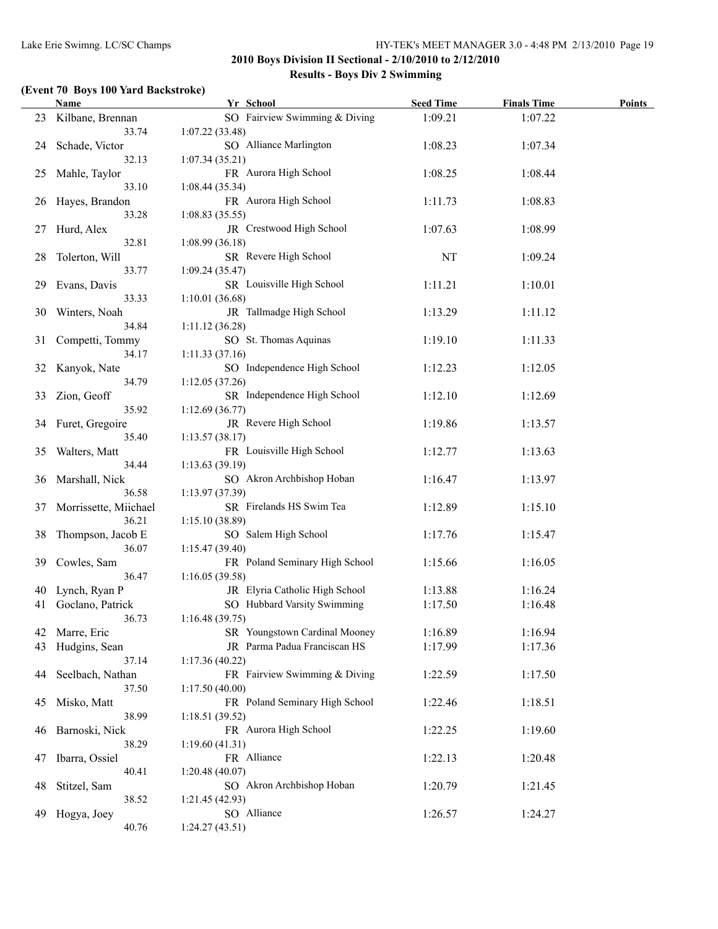#### **(Event 70 Boys 100 Yard Backstroke)**

|     | <b>Name</b>           | Yr School                      | <b>Seed Time</b> | <b>Finals Time</b> | <b>Points</b> |
|-----|-----------------------|--------------------------------|------------------|--------------------|---------------|
| 23  | Kilbane, Brennan      | SO Fairview Swimming & Diving  | 1:09.21          | 1:07.22            |               |
|     | 33.74                 | 1:07.22(33.48)                 |                  |                    |               |
| 24  | Schade, Victor        | SO Alliance Marlington         | 1:08.23          | 1:07.34            |               |
|     | 32.13                 | 1:07.34(35.21)                 |                  |                    |               |
| 25  | Mahle, Taylor         | FR Aurora High School          | 1:08.25          | 1:08.44            |               |
|     | 33.10                 | 1:08.44 (35.34)                |                  |                    |               |
|     | 26 Hayes, Brandon     | FR Aurora High School          | 1:11.73          | 1:08.83            |               |
|     | 33.28                 | 1:08.83(35.55)                 |                  |                    |               |
| 27  | Hurd, Alex            | JR Crestwood High School       | 1:07.63          | 1:08.99            |               |
|     | 32.81                 | 1:08.99(36.18)                 |                  |                    |               |
| 28. | Tolerton, Will        | SR Revere High School          | NT               | 1:09.24            |               |
|     | 33.77                 | 1:09.24(35.47)                 |                  |                    |               |
| 29  | Evans, Davis          | SR Louisville High School      | 1:11.21          | 1:10.01            |               |
|     | 33.33                 | 1:10.01(36.68)                 |                  |                    |               |
| 30  | Winters, Noah         | JR Tallmadge High School       | 1:13.29          | 1:11.12            |               |
|     | 34.84                 | 1:11.12 (36.28)                |                  |                    |               |
| 31  | Competti, Tommy       | SO St. Thomas Aquinas          | 1:19.10          | 1:11.33            |               |
|     | 34.17                 | 1:11.33 (37.16)                |                  |                    |               |
| 32  | Kanyok, Nate          | SO Independence High School    | 1:12.23          | 1:12.05            |               |
|     | 34.79                 | 1:12.05 (37.26)                |                  |                    |               |
| 33  | Zion, Geoff           | SR Independence High School    | 1:12.10          | 1:12.69            |               |
|     | 35.92                 | 1:12.69(36.77)                 |                  |                    |               |
|     | 34 Furet, Gregoire    | JR Revere High School          | 1:19.86          | 1:13.57            |               |
|     | 35.40                 | 1:13.57(38.17)                 |                  |                    |               |
| 35  | Walters, Matt         | FR Louisville High School      | 1:12.77          | 1:13.63            |               |
|     | 34.44                 | 1:13.63(39.19)                 |                  |                    |               |
|     | 36 Marshall, Nick     | SO Akron Archbishop Hoban      | 1:16.47          | 1:13.97            |               |
|     | 36.58                 | 1:13.97(37.39)                 |                  |                    |               |
| 37  | Morrissette, Miichael | SR Firelands HS Swim Tea       | 1:12.89          | 1:15.10            |               |
|     | 36.21                 | 1:15.10(38.89)                 |                  |                    |               |
| 38  | Thompson, Jacob E     | SO Salem High School           | 1:17.76          | 1:15.47            |               |
|     | 36.07                 | 1:15.47(39.40)                 |                  |                    |               |
| 39  | Cowles, Sam           | FR Poland Seminary High School | 1:15.66          | 1:16.05            |               |
|     | 36.47                 | 1:16.05(39.58)                 |                  |                    |               |
| 40  | Lynch, Ryan P         | JR Elyria Catholic High School | 1:13.88          | 1:16.24            |               |
| 41  | Goclano, Patrick      | SO Hubbard Varsity Swimming    | 1:17.50          | 1:16.48            |               |
|     | 36.73                 | 1:16.48(39.75)                 |                  |                    |               |
| 42  | Marre, Eric           | SR Youngstown Cardinal Mooney  | 1:16.89          | 1:16.94            |               |
| 43  | Hudgins, Sean         | JR Parma Padua Franciscan HS   | 1:17.99          | 1:17.36            |               |
|     | 37.14                 | 1:17.36(40.22)                 |                  |                    |               |
| 44  | Seelbach, Nathan      | FR Fairview Swimming & Diving  | 1:22.59          | 1:17.50            |               |
|     | 37.50                 | 1:17.50(40.00)                 |                  |                    |               |
| 45  | Misko, Matt           | FR Poland Seminary High School | 1:22.46          | 1:18.51            |               |
|     | 38.99                 | 1:18.51(39.52)                 |                  |                    |               |
| 46  | Barnoski, Nick        | FR Aurora High School          | 1:22.25          | 1:19.60            |               |
|     | 38.29                 | 1:19.60(41.31)                 |                  |                    |               |
| 47  | Ibarra, Ossiel        | FR Alliance                    | 1:22.13          | 1:20.48            |               |
|     | 40.41                 | 1:20.48(40.07)                 |                  |                    |               |
| 48  | Stitzel, Sam          | SO Akron Archbishop Hoban      | 1:20.79          | 1:21.45            |               |
|     | 38.52                 | 1:21.45(42.93)                 |                  |                    |               |
| 49  | Hogya, Joey           | SO Alliance                    | 1:26.57          | 1:24.27            |               |
|     | 40.76                 | 1:24.27(43.51)                 |                  |                    |               |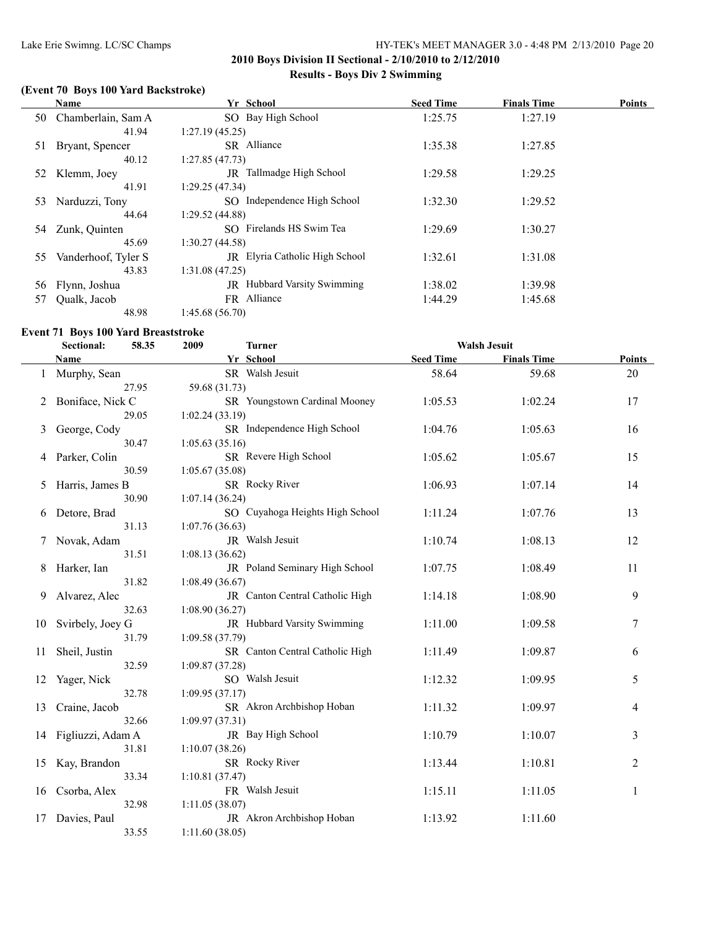#### **(Event 70 Boys 100 Yard Backstroke)**

|    | Name                  | Yr School                             | <b>Seed Time</b> | <b>Finals Time</b> | <b>Points</b> |
|----|-----------------------|---------------------------------------|------------------|--------------------|---------------|
|    | 50 Chamberlain, Sam A | SO Bay High School                    | 1:25.75          | 1:27.19            |               |
|    | 41.94                 | 1:27.19(45.25)                        |                  |                    |               |
| 51 | Bryant, Spencer       | SR Alliance                           | 1:35.38          | 1:27.85            |               |
|    | 40.12                 | 1:27.85(47.73)                        |                  |                    |               |
|    | 52 Klemm, Joey        | JR Tallmadge High School              | 1:29.58          | 1:29.25            |               |
|    | 41.91                 | 1:29.25(47.34)                        |                  |                    |               |
| 53 | Narduzzi, Tony        | SO Independence High School           | 1:32.30          | 1:29.52            |               |
|    | 44.64                 | 1:29.52(44.88)                        |                  |                    |               |
| 54 | Zunk, Quinten         | SO Firelands HS Swim Tea              | 1:29.69          | 1:30.27            |               |
|    | 45.69                 | 1:30.27(44.58)                        |                  |                    |               |
| 55 | Vanderhoof, Tyler S   | <b>JR</b> Elyria Catholic High School | 1:32.61          | 1:31.08            |               |
|    | 43.83                 | 1:31.08(47.25)                        |                  |                    |               |
| 56 | Flynn, Joshua         | JR Hubbard Varsity Swimming           | 1:38.02          | 1:39.98            |               |
| 57 | Qualk, Jacob          | FR Alliance                           | 1:44.29          | 1:45.68            |               |
|    | 48.98                 | 1:45.68(56.70)                        |                  |                    |               |

#### **Event 71 Boys 100 Yard Breaststroke**

|    | Sectional:        | 58.35 | 2009            | <b>Turner</b>                   | <b>Walsh Jesuit</b> |                    |                |
|----|-------------------|-------|-----------------|---------------------------------|---------------------|--------------------|----------------|
|    | <b>Name</b>       |       |                 | Yr School                       | <b>Seed Time</b>    | <b>Finals Time</b> | <b>Points</b>  |
| 1  | Murphy, Sean      |       |                 | SR Walsh Jesuit                 | 58.64               | 59.68              | 20             |
|    |                   | 27.95 | 59.68 (31.73)   |                                 |                     |                    |                |
| 2  | Boniface, Nick C  |       |                 | SR Youngstown Cardinal Mooney   | 1:05.53             | 1:02.24            | 17             |
|    |                   | 29.05 | 1:02.24 (33.19) |                                 |                     |                    |                |
| 3  | George, Cody      |       |                 | SR Independence High School     | 1:04.76             | 1:05.63            | 16             |
|    |                   | 30.47 | 1:05.63(35.16)  |                                 |                     |                    |                |
| 4  | Parker, Colin     |       |                 | SR Revere High School           | 1:05.62             | 1:05.67            | 15             |
|    |                   | 30.59 | 1:05.67(35.08)  |                                 |                     |                    |                |
| 5  | Harris, James B   |       |                 | SR Rocky River                  | 1:06.93             | 1:07.14            | 14             |
|    |                   | 30.90 | 1:07.14(36.24)  |                                 |                     |                    |                |
| 6  | Detore, Brad      |       |                 | SO Cuyahoga Heights High School | 1:11.24             | 1:07.76            | 13             |
|    |                   | 31.13 | 1:07.76(36.63)  |                                 |                     |                    |                |
| 7  | Novak, Adam       |       |                 | JR Walsh Jesuit                 | 1:10.74             | 1:08.13            | 12             |
|    |                   | 31.51 | 1:08.13(36.62)  |                                 |                     |                    |                |
| 8  | Harker, Ian       |       |                 | JR Poland Seminary High School  | 1:07.75             | 1:08.49            | 11             |
|    |                   | 31.82 | 1:08.49(36.67)  |                                 |                     |                    |                |
| 9  | Alvarez, Alec     |       |                 | JR Canton Central Catholic High | 1:14.18             | 1:08.90            | 9              |
|    |                   | 32.63 | 1:08.90(36.27)  |                                 |                     |                    |                |
| 10 | Svirbely, Joey G  |       |                 | JR Hubbard Varsity Swimming     | 1:11.00             | 1:09.58            | 7              |
|    |                   | 31.79 | 1:09.58(37.79)  |                                 |                     |                    |                |
| 11 | Sheil, Justin     |       |                 | SR Canton Central Catholic High | 1:11.49             | 1:09.87            | 6              |
|    |                   | 32.59 | 1:09.87(37.28)  |                                 |                     |                    |                |
| 12 | Yager, Nick       |       |                 | SO Walsh Jesuit                 | 1:12.32             | 1:09.95            | 5              |
|    |                   | 32.78 | 1:09.95(37.17)  |                                 |                     |                    |                |
| 13 | Craine, Jacob     |       |                 | SR Akron Archbishop Hoban       | 1:11.32             | 1:09.97            | 4              |
|    |                   | 32.66 | 1:09.97(37.31)  |                                 |                     |                    |                |
| 14 | Figliuzzi, Adam A |       |                 | JR Bay High School              | 1:10.79             | 1:10.07            | 3              |
|    |                   | 31.81 | 1:10.07(38.26)  |                                 |                     |                    |                |
| 15 | Kay, Brandon      |       |                 | SR Rocky River                  | 1:13.44             | 1:10.81            | $\overline{2}$ |
|    |                   | 33.34 | 1:10.81(37.47)  | FR Walsh Jesuit                 |                     |                    |                |
| 16 | Csorba, Alex      | 32.98 | 1:11.05(38.07)  |                                 | 1:15.11             | 1:11.05            | 1              |
|    |                   |       |                 | JR Akron Archbishop Hoban       |                     |                    |                |
| 17 | Davies, Paul      | 33.55 | 1:11.60(38.05)  |                                 | 1:13.92             | 1:11.60            |                |
|    |                   |       |                 |                                 |                     |                    |                |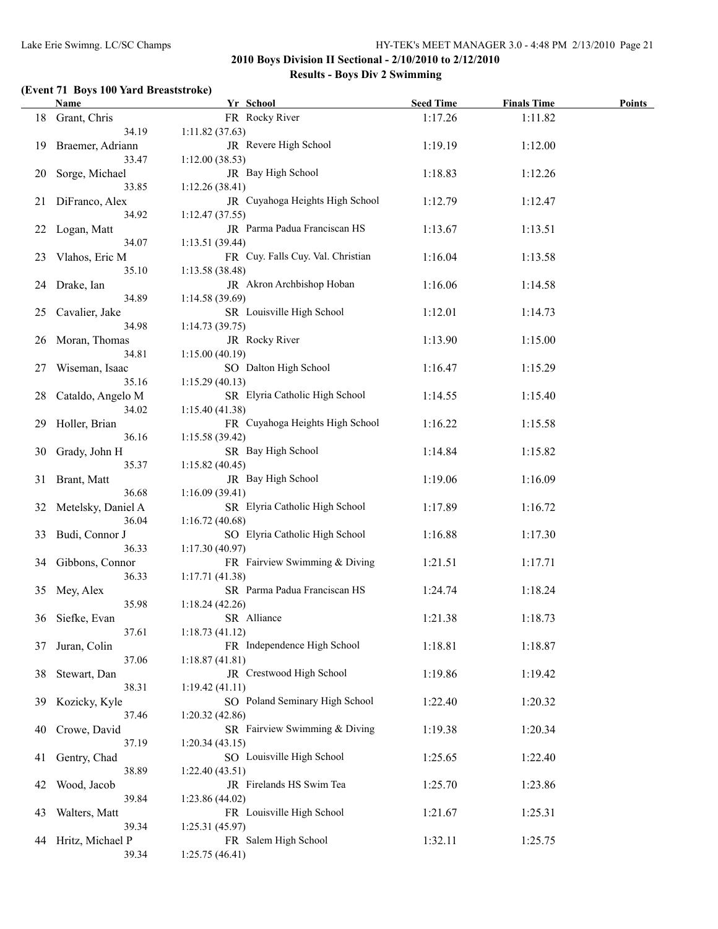# **(Event 71 Boys 100 Yard Breaststroke)**

|     | <b>Name</b>                    | Yr School                                            | <b>Seed Time</b> | <b>Finals Time</b> | <b>Points</b> |
|-----|--------------------------------|------------------------------------------------------|------------------|--------------------|---------------|
|     | 18 Grant, Chris<br>34.19       | FR Rocky River<br>1:11.82(37.63)                     | 1:17.26          | 1:11.82            |               |
| 19  | Braemer, Adriann<br>33.47      | JR Revere High School<br>1:12.00(38.53)              | 1:19.19          | 1:12.00            |               |
| 20  | Sorge, Michael<br>33.85        | JR Bay High School<br>1:12.26(38.41)                 | 1:18.83          | 1:12.26            |               |
| 21  | DiFranco, Alex<br>34.92        | JR Cuyahoga Heights High School<br>1:12.47(37.55)    | 1:12.79          | 1:12.47            |               |
| 22  | Logan, Matt<br>34.07           | JR Parma Padua Franciscan HS<br>1:13.51(39.44)       | 1:13.67          | 1:13.51            |               |
| 23. | Vlahos, Eric M<br>35.10        | FR Cuy. Falls Cuy. Val. Christian<br>1:13.58 (38.48) | 1:16.04          | 1:13.58            |               |
| 24  | Drake, Ian<br>34.89            | JR Akron Archbishop Hoban<br>1:14.58 (39.69)         | 1:16.06          | 1:14.58            |               |
| 25  | Cavalier, Jake<br>34.98        | SR Louisville High School<br>1:14.73(39.75)          | 1:12.01          | 1:14.73            |               |
| 26  | Moran, Thomas<br>34.81         | JR Rocky River<br>1:15.00(40.19)                     | 1:13.90          | 1:15.00            |               |
| 27  | Wiseman, Isaac<br>35.16        | SO Dalton High School<br>1:15.29(40.13)              | 1:16.47          | 1:15.29            |               |
| 28  | Cataldo, Angelo M<br>34.02     | SR Elyria Catholic High School<br>1:15.40(41.38)     | 1:14.55          | 1:15.40            |               |
| 29  | Holler, Brian<br>36.16         | FR Cuyahoga Heights High School<br>1:15.58(39.42)    | 1:16.22          | 1:15.58            |               |
|     | 30 Grady, John H<br>35.37      | SR Bay High School<br>1:15.82(40.45)                 | 1:14.84          | 1:15.82            |               |
| 31  | Brant, Matt<br>36.68           | JR Bay High School<br>1:16.09(39.41)                 | 1:19.06          | 1:16.09            |               |
|     | 32 Metelsky, Daniel A<br>36.04 | SR Elyria Catholic High School<br>1:16.72(40.68)     | 1:17.89          | 1:16.72            |               |
|     | 33 Budi, Connor J<br>36.33     | SO Elyria Catholic High School<br>1:17.30(40.97)     | 1:16.88          | 1:17.30            |               |
|     | 34 Gibbons, Connor<br>36.33    | FR Fairview Swimming & Diving<br>1:17.71(41.38)      | 1:21.51          | 1:17.71            |               |
|     | 35 Mey, Alex<br>35.98          | SR Parma Padua Franciscan HS<br>1:18.24(42.26)       | 1:24.74          | 1:18.24            |               |
|     | 36 Siefke, Evan<br>37.61       | SR Alliance<br>1:18.73(41.12)                        | 1:21.38          | 1:18.73            |               |
| 37  | Juran, Colin<br>37.06          | FR Independence High School<br>1:18.87(41.81)        | 1:18.81          | 1:18.87            |               |
| 38  | Stewart, Dan<br>38.31          | JR Crestwood High School<br>1:19.42(41.11)           | 1:19.86          | 1:19.42            |               |
| 39  | Kozicky, Kyle<br>37.46         | SO Poland Seminary High School<br>1:20.32 (42.86)    | 1:22.40          | 1:20.32            |               |
| 40  | Crowe, David<br>37.19          | SR Fairview Swimming & Diving<br>1:20.34(43.15)      | 1:19.38          | 1:20.34            |               |
| 41  | Gentry, Chad<br>38.89          | SO Louisville High School<br>1:22.40(43.51)          | 1:25.65          | 1:22.40            |               |
| 42  | Wood, Jacob<br>39.84           | JR Firelands HS Swim Tea<br>1:23.86(44.02)           | 1:25.70          | 1:23.86            |               |
| 43  | Walters, Matt<br>39.34         | FR Louisville High School<br>1:25.31(45.97)          | 1:21.67          | 1:25.31            |               |
| 44  | Hritz, Michael P<br>39.34      | FR Salem High School<br>1:25.75(46.41)               | 1:32.11          | 1:25.75            |               |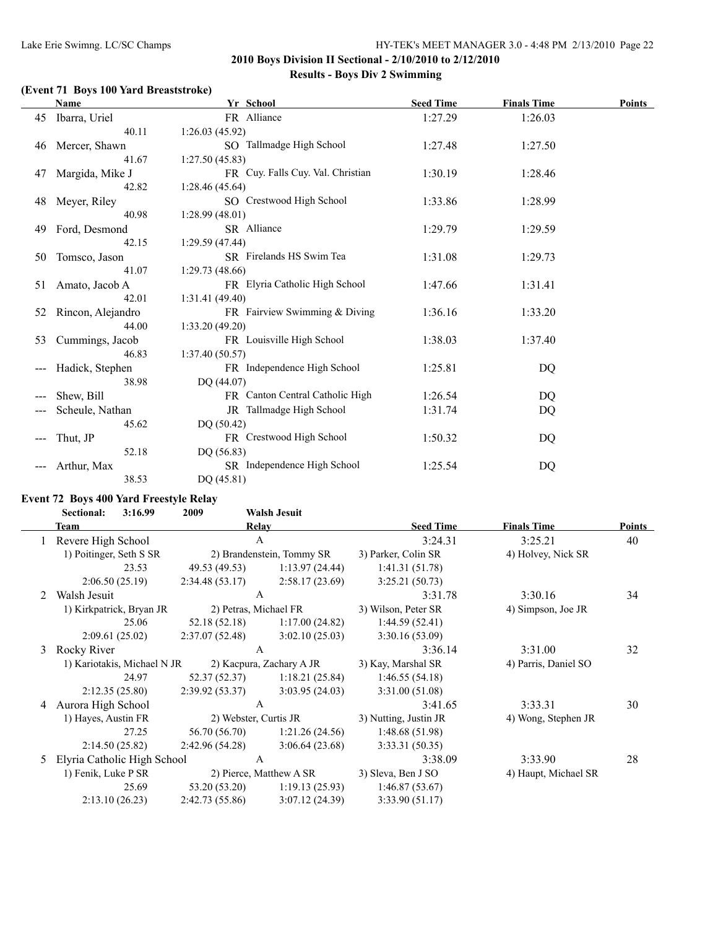#### **(Event 71 Boys 100 Yard Breaststroke)**

|    | Name              | Yr School                         | <b>Seed Time</b> | <b>Finals Time</b> | <b>Points</b> |
|----|-------------------|-----------------------------------|------------------|--------------------|---------------|
|    | 45 Ibarra, Uriel  | FR Alliance                       | 1:27.29          | 1:26.03            |               |
|    | 40.11             | 1:26.03(45.92)                    |                  |                    |               |
| 46 | Mercer, Shawn     | SO Tallmadge High School          | 1:27.48          | 1:27.50            |               |
|    | 41.67             | 1:27.50(45.83)                    |                  |                    |               |
| 47 | Margida, Mike J   | FR Cuy. Falls Cuy. Val. Christian | 1:30.19          | 1:28.46            |               |
|    | 42.82             | 1:28.46(45.64)                    |                  |                    |               |
| 48 | Meyer, Riley      | SO Crestwood High School          | 1:33.86          | 1:28.99            |               |
|    | 40.98             | 1:28.99(48.01)                    |                  |                    |               |
| 49 | Ford, Desmond     | SR Alliance                       | 1:29.79          | 1:29.59            |               |
|    | 42.15             | 1:29.59(47.44)                    |                  |                    |               |
| 50 | Tomsco, Jason     | SR Firelands HS Swim Tea          | 1:31.08          | 1:29.73            |               |
|    | 41.07             | 1:29.73(48.66)                    |                  |                    |               |
| 51 | Amato, Jacob A    | FR Elyria Catholic High School    | 1:47.66          | 1:31.41            |               |
|    | 42.01             | 1:31.41(49.40)                    |                  |                    |               |
| 52 | Rincon, Alejandro | FR Fairview Swimming & Diving     | 1:36.16          | 1:33.20            |               |
|    | 44.00             | 1:33.20(49.20)                    |                  |                    |               |
| 53 | Cummings, Jacob   | FR Louisville High School         | 1:38.03          | 1:37.40            |               |
|    | 46.83             | 1:37.40(50.57)                    |                  |                    |               |
|    | Hadick, Stephen   | FR Independence High School       | 1:25.81          | DQ                 |               |
|    | 38.98             | DQ (44.07)                        |                  |                    |               |
|    | Shew, Bill        | FR Canton Central Catholic High   | 1:26.54          | DQ                 |               |
|    | Scheule, Nathan   | JR Tallmadge High School          | 1:31.74          | DQ                 |               |
|    | 45.62             | DO(50.42)                         |                  |                    |               |
|    | Thut, JP          | FR Crestwood High School          | 1:50.32          | DQ                 |               |
|    | 52.18             | DQ $(56.83)$                      |                  |                    |               |
|    | Arthur, Max       | SR Independence High School       | 1:25.54          | DQ                 |               |
|    | 38.53             | DQ (45.81)                        |                  |                    |               |

# **Event 72 Boys 400 Yard Freestyle Relay**<br>Sectional:  $3.1699$  2009

|   | 3:16.99<br>Sectional:       | 2009                  | <b>Walsh Jesuit</b>       |                       |                      |               |
|---|-----------------------------|-----------------------|---------------------------|-----------------------|----------------------|---------------|
|   | <b>Team</b><br>Relay        |                       |                           | <b>Seed Time</b>      | <b>Finals Time</b>   | <b>Points</b> |
|   | Revere High School          |                       | A                         | 3:24.31               | 3:25.21              | 40            |
|   | 1) Poitinger, Seth S SR     |                       | 2) Brandenstein, Tommy SR | 3) Parker, Colin SR   | 4) Holvey, Nick SR   |               |
|   | 23.53                       | 49.53 (49.53)         | 1:13.97(24.44)            | 1:41.31(51.78)        |                      |               |
|   | 2:06.50(25.19)              | 2:34.48(53.17)        | 2:58.17(23.69)            | 3:25.21(50.73)        |                      |               |
|   | Walsh Jesuit                |                       | A                         | 3:31.78               | 3:30.16              | 34            |
|   | 1) Kirkpatrick, Bryan JR    | 2) Petras, Michael FR |                           | 3) Wilson, Peter SR   | 4) Simpson, Joe JR   |               |
|   | 25.06                       | 52.18 (52.18)         | 1:17.00(24.82)            | 1:44.59(52.41)        |                      |               |
|   | 2:09.61(25.02)              | 2:37.07(52.48)        | 3:02.10(25.03)            | 3:30.16(53.09)        |                      |               |
| 3 | Rocky River                 |                       | A                         | 3:36.14               | 3:31.00              | 32            |
|   | 1) Kariotakis, Michael N JR |                       | 2) Kacpura, Zachary A JR  | 3) Kay, Marshal SR    | 4) Parris, Daniel SO |               |
|   | 24.97                       | 52.37 (52.37)         | 1:18.21(25.84)            | 1:46.55(54.18)        |                      |               |
|   | 2:12.35(25.80)              | 2:39.92(53.37)        | 3:03.95(24.03)            | 3:31.00(51.08)        |                      |               |
| 4 | Aurora High School          |                       | A                         | 3:41.65               | 3:33.31              | 30            |
|   | 1) Hayes, Austin FR         | 2) Webster, Curtis JR |                           | 3) Nutting, Justin JR | 4) Wong, Stephen JR  |               |
|   | 27.25                       | 56.70 (56.70)         | 1:21.26(24.56)            | 1:48.68(51.98)        |                      |               |
|   | 2:14.50(25.82)              | 2:42.96(54.28)        | 3:06.64(23.68)            | 3:33.31(50.35)        |                      |               |
| 5 | Elyria Catholic High School |                       | A                         | 3:38.09               | 3:33.90              | 28            |
|   | 1) Fenik, Luke P SR         |                       | 2) Pierce, Matthew A SR   | 3) Sleva, Ben J SO    | 4) Haupt, Michael SR |               |
|   | 25.69                       | 53.20 (53.20)         | 1:19.13(25.93)            | 1:46.87(53.67)        |                      |               |
|   | 2:13.10(26.23)              | 2:42.73(55.86)        | 3:07.12(24.39)            | 3:33.90 (51.17)       |                      |               |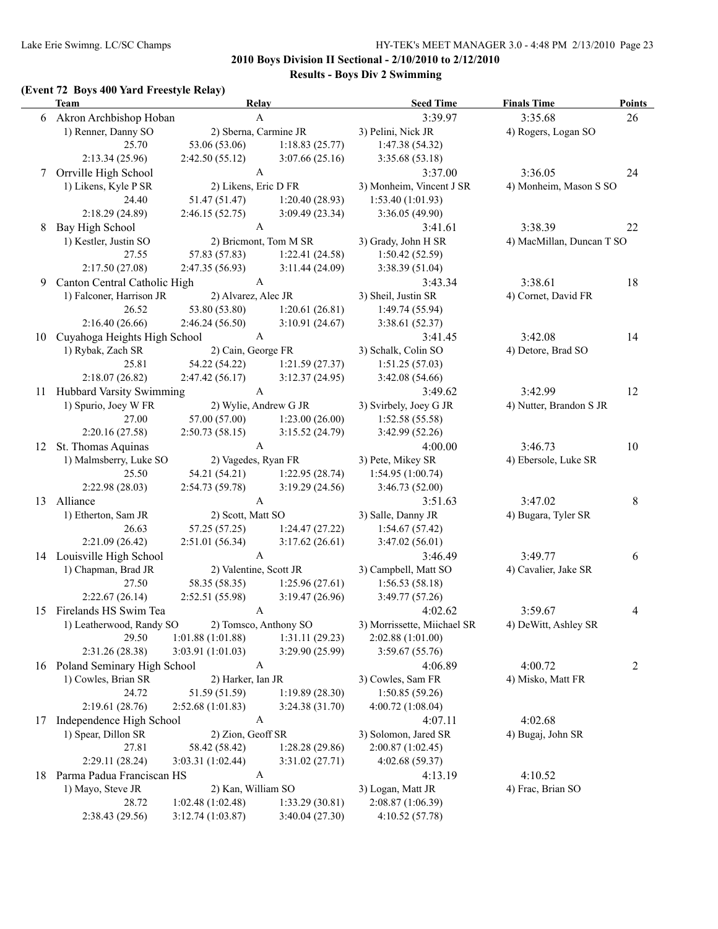#### Lake Erie Swimng. LC/SC Champs HY-TEK's MEET MANAGER 3.0 - 4:48 PM 2/13/2010 Page 23

#### **2010 Boys Division II Sectional - 2/10/2010 to 2/12/2010 Results - Boys Div 2 Swimming**

#### **(Event 72 Boys 400 Yard Freestyle Relay)**

|    | <b>Team</b>                    | <b>Relay</b>           |                 | <b>Seed Time</b>            | <b>Finals Time</b>        | <b>Points</b> |
|----|--------------------------------|------------------------|-----------------|-----------------------------|---------------------------|---------------|
|    | 6 Akron Archbishop Hoban       | A                      |                 | 3:39.97                     | 3:35.68                   | 26            |
|    | 1) Renner, Danny SO            | 2) Sberna, Carmine JR  |                 | 3) Pelini, Nick JR          | 4) Rogers, Logan SO       |               |
|    | 25.70                          | 53.06 (53.06)          | 1:18.83(25.77)  | 1:47.38(54.32)              |                           |               |
|    | 2:13.34(25.96)                 | 2:42.50(55.12)         | 3:07.66(25.16)  | 3:35.68(53.18)              |                           |               |
| 7  | Orrville High School           | A                      |                 | 3:37.00                     | 3:36.05                   | 24            |
|    | 1) Likens, Kyle P SR           | 2) Likens, Eric D FR   |                 | 3) Monheim, Vincent J SR    | 4) Monheim, Mason S SO    |               |
|    | 24.40                          | 51.47 (51.47)          | 1:20.40(28.93)  | 1:53.40(1:01.93)            |                           |               |
|    | 2:18.29 (24.89)                | 2:46.15(52.75)         | 3:09.49(23.34)  | 3:36.05 (49.90)             |                           |               |
| 8  | Bay High School                | $\mathbf{A}$           |                 | 3:41.61                     | 3:38.39                   | 22            |
|    | 1) Kestler, Justin SO          | 2) Briemont, Tom M SR  |                 | 3) Grady, John H SR         | 4) MacMillan, Duncan T SO |               |
|    | 27.55                          | 57.83 (57.83)          | 1:22.41(24.58)  | 1:50.42(52.59)              |                           |               |
|    | 2:17.50(27.08)                 | 2:47.35(56.93)         | 3:11.44(24.09)  | 3:38.39 (51.04)             |                           |               |
| 9  | Canton Central Catholic High   | $\boldsymbol{\rm{A}}$  |                 | 3:43.34                     | 3:38.61                   | 18            |
|    | 1) Falconer, Harrison JR       | 2) Alvarez, Alec JR    |                 | 3) Sheil, Justin SR         | 4) Cornet, David FR       |               |
|    | 26.52                          | 53.80 (53.80)          | 1:20.61(26.81)  | 1:49.74(55.94)              |                           |               |
|    | 2:16.40(26.66)                 | 2:46.24(56.50)         | 3:10.91(24.67)  | 3:38.61 (52.37)             |                           |               |
| 10 | Cuyahoga Heights High School   | $\mathbf{A}$           |                 | 3:41.45                     | 3:42.08                   | 14            |
|    | 1) Rybak, Zach SR              | 2) Cain, George FR     |                 | 3) Schalk, Colin SO         | 4) Detore, Brad SO        |               |
|    | 25.81                          | 54.22 (54.22)          | 1:21.59(27.37)  | 1:51.25(57.03)              |                           |               |
|    | 2:18.07(26.82)                 | 2:47.42(56.17)         | 3:12.37(24.95)  | 3:42.08(54.66)              |                           |               |
|    | 11 Hubbard Varsity Swimming    | $\mathbf{A}$           |                 | 3:49.62                     | 3:42.99                   | 12            |
|    | 1) Spurio, Joey W FR           | 2) Wylie, Andrew G JR  |                 | 3) Svirbely, Joey G JR      | 4) Nutter, Brandon S JR   |               |
|    | 27.00                          | 57.00 (57.00)          | 1:23.00(26.00)  | 1:52.58(55.58)              |                           |               |
|    | 2:20.16(27.58)                 | 2:50.73(58.15)         | 3:15.52(24.79)  | 3:42.99(52.26)              |                           |               |
|    | 12 St. Thomas Aquinas          | $\mathbf{A}$           |                 | 4:00.00                     | 3:46.73                   | 10            |
|    | 1) Malmsberry, Luke SO         | 2) Vagedes, Ryan FR    |                 | 3) Pete, Mikey SR           | 4) Ebersole, Luke SR      |               |
|    | 25.50                          | 54.21 (54.21)          | 1:22.95(28.74)  | 1:54.95(1:00.74)            |                           |               |
|    | 2:22.98(28.03)                 | 2:54.73(59.78)         | 3:19.29(24.56)  | 3:46.73(52.00)              |                           |               |
|    | 13 Alliance                    | $\mathbf{A}$           |                 | 3:51.63                     | 3:47.02                   | 8             |
|    | 1) Etherton, Sam JR            | 2) Scott, Matt SO      |                 | 3) Salle, Danny JR          | 4) Bugara, Tyler SR       |               |
|    | 26.63                          | 57.25(57.25)           | 1:24.47(27.22)  | 1:54.67(57.42)              |                           |               |
|    | 2:21.09(26.42)                 | 2:51.01(56.34)         | 3:17.62(26.61)  | 3:47.02(56.01)              |                           |               |
|    | 14 Louisville High School      | $\mathbf{A}$           |                 | 3:46.49                     | 3:49.77                   | 6             |
|    | 1) Chapman, Brad JR            | 2) Valentine, Scott JR |                 | 3) Campbell, Matt SO        | 4) Cavalier, Jake SR      |               |
|    | 27.50                          | 58.35 (58.35)          | 1:25.96(27.61)  | 1:56.53(58.18)              |                           |               |
|    | 2:22.67(26.14)                 | 2:52.51(55.98)         | 3:19.47(26.96)  | 3:49.77 (57.26)             |                           |               |
|    | 15 Firelands HS Swim Tea       | $\mathbf{A}$           |                 | 4:02.62                     | 3:59.67                   | 4             |
|    | 1) Leatherwood, Randy SO       | 2) Tomsco, Anthony SO  |                 | 3) Morrissette, Miichael SR | 4) DeWitt, Ashley SR      |               |
|    | 29.50                          | 1:01.88(1:01.88)       | 1:31.11(29.23)  | 2:02.88 (1:01.00)           |                           |               |
|    | 2:31.26 (28.38)                | 3:03.91 (1:01.03)      | 3:29.90 (25.99) | 3:59.67 (55.76)             |                           |               |
|    | 16 Poland Seminary High School | A                      |                 | 4:06.89                     | 4:00.72                   | 2             |
|    | 1) Cowles, Brian SR            | 2) Harker, Ian JR      |                 | 3) Cowles, Sam FR           | 4) Misko, Matt FR         |               |
|    | 24.72                          | 51.59 (51.59)          | 1:19.89(28.30)  | 1:50.85(59.26)              |                           |               |
|    | 2:19.61(28.76)                 | 2:52.68 (1:01.83)      | 3:24.38(31.70)  | 4:00.72 (1:08.04)           |                           |               |
|    | 17 Independence High School    | A                      |                 | 4:07.11                     | 4:02.68                   |               |
|    | 1) Spear, Dillon SR            | 2) Zion, Geoff SR      |                 | 3) Solomon, Jared SR        | 4) Bugaj, John SR         |               |
|    | 27.81                          | 58.42 (58.42)          | 1:28.28(29.86)  | 2:00.87 (1:02.45)           |                           |               |
|    | 2:29.11 (28.24)                | 3:03.31 (1:02.44)      | 3:31.02(27.71)  | 4:02.68(59.37)              |                           |               |
| 18 | Parma Padua Franciscan HS      | $\boldsymbol{A}$       |                 | 4:13.19                     | 4:10.52                   |               |
|    | 1) Mayo, Steve JR              | 2) Kan, William SO     |                 | 3) Logan, Matt JR           | 4) Frac, Brian SO         |               |
|    | 28.72                          | 1:02.48(1:02.48)       | 1:33.29 (30.81) | 2:08.87 (1:06.39)           |                           |               |
|    | 2:38.43 (29.56)                | 3:12.74(1:03.87)       | 3:40.04 (27.30) | 4:10.52 (57.78)             |                           |               |